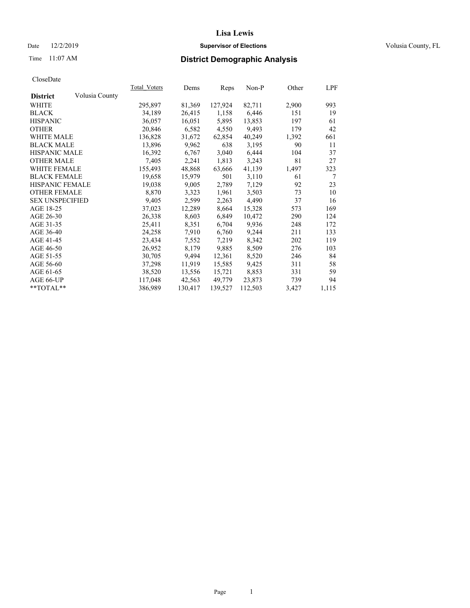## Date  $12/2/2019$  **Supervisor of Elections Supervisor of Elections** Volusia County, FL

# Time 11:07 AM **District Demographic Analysis**

|                        |                | Total Voters | Dems    | Reps    | Non-P   | Other | LPF   |
|------------------------|----------------|--------------|---------|---------|---------|-------|-------|
| <b>District</b>        | Volusia County |              |         |         |         |       |       |
| WHITE                  |                | 295,897      | 81,369  | 127,924 | 82,711  | 2,900 | 993   |
| <b>BLACK</b>           |                | 34,189       | 26,415  | 1,158   | 6,446   | 151   | 19    |
| <b>HISPANIC</b>        |                | 36,057       | 16,051  | 5,895   | 13,853  | 197   | 61    |
| <b>OTHER</b>           |                | 20,846       | 6,582   | 4,550   | 9,493   | 179   | 42    |
| WHITE MALE             |                | 136,828      | 31,672  | 62,854  | 40,249  | 1,392 | 661   |
| <b>BLACK MALE</b>      |                | 13,896       | 9,962   | 638     | 3,195   | 90    | 11    |
| <b>HISPANIC MALE</b>   |                | 16,392       | 6,767   | 3,040   | 6,444   | 104   | 37    |
| <b>OTHER MALE</b>      |                | 7,405        | 2,241   | 1,813   | 3,243   | 81    | 27    |
| <b>WHITE FEMALE</b>    |                | 155,493      | 48,868  | 63,666  | 41,139  | 1,497 | 323   |
| <b>BLACK FEMALE</b>    |                | 19,658       | 15,979  | 501     | 3,110   | 61    | 7     |
| <b>HISPANIC FEMALE</b> |                | 19,038       | 9,005   | 2,789   | 7,129   | 92    | 23    |
| <b>OTHER FEMALE</b>    |                | 8,870        | 3,323   | 1,961   | 3,503   | 73    | 10    |
| <b>SEX UNSPECIFIED</b> |                | 9,405        | 2,599   | 2,263   | 4,490   | 37    | 16    |
| AGE 18-25              |                | 37,023       | 12,289  | 8,664   | 15,328  | 573   | 169   |
| AGE 26-30              |                | 26,338       | 8,603   | 6,849   | 10,472  | 290   | 124   |
| AGE 31-35              |                | 25,411       | 8,351   | 6,704   | 9,936   | 248   | 172   |
| AGE 36-40              |                | 24,258       | 7,910   | 6,760   | 9,244   | 211   | 133   |
| AGE 41-45              |                | 23,434       | 7,552   | 7,219   | 8,342   | 202   | 119   |
| AGE 46-50              |                | 26,952       | 8,179   | 9,885   | 8,509   | 276   | 103   |
| AGE 51-55              |                | 30,705       | 9,494   | 12,361  | 8,520   | 246   | 84    |
| AGE 56-60              |                | 37,298       | 11,919  | 15,585  | 9,425   | 311   | 58    |
| AGE 61-65              |                | 38,520       | 13,556  | 15,721  | 8,853   | 331   | 59    |
| AGE 66-UP              |                | 117,048      | 42,563  | 49,779  | 23,873  | 739   | 94    |
| $*$ $TOTAL**$          |                | 386,989      | 130,417 | 139,527 | 112,503 | 3,427 | 1,115 |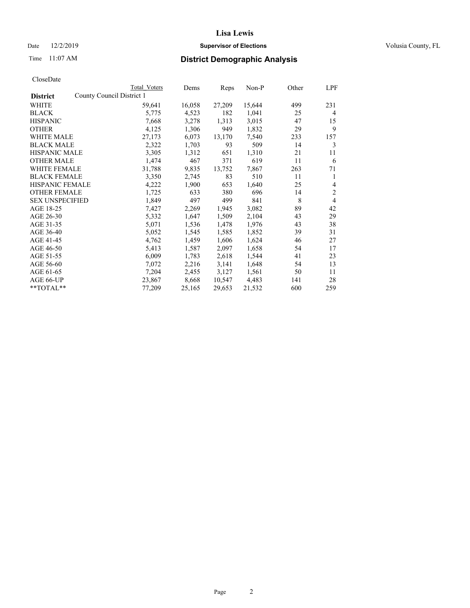## Date 12/2/2019 **Supervisor of Elections Supervisor of Elections** Volusia County, FL

|                                              | Total Voters | Dems   | Reps   | Non-P  | Other | LPF            |
|----------------------------------------------|--------------|--------|--------|--------|-------|----------------|
| County Council District 1<br><b>District</b> |              |        |        |        |       |                |
| WHITE                                        | 59,641       | 16,058 | 27,209 | 15,644 | 499   | 231            |
| <b>BLACK</b>                                 | 5,775        | 4,523  | 182    | 1,041  | 25    | 4              |
| <b>HISPANIC</b>                              | 7,668        | 3,278  | 1,313  | 3,015  | 47    | 15             |
| <b>OTHER</b>                                 | 4,125        | 1,306  | 949    | 1,832  | 29    | 9              |
| <b>WHITE MALE</b>                            | 27,173       | 6,073  | 13,170 | 7,540  | 233   | 157            |
| <b>BLACK MALE</b>                            | 2,322        | 1,703  | 93     | 509    | 14    | 3              |
| <b>HISPANIC MALE</b>                         | 3,305        | 1,312  | 651    | 1,310  | 21    | 11             |
| <b>OTHER MALE</b>                            | 1,474        | 467    | 371    | 619    | 11    | 6              |
| <b>WHITE FEMALE</b>                          | 31,788       | 9,835  | 13,752 | 7,867  | 263   | 71             |
| <b>BLACK FEMALE</b>                          | 3,350        | 2,745  | 83     | 510    | 11    | 1              |
| <b>HISPANIC FEMALE</b>                       | 4,222        | 1,900  | 653    | 1,640  | 25    | $\overline{4}$ |
| <b>OTHER FEMALE</b>                          | 1,725        | 633    | 380    | 696    | 14    | $\overline{c}$ |
| <b>SEX UNSPECIFIED</b>                       | 1,849        | 497    | 499    | 841    | 8     | $\overline{4}$ |
| AGE 18-25                                    | 7,427        | 2,269  | 1,945  | 3,082  | 89    | 42             |
| AGE 26-30                                    | 5,332        | 1,647  | 1,509  | 2,104  | 43    | 29             |
| AGE 31-35                                    | 5,071        | 1,536  | 1,478  | 1,976  | 43    | 38             |
| AGE 36-40                                    | 5,052        | 1,545  | 1,585  | 1,852  | 39    | 31             |
| AGE 41-45                                    | 4,762        | 1,459  | 1,606  | 1,624  | 46    | 27             |
| AGE 46-50                                    | 5,413        | 1,587  | 2,097  | 1,658  | 54    | 17             |
| AGE 51-55                                    | 6,009        | 1,783  | 2,618  | 1,544  | 41    | 23             |
| AGE 56-60                                    | 7,072        | 2,216  | 3,141  | 1,648  | 54    | 13             |
| AGE 61-65                                    | 7,204        | 2,455  | 3,127  | 1,561  | 50    | 11             |
| AGE 66-UP                                    | 23,867       | 8,668  | 10,547 | 4,483  | 141   | 28             |
| **TOTAL**                                    | 77,209       | 25,165 | 29,653 | 21,532 | 600   | 259            |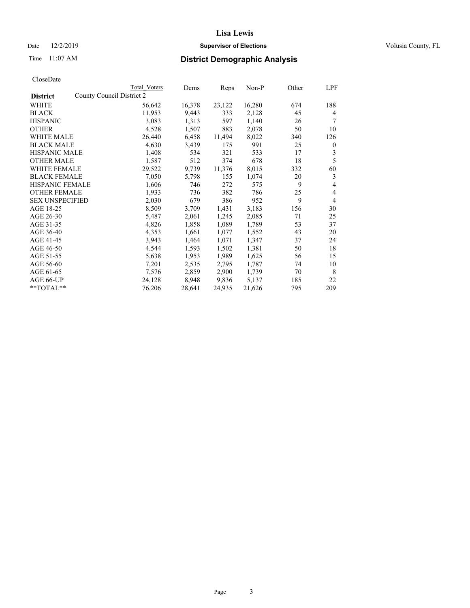## Date 12/2/2019 **Supervisor of Elections Supervisor of Elections** Volusia County, FL

| CloseDate |
|-----------|
|-----------|

|                                              | Total Voters | Dems   | Reps   | Non-P  | Other | LPF            |
|----------------------------------------------|--------------|--------|--------|--------|-------|----------------|
| County Council District 2<br><b>District</b> |              |        |        |        |       |                |
| WHITE                                        | 56,642       | 16,378 | 23,122 | 16,280 | 674   | 188            |
| <b>BLACK</b>                                 | 11,953       | 9,443  | 333    | 2,128  | 45    | 4              |
| <b>HISPANIC</b>                              | 3,083        | 1,313  | 597    | 1,140  | 26    |                |
| <b>OTHER</b>                                 | 4,528        | 1,507  | 883    | 2,078  | 50    | 10             |
| WHITE MALE                                   | 26,440       | 6,458  | 11,494 | 8,022  | 340   | 126            |
| <b>BLACK MALE</b>                            | 4,630        | 3,439  | 175    | 991    | 25    | $\mathbf{0}$   |
| <b>HISPANIC MALE</b>                         | 1,408        | 534    | 321    | 533    | 17    | 3              |
| <b>OTHER MALE</b>                            | 1,587        | 512    | 374    | 678    | 18    | 5              |
| <b>WHITE FEMALE</b>                          | 29,522       | 9,739  | 11,376 | 8,015  | 332   | 60             |
| <b>BLACK FEMALE</b>                          | 7,050        | 5,798  | 155    | 1,074  | 20    | 3              |
| <b>HISPANIC FEMALE</b>                       | 1,606        | 746    | 272    | 575    | 9     | 4              |
| <b>OTHER FEMALE</b>                          | 1,933        | 736    | 382    | 786    | 25    | 4              |
| <b>SEX UNSPECIFIED</b>                       | 2,030        | 679    | 386    | 952    | 9     | $\overline{4}$ |
| AGE 18-25                                    | 8,509        | 3,709  | 1,431  | 3,183  | 156   | 30             |
| AGE 26-30                                    | 5,487        | 2,061  | 1,245  | 2,085  | 71    | 25             |
| AGE 31-35                                    | 4,826        | 1,858  | 1,089  | 1,789  | 53    | 37             |
| AGE 36-40                                    | 4,353        | 1,661  | 1,077  | 1,552  | 43    | 20             |
| AGE 41-45                                    | 3,943        | 1,464  | 1,071  | 1,347  | 37    | 24             |
| AGE 46-50                                    | 4,544        | 1,593  | 1,502  | 1,381  | 50    | 18             |
| AGE 51-55                                    | 5,638        | 1,953  | 1,989  | 1,625  | 56    | 15             |
| AGE 56-60                                    | 7,201        | 2,535  | 2,795  | 1,787  | 74    | 10             |
| AGE 61-65                                    | 7,576        | 2,859  | 2,900  | 1,739  | 70    | 8              |
| AGE 66-UP                                    | 24,128       | 8,948  | 9,836  | 5,137  | 185   | 22             |
| $*$ $TOTAL**$                                | 76,206       | 28,641 | 24,935 | 21,626 | 795   | 209            |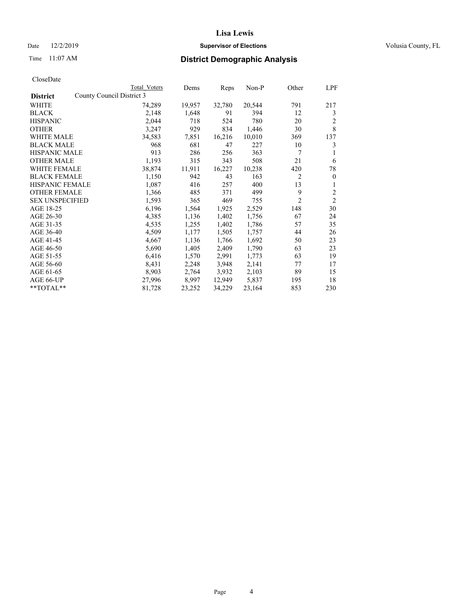## Date 12/2/2019 **Supervisor of Elections Supervisor of Elections** Volusia County, FL

| CloseDate |
|-----------|
|-----------|

|                                              | Total Voters | Dems   | Reps   | $Non-P$ | Other          | LPF            |
|----------------------------------------------|--------------|--------|--------|---------|----------------|----------------|
| County Council District 3<br><b>District</b> |              |        |        |         |                |                |
| WHITE                                        | 74,289       | 19,957 | 32,780 | 20,544  | 791            | 217            |
| <b>BLACK</b>                                 | 2,148        | 1,648  | 91     | 394     | 12             | 3              |
| <b>HISPANIC</b>                              | 2,044        | 718    | 524    | 780     | 20             | 2              |
| <b>OTHER</b>                                 | 3,247        | 929    | 834    | 1,446   | 30             | 8              |
| <b>WHITE MALE</b>                            | 34,583       | 7,851  | 16,216 | 10,010  | 369            | 137            |
| <b>BLACK MALE</b>                            | 968          | 681    | 47     | 227     | 10             | 3              |
| <b>HISPANIC MALE</b>                         | 913          | 286    | 256    | 363     | 7              | 1              |
| <b>OTHER MALE</b>                            | 1,193        | 315    | 343    | 508     | 21             | 6              |
| <b>WHITE FEMALE</b>                          | 38,874       | 11,911 | 16,227 | 10,238  | 420            | 78             |
| <b>BLACK FEMALE</b>                          | 1,150        | 942    | 43     | 163     | $\overline{c}$ | $\mathbf{0}$   |
| <b>HISPANIC FEMALE</b>                       | 1,087        | 416    | 257    | 400     | 13             | 1              |
| <b>OTHER FEMALE</b>                          | 1,366        | 485    | 371    | 499     | 9              | $\overline{c}$ |
| <b>SEX UNSPECIFIED</b>                       | 1,593        | 365    | 469    | 755     | $\overline{2}$ | $\overline{c}$ |
| AGE 18-25                                    | 6,196        | 1,564  | 1,925  | 2,529   | 148            | 30             |
| AGE 26-30                                    | 4,385        | 1,136  | 1,402  | 1,756   | 67             | 24             |
| AGE 31-35                                    | 4,535        | 1,255  | 1,402  | 1,786   | 57             | 35             |
| AGE 36-40                                    | 4,509        | 1,177  | 1,505  | 1,757   | 44             | 26             |
| AGE 41-45                                    | 4,667        | 1,136  | 1,766  | 1,692   | 50             | 23             |
| AGE 46-50                                    | 5,690        | 1,405  | 2,409  | 1,790   | 63             | 23             |
| AGE 51-55                                    | 6,416        | 1,570  | 2,991  | 1,773   | 63             | 19             |
| AGE 56-60                                    | 8,431        | 2,248  | 3,948  | 2,141   | 77             | 17             |
| AGE 61-65                                    | 8,903        | 2,764  | 3,932  | 2,103   | 89             | 15             |
| AGE 66-UP                                    | 27,996       | 8,997  | 12,949 | 5,837   | 195            | 18             |
| $*$ $TOTAL**$                                | 81,728       | 23,252 | 34,229 | 23,164  | 853            | 230            |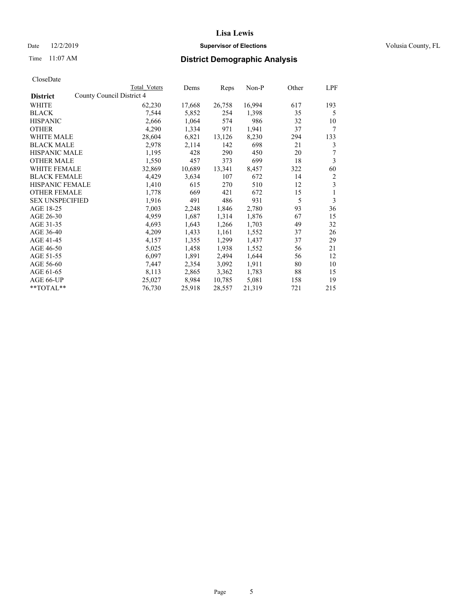## Date 12/2/2019 **Supervisor of Elections Supervisor of Elections** Volusia County, FL

|                                              | Total Voters | Dems   | Reps   | Non-P  | Other | LPF |
|----------------------------------------------|--------------|--------|--------|--------|-------|-----|
| County Council District 4<br><b>District</b> |              |        |        |        |       |     |
| WHITE                                        | 62,230       | 17,668 | 26,758 | 16,994 | 617   | 193 |
| <b>BLACK</b>                                 | 7,544        | 5,852  | 254    | 1,398  | 35    | 5   |
| <b>HISPANIC</b>                              | 2,666        | 1,064  | 574    | 986    | 32    | 10  |
| <b>OTHER</b>                                 | 4,290        | 1,334  | 971    | 1,941  | 37    | 7   |
| WHITE MALE                                   | 28,604       | 6,821  | 13,126 | 8,230  | 294   | 133 |
| <b>BLACK MALE</b>                            | 2,978        | 2,114  | 142    | 698    | 21    | 3   |
| <b>HISPANIC MALE</b>                         | 1,195        | 428    | 290    | 450    | 20    | 7   |
| <b>OTHER MALE</b>                            | 1,550        | 457    | 373    | 699    | 18    | 3   |
| WHITE FEMALE                                 | 32,869       | 10,689 | 13,341 | 8,457  | 322   | 60  |
| <b>BLACK FEMALE</b>                          | 4,429        | 3,634  | 107    | 672    | 14    | 2   |
| <b>HISPANIC FEMALE</b>                       | 1,410        | 615    | 270    | 510    | 12    | 3   |
| <b>OTHER FEMALE</b>                          | 1,778        | 669    | 421    | 672    | 15    | 1   |
| <b>SEX UNSPECIFIED</b>                       | 1,916        | 491    | 486    | 931    | 5     | 3   |
| AGE 18-25                                    | 7,003        | 2,248  | 1,846  | 2,780  | 93    | 36  |
| AGE 26-30                                    | 4,959        | 1,687  | 1,314  | 1,876  | 67    | 15  |
| AGE 31-35                                    | 4,693        | 1,643  | 1,266  | 1,703  | 49    | 32  |
| AGE 36-40                                    | 4,209        | 1,433  | 1,161  | 1,552  | 37    | 26  |
| AGE 41-45                                    | 4,157        | 1,355  | 1,299  | 1,437  | 37    | 29  |
| AGE 46-50                                    | 5,025        | 1,458  | 1,938  | 1,552  | 56    | 21  |
| AGE 51-55                                    | 6,097        | 1,891  | 2,494  | 1,644  | 56    | 12  |
| AGE 56-60                                    | 7,447        | 2,354  | 3,092  | 1,911  | 80    | 10  |
| AGE 61-65                                    | 8,113        | 2,865  | 3,362  | 1,783  | 88    | 15  |
| AGE 66-UP                                    | 25,027       | 8,984  | 10,785 | 5,081  | 158   | 19  |
| $*$ $TOTAL**$                                | 76,730       | 25,918 | 28,557 | 21,319 | 721   | 215 |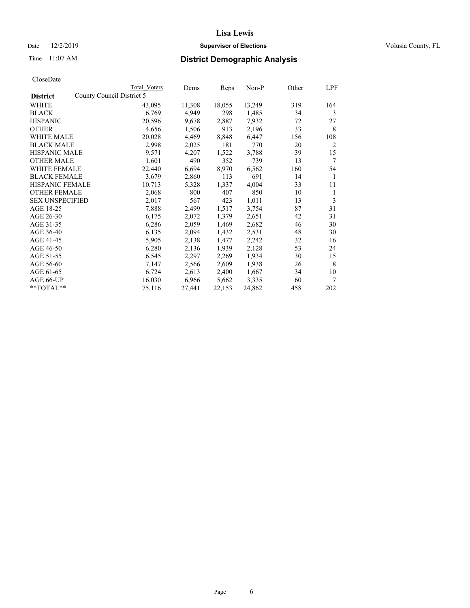## Date 12/2/2019 **Supervisor of Elections Supervisor of Elections** Volusia County, FL

| CloseDate |
|-----------|
|-----------|

|                        | Total Voters              | Dems   | Reps   | Non-P  | Other | LPF            |
|------------------------|---------------------------|--------|--------|--------|-------|----------------|
| <b>District</b>        | County Council District 5 |        |        |        |       |                |
| WHITE                  | 43,095                    | 11,308 | 18,055 | 13,249 | 319   | 164            |
| <b>BLACK</b>           | 6,769                     | 4,949  | 298    | 1,485  | 34    | 3              |
| <b>HISPANIC</b>        | 20,596                    | 9,678  | 2,887  | 7,932  | 72    | 27             |
| <b>OTHER</b>           | 4,656                     | 1,506  | 913    | 2,196  | 33    | 8              |
| <b>WHITE MALE</b>      | 20,028                    | 4,469  | 8,848  | 6,447  | 156   | 108            |
| <b>BLACK MALE</b>      | 2,998                     | 2,025  | 181    | 770    | 20    | $\overline{2}$ |
| <b>HISPANIC MALE</b>   | 9,571                     | 4,207  | 1,522  | 3,788  | 39    | 15             |
| <b>OTHER MALE</b>      | 1,601                     | 490    | 352    | 739    | 13    | 7              |
| WHITE FEMALE           | 22,440                    | 6,694  | 8,970  | 6,562  | 160   | 54             |
| <b>BLACK FEMALE</b>    | 3,679                     | 2,860  | 113    | 691    | 14    | 1              |
| <b>HISPANIC FEMALE</b> | 10,713                    | 5,328  | 1,337  | 4,004  | 33    | 11             |
| <b>OTHER FEMALE</b>    | 2,068                     | 800    | 407    | 850    | 10    | 1              |
| <b>SEX UNSPECIFIED</b> | 2,017                     | 567    | 423    | 1,011  | 13    | 3              |
| AGE 18-25              | 7,888                     | 2,499  | 1,517  | 3,754  | 87    | 31             |
| AGE 26-30              | 6,175                     | 2,072  | 1,379  | 2,651  | 42    | 31             |
| AGE 31-35              | 6,286                     | 2,059  | 1,469  | 2,682  | 46    | 30             |
| AGE 36-40              | 6,135                     | 2,094  | 1,432  | 2,531  | 48    | 30             |
| AGE 41-45              | 5,905                     | 2,138  | 1,477  | 2,242  | 32    | 16             |
| AGE 46-50              | 6,280                     | 2,136  | 1,939  | 2,128  | 53    | 24             |
| AGE 51-55              | 6,545                     | 2,297  | 2,269  | 1,934  | 30    | 15             |
| AGE 56-60              | 7,147                     | 2,566  | 2,609  | 1,938  | 26    | 8              |
| AGE 61-65              | 6,724                     | 2,613  | 2,400  | 1,667  | 34    | 10             |
| AGE 66-UP              | 16,030                    | 6,966  | 5,662  | 3,335  | 60    | 7              |
| **TOTAL**              | 75,116                    | 27,441 | 22,153 | 24,862 | 458   | 202            |
|                        |                           |        |        |        |       |                |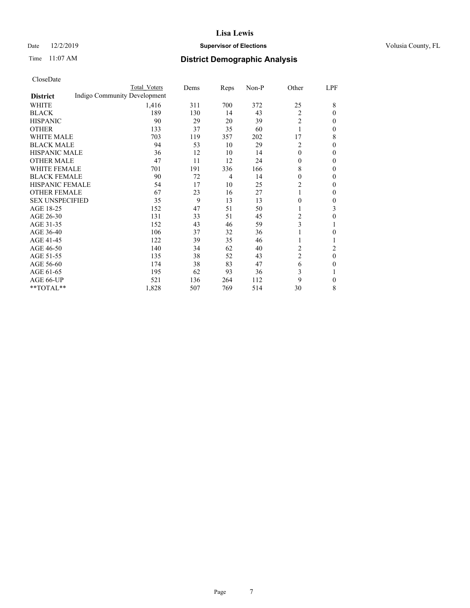## Date 12/2/2019 **Supervisor of Elections Supervisor of Elections** Volusia County, FL

# Time 11:07 AM **District Demographic Analysis**

|                        |                              | Total Voters | Dems | Reps | Non-P | Other          | LPF            |
|------------------------|------------------------------|--------------|------|------|-------|----------------|----------------|
| <b>District</b>        | Indigo Community Development |              |      |      |       |                |                |
| WHITE                  |                              | 1,416        | 311  | 700  | 372   | 25             | 8              |
| <b>BLACK</b>           |                              | 189          | 130  | 14   | 43    | 2              | 0              |
| <b>HISPANIC</b>        |                              | 90           | 29   | 20   | 39    | $\overline{2}$ | 0              |
| <b>OTHER</b>           |                              | 133          | 37   | 35   | 60    | 1              | 0              |
| <b>WHITE MALE</b>      |                              | 703          | 119  | 357  | 202   | 17             | 8              |
| <b>BLACK MALE</b>      |                              | 94           | 53   | 10   | 29    | $\overline{2}$ | 0              |
| <b>HISPANIC MALE</b>   |                              | 36           | 12   | 10   | 14    | $\theta$       | 0              |
| <b>OTHER MALE</b>      |                              | 47           | 11   | 12   | 24    | $\overline{0}$ | 0              |
| <b>WHITE FEMALE</b>    |                              | 701          | 191  | 336  | 166   | 8              | 0              |
| <b>BLACK FEMALE</b>    |                              | 90           | 72   | 4    | 14    | 0              | 0              |
| <b>HISPANIC FEMALE</b> |                              | 54           | 17   | 10   | 25    | 2              | 0              |
| <b>OTHER FEMALE</b>    |                              | 67           | 23   | 16   | 27    | 1              | 0              |
| <b>SEX UNSPECIFIED</b> |                              | 35           | 9    | 13   | 13    | 0              | 0              |
| AGE 18-25              |                              | 152          | 47   | 51   | 50    |                | 3              |
| AGE 26-30              |                              | 131          | 33   | 51   | 45    | 2              | 0              |
| AGE 31-35              |                              | 152          | 43   | 46   | 59    | 3              |                |
| AGE 36-40              |                              | 106          | 37   | 32   | 36    | 1              | 0              |
| AGE 41-45              |                              | 122          | 39   | 35   | 46    | 1              |                |
| AGE 46-50              |                              | 140          | 34   | 62   | 40    | 2              | $\overline{c}$ |
| AGE 51-55              |                              | 135          | 38   | 52   | 43    | 2              | 0              |
| AGE 56-60              |                              | 174          | 38   | 83   | 47    | 6              | 0              |
| AGE 61-65              |                              | 195          | 62   | 93   | 36    | 3              |                |
| AGE 66-UP              |                              | 521          | 136  | 264  | 112   | 9              | 0              |
| **TOTAL**              |                              | 1,828        | 507  | 769  | 514   | 30             | 8              |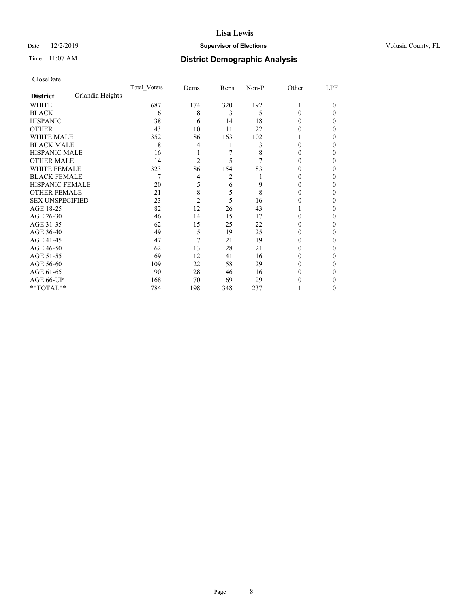## Date 12/2/2019 **Supervisor of Elections Supervisor of Elections** Volusia County, FL

# Time 11:07 AM **District Demographic Analysis**

|                        |                  | Total Voters | Dems           | Reps | Non-P | Other | LPF    |
|------------------------|------------------|--------------|----------------|------|-------|-------|--------|
| <b>District</b>        | Orlandia Heights |              |                |      |       |       |        |
| WHITE                  |                  | 687          | 174            | 320  | 192   |       | $_{0}$ |
| <b>BLACK</b>           |                  | 16           | 8              | 3    | 5     | 0     | 0      |
| <b>HISPANIC</b>        |                  | 38           | 6              | 14   | 18    | 0     | 0      |
| <b>OTHER</b>           |                  | 43           | 10             | 11   | 22    | 0     | 0      |
| <b>WHITE MALE</b>      |                  | 352          | 86             | 163  | 102   |       | 0      |
| <b>BLACK MALE</b>      |                  | 8            | 4              |      | 3     | 0     | 0      |
| <b>HISPANIC MALE</b>   |                  | 16           |                | 7    | 8     | 0     | 0      |
| <b>OTHER MALE</b>      |                  | 14           | $\overline{2}$ | 5    |       | 0     | 0      |
| <b>WHITE FEMALE</b>    |                  | 323          | 86             | 154  | 83    |       | 0      |
| <b>BLACK FEMALE</b>    |                  | 7            | 4              | 2    |       | 0     | 0      |
| <b>HISPANIC FEMALE</b> |                  | 20           | 5              | 6    | 9     | 0     | 0      |
| <b>OTHER FEMALE</b>    |                  | 21           | 8              | 5    | 8     | 0     | 0      |
| <b>SEX UNSPECIFIED</b> |                  | 23           | $\overline{2}$ | 5    | 16    | 0     | 0      |
| AGE 18-25              |                  | 82           | 12             | 26   | 43    |       | 0      |
| AGE 26-30              |                  | 46           | 14             | 15   | 17    | 0     | 0      |
| AGE 31-35              |                  | 62           | 15             | 25   | 22    | 0     | 0      |
| AGE 36-40              |                  | 49           | 5              | 19   | 25    | 0     | 0      |
| AGE 41-45              |                  | 47           | 7              | 21   | 19    | 0     | 0      |
| AGE 46-50              |                  | 62           | 13             | 28   | 21    | 0     | 0      |
| AGE 51-55              |                  | 69           | 12             | 41   | 16    | 0     | 0      |
| AGE 56-60              |                  | 109          | 22             | 58   | 29    | 0     | 0      |
| AGE 61-65              |                  | 90           | 28             | 46   | 16    | 0     | 0      |
| AGE 66-UP              |                  | 168          | 70             | 69   | 29    | 0     | 0      |
| **TOTAL**              |                  | 784          | 198            | 348  | 237   |       | 0      |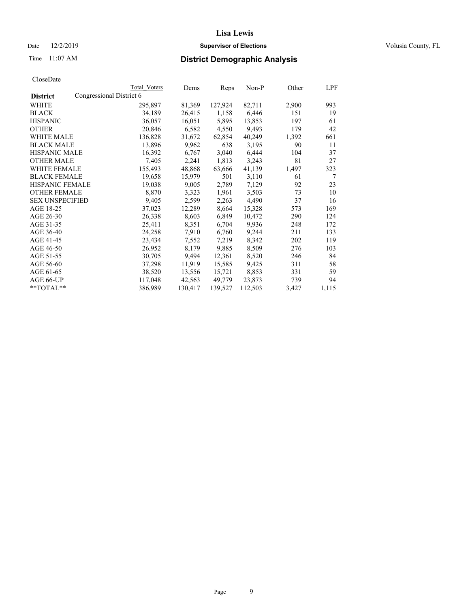Date 12/2/2019 **Supervisor of Elections Supervisor of Elections** Volusia County, FL

# Time 11:07 AM **District Demographic Analysis**

|                        |                          | Total Voters | Dems    | Reps    | Non-P   | Other | LPF   |
|------------------------|--------------------------|--------------|---------|---------|---------|-------|-------|
| <b>District</b>        | Congressional District 6 |              |         |         |         |       |       |
| WHITE                  |                          | 295,897      | 81,369  | 127,924 | 82,711  | 2,900 | 993   |
| <b>BLACK</b>           |                          | 34,189       | 26,415  | 1,158   | 6,446   | 151   | 19    |
| <b>HISPANIC</b>        |                          | 36,057       | 16,051  | 5,895   | 13,853  | 197   | 61    |
| <b>OTHER</b>           |                          | 20,846       | 6,582   | 4,550   | 9,493   | 179   | 42    |
| WHITE MALE             |                          | 136,828      | 31,672  | 62,854  | 40,249  | 1,392 | 661   |
| <b>BLACK MALE</b>      |                          | 13,896       | 9,962   | 638     | 3,195   | 90    | 11    |
| <b>HISPANIC MALE</b>   |                          | 16,392       | 6,767   | 3,040   | 6,444   | 104   | 37    |
| <b>OTHER MALE</b>      |                          | 7,405        | 2,241   | 1,813   | 3,243   | 81    | 27    |
| <b>WHITE FEMALE</b>    |                          | 155,493      | 48,868  | 63,666  | 41,139  | 1,497 | 323   |
| <b>BLACK FEMALE</b>    |                          | 19,658       | 15,979  | 501     | 3,110   | 61    | 7     |
| <b>HISPANIC FEMALE</b> |                          | 19,038       | 9,005   | 2,789   | 7,129   | 92    | 23    |
| <b>OTHER FEMALE</b>    |                          | 8,870        | 3,323   | 1,961   | 3,503   | 73    | 10    |
| <b>SEX UNSPECIFIED</b> |                          | 9,405        | 2,599   | 2,263   | 4,490   | 37    | 16    |
| AGE 18-25              |                          | 37,023       | 12,289  | 8,664   | 15,328  | 573   | 169   |
| AGE 26-30              |                          | 26,338       | 8,603   | 6,849   | 10,472  | 290   | 124   |
| AGE 31-35              |                          | 25,411       | 8,351   | 6,704   | 9,936   | 248   | 172   |
| AGE 36-40              |                          | 24,258       | 7,910   | 6,760   | 9,244   | 211   | 133   |
| AGE 41-45              |                          | 23,434       | 7,552   | 7,219   | 8,342   | 202   | 119   |
| AGE 46-50              |                          | 26,952       | 8,179   | 9,885   | 8,509   | 276   | 103   |
| AGE 51-55              |                          | 30,705       | 9,494   | 12,361  | 8,520   | 246   | 84    |
| AGE 56-60              |                          | 37,298       | 11,919  | 15,585  | 9,425   | 311   | 58    |
| AGE 61-65              |                          | 38,520       | 13,556  | 15,721  | 8,853   | 331   | 59    |
| AGE 66-UP              |                          | 117,048      | 42,563  | 49,779  | 23,873  | 739   | 94    |
| $*$ $TOTAL**$          |                          | 386,989      | 130,417 | 139,527 | 112,503 | 3,427 | 1,115 |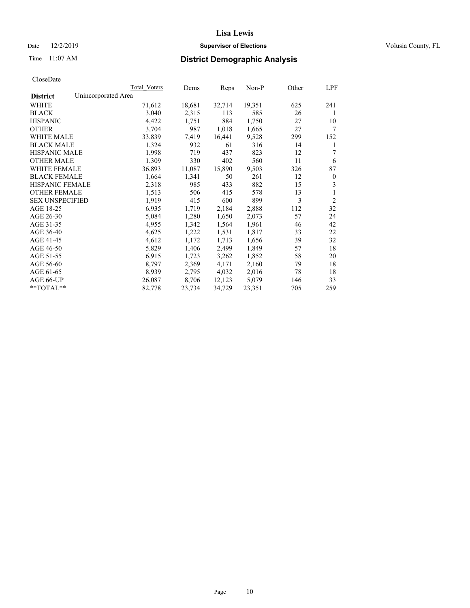## Date 12/2/2019 **Supervisor of Elections Supervisor of Elections** Volusia County, FL

# Time 11:07 AM **District Demographic Analysis**

|                                        | Total Voters | Dems   | Reps   | Non-P  | Other | LPF            |
|----------------------------------------|--------------|--------|--------|--------|-------|----------------|
| Unincorporated Area<br><b>District</b> |              |        |        |        |       |                |
| WHITE                                  | 71,612       | 18,681 | 32,714 | 19,351 | 625   | 241            |
| <b>BLACK</b>                           | 3,040        | 2,315  | 113    | 585    | 26    | 1              |
| <b>HISPANIC</b>                        | 4,422        | 1,751  | 884    | 1,750  | 27    | 10             |
| <b>OTHER</b>                           | 3,704        | 987    | 1,018  | 1,665  | 27    | 7              |
| WHITE MALE                             | 33,839       | 7,419  | 16,441 | 9,528  | 299   | 152            |
| <b>BLACK MALE</b>                      | 1,324        | 932    | 61     | 316    | 14    | 1              |
| <b>HISPANIC MALE</b>                   | 1,998        | 719    | 437    | 823    | 12    | 7              |
| <b>OTHER MALE</b>                      | 1,309        | 330    | 402    | 560    | 11    | 6              |
| WHITE FEMALE                           | 36,893       | 11,087 | 15,890 | 9,503  | 326   | 87             |
| <b>BLACK FEMALE</b>                    | 1,664        | 1,341  | 50     | 261    | 12    | $\mathbf{0}$   |
| <b>HISPANIC FEMALE</b>                 | 2,318        | 985    | 433    | 882    | 15    | 3              |
| <b>OTHER FEMALE</b>                    | 1,513        | 506    | 415    | 578    | 13    | 1              |
| <b>SEX UNSPECIFIED</b>                 | 1,919        | 415    | 600    | 899    | 3     | $\overline{2}$ |
| AGE 18-25                              | 6,935        | 1,719  | 2,184  | 2,888  | 112   | 32             |
| AGE 26-30                              | 5,084        | 1,280  | 1,650  | 2,073  | 57    | 24             |
| AGE 31-35                              | 4,955        | 1,342  | 1,564  | 1,961  | 46    | 42             |
| AGE 36-40                              | 4,625        | 1,222  | 1,531  | 1,817  | 33    | 22             |
| AGE 41-45                              | 4,612        | 1,172  | 1,713  | 1,656  | 39    | 32             |
| AGE 46-50                              | 5,829        | 1,406  | 2,499  | 1,849  | 57    | 18             |
| AGE 51-55                              | 6,915        | 1,723  | 3,262  | 1,852  | 58    | 20             |
| AGE 56-60                              | 8,797        | 2,369  | 4,171  | 2,160  | 79    | 18             |
| AGE 61-65                              | 8,939        | 2,795  | 4,032  | 2,016  | 78    | 18             |
| AGE 66-UP                              | 26,087       | 8,706  | 12,123 | 5,079  | 146   | 33             |
| $*$ $TOTAL**$                          | 82,778       | 23,734 | 34,729 | 23,351 | 705   | 259            |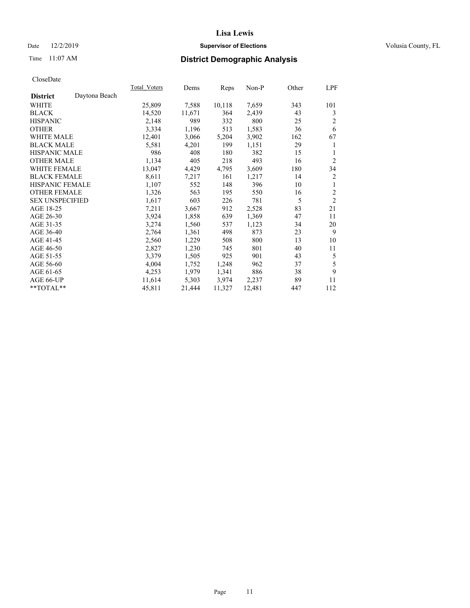## Date 12/2/2019 **Supervisor of Elections Supervisor of Elections** Volusia County, FL

# Time 11:07 AM **District Demographic Analysis**

|                        |               | Total Voters | Dems   | Reps   | $Non-P$ | Other | LPF            |
|------------------------|---------------|--------------|--------|--------|---------|-------|----------------|
| <b>District</b>        | Daytona Beach |              |        |        |         |       |                |
| WHITE                  |               | 25,809       | 7,588  | 10,118 | 7,659   | 343   | 101            |
| <b>BLACK</b>           |               | 14,520       | 11,671 | 364    | 2,439   | 43    | 3              |
| <b>HISPANIC</b>        |               | 2,148        | 989    | 332    | 800     | 25    | $\overline{2}$ |
| <b>OTHER</b>           |               | 3,334        | 1,196  | 513    | 1,583   | 36    | 6              |
| <b>WHITE MALE</b>      |               | 12,401       | 3,066  | 5,204  | 3,902   | 162   | 67             |
| <b>BLACK MALE</b>      |               | 5,581        | 4,201  | 199    | 1,151   | 29    | 1              |
| <b>HISPANIC MALE</b>   |               | 986          | 408    | 180    | 382     | 15    | 1              |
| <b>OTHER MALE</b>      |               | 1,134        | 405    | 218    | 493     | 16    | $\overline{2}$ |
| WHITE FEMALE           |               | 13,047       | 4,429  | 4,795  | 3,609   | 180   | 34             |
| <b>BLACK FEMALE</b>    |               | 8,611        | 7,217  | 161    | 1,217   | 14    | 2              |
| HISPANIC FEMALE        |               | 1,107        | 552    | 148    | 396     | 10    | 1              |
| <b>OTHER FEMALE</b>    |               | 1,326        | 563    | 195    | 550     | 16    | $\overline{2}$ |
| <b>SEX UNSPECIFIED</b> |               | 1,617        | 603    | 226    | 781     | 5     | $\overline{2}$ |
| AGE 18-25              |               | 7,211        | 3,667  | 912    | 2,528   | 83    | 21             |
| AGE 26-30              |               | 3,924        | 1,858  | 639    | 1,369   | 47    | 11             |
| AGE 31-35              |               | 3,274        | 1,560  | 537    | 1,123   | 34    | 20             |
| AGE 36-40              |               | 2,764        | 1,361  | 498    | 873     | 23    | 9              |
| AGE 41-45              |               | 2,560        | 1,229  | 508    | 800     | 13    | 10             |
| AGE 46-50              |               | 2,827        | 1,230  | 745    | 801     | 40    | 11             |
| AGE 51-55              |               | 3,379        | 1,505  | 925    | 901     | 43    | 5              |
| AGE 56-60              |               | 4,004        | 1,752  | 1,248  | 962     | 37    | 5              |
| AGE 61-65              |               | 4,253        | 1,979  | 1,341  | 886     | 38    | 9              |
| AGE 66-UP              |               | 11,614       | 5,303  | 3,974  | 2,237   | 89    | 11             |
| **TOTAL**              |               | 45,811       | 21,444 | 11,327 | 12,481  | 447   | 112            |
|                        |               |              |        |        |         |       |                |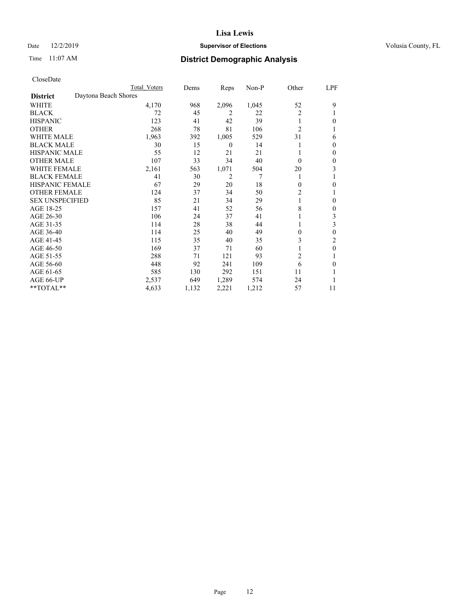## Date 12/2/2019 **Supervisor of Elections Supervisor of Elections** Volusia County, FL

# Time 11:07 AM **District Demographic Analysis**

|                        |                      | Total Voters | Dems  | Reps             | Non-P | Other          | LPF          |
|------------------------|----------------------|--------------|-------|------------------|-------|----------------|--------------|
| <b>District</b>        | Daytona Beach Shores |              |       |                  |       |                |              |
| WHITE                  |                      | 4,170        | 968   | 2,096            | 1,045 | 52             | 9            |
| <b>BLACK</b>           |                      | 72           | 45    | 2                | 22    | $\overline{2}$ |              |
| <b>HISPANIC</b>        |                      | 123          | 41    | 42               | 39    | 1              | 0            |
| <b>OTHER</b>           |                      | 268          | 78    | 81               | 106   | $\overline{2}$ |              |
| <b>WHITE MALE</b>      |                      | 1,963        | 392   | 1,005            | 529   | 31             | 6            |
| <b>BLACK MALE</b>      |                      | 30           | 15    | $\boldsymbol{0}$ | 14    |                | $\Omega$     |
| <b>HISPANIC MALE</b>   |                      | 55           | 12    | 21               | 21    |                | $\mathbf{0}$ |
| <b>OTHER MALE</b>      |                      | 107          | 33    | 34               | 40    | $\theta$       | $\mathbf{0}$ |
| WHITE FEMALE           |                      | 2,161        | 563   | 1,071            | 504   | 20             | 3            |
| <b>BLACK FEMALE</b>    |                      | 41           | 30    | $\overline{2}$   | 7     |                |              |
| <b>HISPANIC FEMALE</b> |                      | 67           | 29    | 20               | 18    | $\theta$       | 0            |
| <b>OTHER FEMALE</b>    |                      | 124          | 37    | 34               | 50    | 2              |              |
| <b>SEX UNSPECIFIED</b> |                      | 85           | 21    | 34               | 29    |                | $\theta$     |
| AGE 18-25              |                      | 157          | 41    | 52               | 56    | 8              | $\mathbf{0}$ |
| AGE 26-30              |                      | 106          | 24    | 37               | 41    |                | 3            |
| AGE 31-35              |                      | 114          | 28    | 38               | 44    |                | 3            |
| AGE 36-40              |                      | 114          | 25    | 40               | 49    | 0              | $\theta$     |
| AGE 41-45              |                      | 115          | 35    | 40               | 35    | 3              | 2            |
| AGE 46-50              |                      | 169          | 37    | 71               | 60    |                | $\theta$     |
| AGE 51-55              |                      | 288          | 71    | 121              | 93    | $\overline{2}$ |              |
| AGE 56-60              |                      | 448          | 92    | 241              | 109   | 6              | 0            |
| AGE 61-65              |                      | 585          | 130   | 292              | 151   | 11             |              |
| AGE 66-UP              |                      | 2,537        | 649   | 1,289            | 574   | 24             |              |
| **TOTAL**              |                      | 4,633        | 1,132 | 2,221            | 1,212 | 57             | 11           |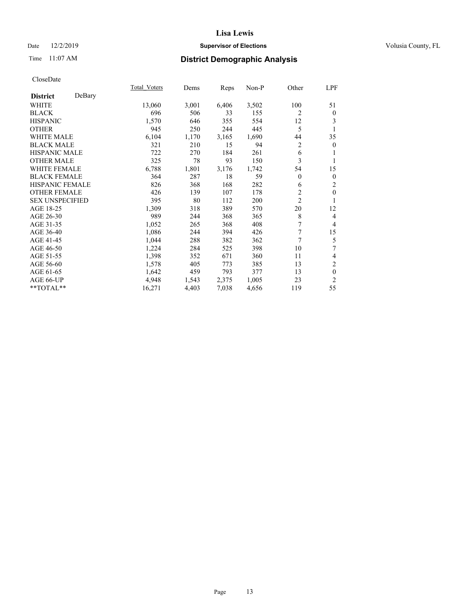## Date 12/2/2019 **Supervisor of Elections Supervisor of Elections** Volusia County, FL

# Time 11:07 AM **District Demographic Analysis**

|                        |        | Total Voters | Dems  | Reps  | Non-P | Other          | LPF              |
|------------------------|--------|--------------|-------|-------|-------|----------------|------------------|
| <b>District</b>        | DeBary |              |       |       |       |                |                  |
| WHITE                  |        | 13,060       | 3,001 | 6,406 | 3,502 | 100            | 51               |
| <b>BLACK</b>           |        | 696          | 506   | 33    | 155   | 2              | $\boldsymbol{0}$ |
| <b>HISPANIC</b>        |        | 1,570        | 646   | 355   | 554   | 12             | 3                |
| <b>OTHER</b>           |        | 945          | 250   | 244   | 445   | 5              | 1                |
| WHITE MALE             |        | 6,104        | 1,170 | 3,165 | 1,690 | 44             | 35               |
| <b>BLACK MALE</b>      |        | 321          | 210   | 15    | 94    | 2              | $\theta$         |
| <b>HISPANIC MALE</b>   |        | 722          | 270   | 184   | 261   | 6              | 1                |
| <b>OTHER MALE</b>      |        | 325          | 78    | 93    | 150   | 3              | 1                |
| <b>WHITE FEMALE</b>    |        | 6,788        | 1,801 | 3,176 | 1,742 | 54             | 15               |
| <b>BLACK FEMALE</b>    |        | 364          | 287   | 18    | 59    | $\overline{0}$ | $\boldsymbol{0}$ |
| <b>HISPANIC FEMALE</b> |        | 826          | 368   | 168   | 282   | 6              | $\mathfrak{2}$   |
| <b>OTHER FEMALE</b>    |        | 426          | 139   | 107   | 178   | $\overline{c}$ | $\mathbf{0}$     |
| <b>SEX UNSPECIFIED</b> |        | 395          | 80    | 112   | 200   | $\overline{c}$ | 1                |
| AGE 18-25              |        | 1,309        | 318   | 389   | 570   | 20             | 12               |
| AGE 26-30              |        | 989          | 244   | 368   | 365   | 8              | $\overline{4}$   |
| AGE 31-35              |        | 1,052        | 265   | 368   | 408   | 7              | $\overline{4}$   |
| AGE 36-40              |        | 1,086        | 244   | 394   | 426   | 7              | 15               |
| AGE 41-45              |        | 1,044        | 288   | 382   | 362   | 7              | 5                |
| AGE 46-50              |        | 1,224        | 284   | 525   | 398   | 10             | 7                |
| AGE 51-55              |        | 1,398        | 352   | 671   | 360   | 11             | 4                |
| AGE 56-60              |        | 1,578        | 405   | 773   | 385   | 13             | $\mathbf{2}$     |
| AGE 61-65              |        | 1,642        | 459   | 793   | 377   | 13             | $\mathbf{0}$     |
| AGE 66-UP              |        | 4,948        | 1,543 | 2,375 | 1,005 | 23             | $\overline{2}$   |
| **TOTAL**              |        | 16,271       | 4,403 | 7,038 | 4,656 | 119            | 55               |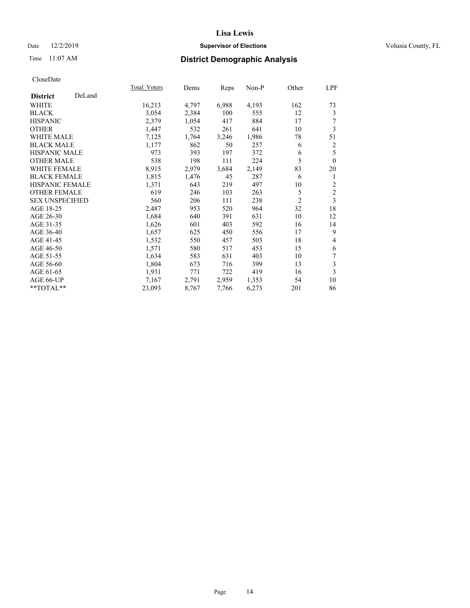## Date 12/2/2019 **Supervisor of Elections Supervisor of Elections** Volusia County, FL

# Time 11:07 AM **District Demographic Analysis**

|                        |        | Total Voters | Dems  | Reps  | Non-P | Other          | LPF            |
|------------------------|--------|--------------|-------|-------|-------|----------------|----------------|
| <b>District</b>        | DeLand |              |       |       |       |                |                |
| WHITE                  |        | 16,213       | 4,797 | 6,988 | 4,193 | 162            | 73             |
| <b>BLACK</b>           |        | 3,054        | 2,384 | 100   | 555   | 12             | 3              |
| <b>HISPANIC</b>        |        | 2,379        | 1,054 | 417   | 884   | 17             | 7              |
| <b>OTHER</b>           |        | 1,447        | 532   | 261   | 641   | 10             | 3              |
| WHITE MALE             |        | 7,125        | 1,764 | 3,246 | 1,986 | 78             | 51             |
| <b>BLACK MALE</b>      |        | 1,177        | 862   | 50    | 257   | 6              | $\overline{c}$ |
| <b>HISPANIC MALE</b>   |        | 973          | 393   | 197   | 372   | 6              | 5              |
| <b>OTHER MALE</b>      |        | 538          | 198   | 111   | 224   | 5              | $\theta$       |
| <b>WHITE FEMALE</b>    |        | 8,915        | 2,979 | 3,684 | 2,149 | 83             | 20             |
| <b>BLACK FEMALE</b>    |        | 1,815        | 1,476 | 45    | 287   | 6              | 1              |
| <b>HISPANIC FEMALE</b> |        | 1,371        | 643   | 219   | 497   | 10             | 2              |
| <b>OTHER FEMALE</b>    |        | 619          | 246   | 103   | 263   | 5              | $\mathfrak{2}$ |
| <b>SEX UNSPECIFIED</b> |        | 560          | 206   | 111   | 238   | $\overline{2}$ | 3              |
| AGE 18-25              |        | 2,487        | 953   | 520   | 964   | 32             | 18             |
| AGE 26-30              |        | 1,684        | 640   | 391   | 631   | 10             | 12             |
| AGE 31-35              |        | 1,626        | 601   | 403   | 592   | 16             | 14             |
| AGE 36-40              |        | 1,657        | 625   | 450   | 556   | 17             | 9              |
| AGE 41-45              |        | 1,532        | 550   | 457   | 503   | 18             | $\overline{4}$ |
| AGE 46-50              |        | 1,571        | 580   | 517   | 453   | 15             | 6              |
| AGE 51-55              |        | 1,634        | 583   | 631   | 403   | 10             | 7              |
| AGE 56-60              |        | 1,804        | 673   | 716   | 399   | 13             | 3              |
| AGE 61-65              |        | 1,931        | 771   | 722   | 419   | 16             | 3              |
| AGE 66-UP              |        | 7,167        | 2,791 | 2,959 | 1,353 | 54             | 10             |
| **TOTAL**              |        | 23,093       | 8,767 | 7,766 | 6,273 | 201            | 86             |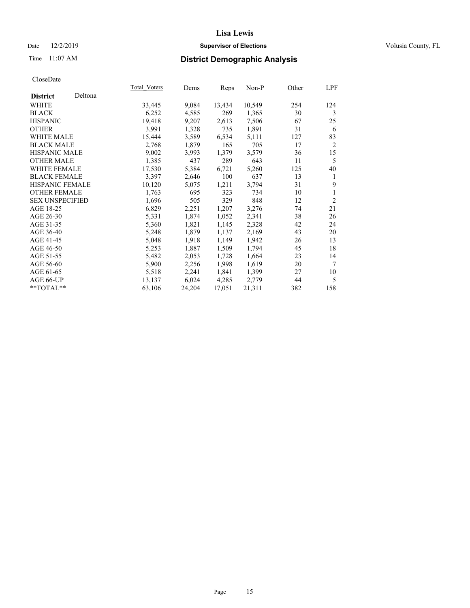## Date 12/2/2019 **Supervisor of Elections Supervisor of Elections** Volusia County, FL

# Time 11:07 AM **District Demographic Analysis**

|                        |         | Total Voters | Dems   | Reps   | Non-P  | Other | LPF            |
|------------------------|---------|--------------|--------|--------|--------|-------|----------------|
| <b>District</b>        | Deltona |              |        |        |        |       |                |
| WHITE                  |         | 33,445       | 9,084  | 13,434 | 10,549 | 254   | 124            |
| <b>BLACK</b>           |         | 6,252        | 4,585  | 269    | 1,365  | 30    | 3              |
| <b>HISPANIC</b>        |         | 19,418       | 9,207  | 2,613  | 7,506  | 67    | 25             |
| <b>OTHER</b>           |         | 3,991        | 1,328  | 735    | 1,891  | 31    | 6              |
| WHITE MALE             |         | 15,444       | 3,589  | 6,534  | 5,111  | 127   | 83             |
| <b>BLACK MALE</b>      |         | 2,768        | 1,879  | 165    | 705    | 17    | $\overline{2}$ |
| <b>HISPANIC MALE</b>   |         | 9,002        | 3,993  | 1,379  | 3,579  | 36    | 15             |
| <b>OTHER MALE</b>      |         | 1,385        | 437    | 289    | 643    | 11    | 5              |
| <b>WHITE FEMALE</b>    |         | 17,530       | 5,384  | 6,721  | 5,260  | 125   | 40             |
| <b>BLACK FEMALE</b>    |         | 3,397        | 2,646  | 100    | 637    | 13    | 1              |
| HISPANIC FEMALE        |         | 10,120       | 5,075  | 1,211  | 3,794  | 31    | 9              |
| <b>OTHER FEMALE</b>    |         | 1,763        | 695    | 323    | 734    | 10    | 1              |
| <b>SEX UNSPECIFIED</b> |         | 1,696        | 505    | 329    | 848    | 12    | $\overline{2}$ |
| AGE 18-25              |         | 6,829        | 2,251  | 1,207  | 3,276  | 74    | 21             |
| AGE 26-30              |         | 5,331        | 1,874  | 1,052  | 2,341  | 38    | 26             |
| AGE 31-35              |         | 5,360        | 1,821  | 1,145  | 2,328  | 42    | 24             |
| AGE 36-40              |         | 5,248        | 1,879  | 1,137  | 2,169  | 43    | 20             |
| AGE 41-45              |         | 5,048        | 1,918  | 1,149  | 1,942  | 26    | 13             |
| AGE 46-50              |         | 5,253        | 1,887  | 1,509  | 1,794  | 45    | 18             |
| AGE 51-55              |         | 5,482        | 2,053  | 1,728  | 1,664  | 23    | 14             |
| AGE 56-60              |         | 5,900        | 2,256  | 1,998  | 1,619  | 20    | $\tau$         |
| AGE 61-65              |         | 5,518        | 2,241  | 1,841  | 1,399  | 27    | 10             |
| AGE 66-UP              |         | 13,137       | 6,024  | 4,285  | 2,779  | 44    | 5              |
| $*$ $TOTAL**$          |         | 63,106       | 24,204 | 17,051 | 21,311 | 382   | 158            |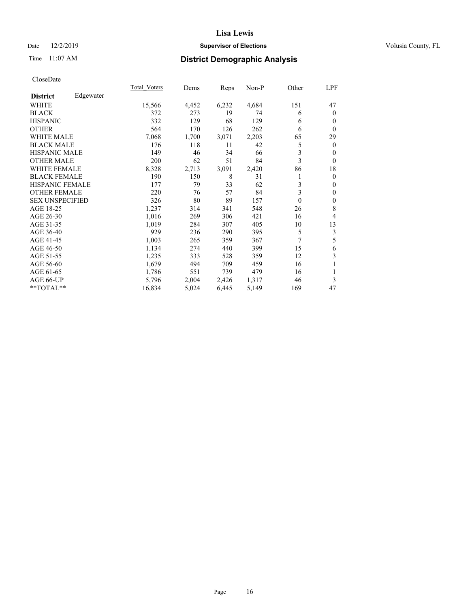## Date 12/2/2019 **Supervisor of Elections Supervisor of Elections** Volusia County, FL

# Time 11:07 AM **District Demographic Analysis**

|                        |           | Total Voters | Dems  | Reps  | Non-P | Other    | LPF              |
|------------------------|-----------|--------------|-------|-------|-------|----------|------------------|
| <b>District</b>        | Edgewater |              |       |       |       |          |                  |
| WHITE                  |           | 15,566       | 4,452 | 6,232 | 4,684 | 151      | 47               |
| <b>BLACK</b>           |           | 372          | 273   | 19    | 74    | 6        | $\mathbf{0}$     |
| <b>HISPANIC</b>        |           | 332          | 129   | 68    | 129   | 6        | $\theta$         |
| <b>OTHER</b>           |           | 564          | 170   | 126   | 262   | 6        | $\theta$         |
| <b>WHITE MALE</b>      |           | 7,068        | 1,700 | 3,071 | 2,203 | 65       | 29               |
| <b>BLACK MALE</b>      |           | 176          | 118   | 11    | 42    | 5        | $\overline{0}$   |
| <b>HISPANIC MALE</b>   |           | 149          | 46    | 34    | 66    | 3        | $\mathbf{0}$     |
| <b>OTHER MALE</b>      |           | 200          | 62    | 51    | 84    | 3        | $\mathbf{0}$     |
| <b>WHITE FEMALE</b>    |           | 8,328        | 2,713 | 3,091 | 2,420 | 86       | 18               |
| <b>BLACK FEMALE</b>    |           | 190          | 150   | 8     | 31    | 1        | $\boldsymbol{0}$ |
| HISPANIC FEMALE        |           | 177          | 79    | 33    | 62    | 3        | $\mathbf{0}$     |
| <b>OTHER FEMALE</b>    |           | 220          | 76    | 57    | 84    | 3        | $\mathbf{0}$     |
| <b>SEX UNSPECIFIED</b> |           | 326          | 80    | 89    | 157   | $\theta$ | $\mathbf{0}$     |
| AGE 18-25              |           | 1,237        | 314   | 341   | 548   | 26       | 8                |
| AGE 26-30              |           | 1,016        | 269   | 306   | 421   | 16       | 4                |
| AGE 31-35              |           | 1,019        | 284   | 307   | 405   | 10       | 13               |
| AGE 36-40              |           | 929          | 236   | 290   | 395   | 5        | 3                |
| AGE 41-45              |           | 1,003        | 265   | 359   | 367   | 7        | 5                |
| AGE 46-50              |           | 1,134        | 274   | 440   | 399   | 15       | 6                |
| AGE 51-55              |           | 1,235        | 333   | 528   | 359   | 12       | 3                |
| AGE 56-60              |           | 1,679        | 494   | 709   | 459   | 16       | 1                |
| AGE 61-65              |           | 1,786        | 551   | 739   | 479   | 16       | 1                |
| AGE 66-UP              |           | 5,796        | 2,004 | 2,426 | 1,317 | 46       | 3                |
| **TOTAL**              |           | 16,834       | 5,024 | 6,445 | 5,149 | 169      | 47               |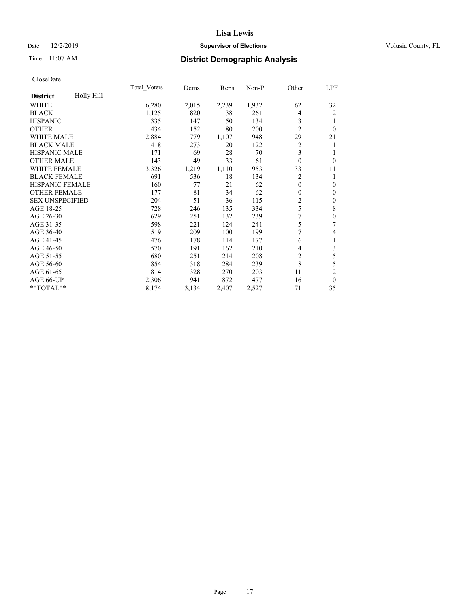## Date 12/2/2019 **Supervisor of Elections Supervisor of Elections** Volusia County, FL

# Time 11:07 AM **District Demographic Analysis**

|                        |            | Total Voters | Dems  | Reps  | Non-P | Other          | LPF              |
|------------------------|------------|--------------|-------|-------|-------|----------------|------------------|
| <b>District</b>        | Holly Hill |              |       |       |       |                |                  |
| WHITE                  |            | 6,280        | 2,015 | 2,239 | 1,932 | 62             | 32               |
| <b>BLACK</b>           |            | 1,125        | 820   | 38    | 261   | 4              | 2                |
| <b>HISPANIC</b>        |            | 335          | 147   | 50    | 134   | 3              |                  |
| <b>OTHER</b>           |            | 434          | 152   | 80    | 200   | $\overline{2}$ | $\Omega$         |
| <b>WHITE MALE</b>      |            | 2,884        | 779   | 1,107 | 948   | 29             | 21               |
| <b>BLACK MALE</b>      |            | 418          | 273   | 20    | 122   | $\overline{2}$ | 1                |
| <b>HISPANIC MALE</b>   |            | 171          | 69    | 28    | 70    | 3              | 1                |
| <b>OTHER MALE</b>      |            | 143          | 49    | 33    | 61    | $\mathbf{0}$   | $\mathbf{0}$     |
| <b>WHITE FEMALE</b>    |            | 3,326        | 1,219 | 1,110 | 953   | 33             | 11               |
| <b>BLACK FEMALE</b>    |            | 691          | 536   | 18    | 134   | 2              | 1                |
| <b>HISPANIC FEMALE</b> |            | 160          | 77    | 21    | 62    | $\mathbf{0}$   | $\mathbf{0}$     |
| <b>OTHER FEMALE</b>    |            | 177          | 81    | 34    | 62    | $\mathbf{0}$   | $\theta$         |
| <b>SEX UNSPECIFIED</b> |            | 204          | 51    | 36    | 115   | 2              | $\theta$         |
| AGE 18-25              |            | 728          | 246   | 135   | 334   | 5              | $\,$ 8 $\,$      |
| AGE 26-30              |            | 629          | 251   | 132   | 239   | 7              | $\boldsymbol{0}$ |
| AGE 31-35              |            | 598          | 221   | 124   | 241   | 5              | 7                |
| AGE 36-40              |            | 519          | 209   | 100   | 199   | 7              | 4                |
| AGE 41-45              |            | 476          | 178   | 114   | 177   | 6              | 1                |
| AGE 46-50              |            | 570          | 191   | 162   | 210   | 4              | 3                |
| AGE 51-55              |            | 680          | 251   | 214   | 208   | $\overline{2}$ | 5                |
| AGE 56-60              |            | 854          | 318   | 284   | 239   | 8              | 5                |
| AGE 61-65              |            | 814          | 328   | 270   | 203   | 11             | $\mathfrak{2}$   |
| AGE 66-UP              |            | 2,306        | 941   | 872   | 477   | 16             | $\theta$         |
| **TOTAL**              |            | 8,174        | 3,134 | 2,407 | 2,527 | 71             | 35               |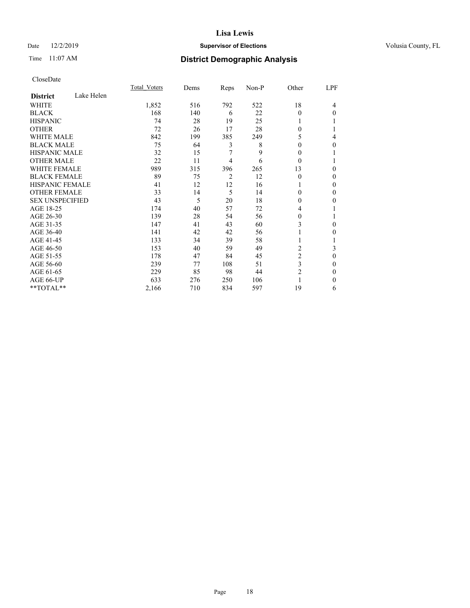## Date 12/2/2019 **Supervisor of Elections Supervisor of Elections** Volusia County, FL

# Time 11:07 AM **District Demographic Analysis**

|                        |            | Total Voters | Dems | Reps | Non-P | Other    | LPF |
|------------------------|------------|--------------|------|------|-------|----------|-----|
| <b>District</b>        | Lake Helen |              |      |      |       |          |     |
| WHITE                  |            | 1,852        | 516  | 792  | 522   | 18       | 4   |
| <b>BLACK</b>           |            | 168          | 140  | 6    | 22    | $\Omega$ | 0   |
| <b>HISPANIC</b>        |            | 74           | 28   | 19   | 25    | 1        |     |
| <b>OTHER</b>           |            | 72           | 26   | 17   | 28    | 0        |     |
| <b>WHITE MALE</b>      |            | 842          | 199  | 385  | 249   | 5        | 4   |
| <b>BLACK MALE</b>      |            | 75           | 64   | 3    | 8     | 0        | 0   |
| <b>HISPANIC MALE</b>   |            | 32           | 15   | 7    | 9     | 0        |     |
| <b>OTHER MALE</b>      |            | 22           | 11   | 4    | 6     | $\Omega$ |     |
| <b>WHITE FEMALE</b>    |            | 989          | 315  | 396  | 265   | 13       | 0   |
| <b>BLACK FEMALE</b>    |            | 89           | 75   | 2    | 12    | $\theta$ | 0   |
| <b>HISPANIC FEMALE</b> |            | 41           | 12   | 12   | 16    |          | 0   |
| <b>OTHER FEMALE</b>    |            | 33           | 14   | 5    | 14    | 0        | 0   |
| <b>SEX UNSPECIFIED</b> |            | 43           | 5    | 20   | 18    | 0        | 0   |
| AGE 18-25              |            | 174          | 40   | 57   | 72    | 4        |     |
| AGE 26-30              |            | 139          | 28   | 54   | 56    | 0        |     |
| AGE 31-35              |            | 147          | 41   | 43   | 60    | 3        | 0   |
| AGE 36-40              |            | 141          | 42   | 42   | 56    |          | 0   |
| AGE 41-45              |            | 133          | 34   | 39   | 58    | 1        |     |
| AGE 46-50              |            | 153          | 40   | 59   | 49    | 2        | 3   |
| AGE 51-55              |            | 178          | 47   | 84   | 45    | 2        | 0   |
| AGE 56-60              |            | 239          | 77   | 108  | 51    | 3        | 0   |
| AGE 61-65              |            | 229          | 85   | 98   | 44    | 2        | 0   |
| AGE 66-UP              |            | 633          | 276  | 250  | 106   |          | 0   |
| **TOTAL**              |            | 2,166        | 710  | 834  | 597   | 19       | 6   |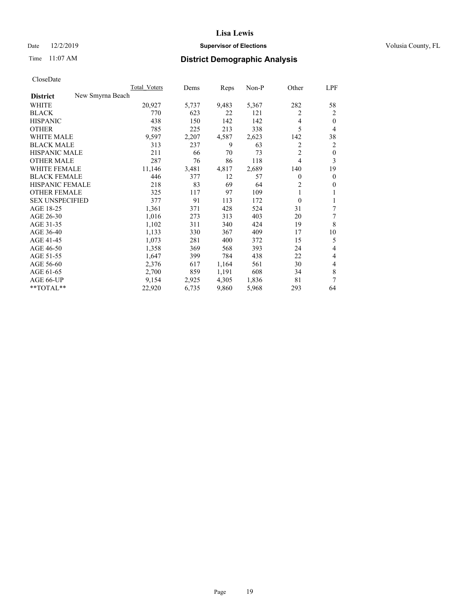## Date 12/2/2019 **Supervisor of Elections Supervisor of Elections** Volusia County, FL

# Time 11:07 AM **District Demographic Analysis**

| New Smyrna Beach<br><b>District</b><br>5,367<br>282<br>WHITE<br>20,927<br>5,737<br>9,483<br><b>BLACK</b><br>770<br>623<br>22<br>121<br>2<br>142<br>142<br><b>HISPANIC</b><br>438<br>150<br>4<br>5<br>785<br><b>OTHER</b><br>225<br>213<br>338<br><b>WHITE MALE</b><br>9,597<br>2,623<br>2,207<br>4,587<br>142<br><b>BLACK MALE</b><br>313<br>237<br>9<br>2<br>63<br>$\overline{2}$<br><b>HISPANIC MALE</b><br>211<br>73<br>66<br>70<br>287<br>4<br><b>OTHER MALE</b><br>86<br>118<br>76<br>WHITE FEMALE<br>11,146<br>2,689<br>3,481<br>4,817<br>140<br><b>BLACK FEMALE</b><br>446<br>12<br>57<br>377<br>0<br>2<br>HISPANIC FEMALE<br>218<br>83<br>69<br>64<br><b>OTHER FEMALE</b><br>117<br>97<br>1<br>325<br>109<br><b>SEX UNSPECIFIED</b><br>91<br>$\theta$<br>377<br>113<br>172<br>AGE 18-25<br>1,361<br>428<br>31<br>371<br>524<br>AGE 26-30<br>1,016<br>403<br>20<br>273<br>313<br>19<br>AGE 31-35<br>1,102<br>311<br>340<br>424<br>AGE 36-40<br>330<br>409<br>1,133<br>367<br>17<br>AGE 41-45<br>1,073<br>281<br>400<br>372<br>15<br>AGE 46-50<br>1,358<br>369<br>568<br>393<br>24<br>AGE 51-55<br>1,647<br>399<br>784<br>438<br>22<br>2,376<br>30<br>AGE 56-60<br>617<br>1,164<br>561<br>AGE 61-65<br>2,700<br>859<br>1,191<br>608<br>34 | Total Voters | Dems | Reps | $Non-P$ | Other | LPF          |
|-------------------------------------------------------------------------------------------------------------------------------------------------------------------------------------------------------------------------------------------------------------------------------------------------------------------------------------------------------------------------------------------------------------------------------------------------------------------------------------------------------------------------------------------------------------------------------------------------------------------------------------------------------------------------------------------------------------------------------------------------------------------------------------------------------------------------------------------------------------------------------------------------------------------------------------------------------------------------------------------------------------------------------------------------------------------------------------------------------------------------------------------------------------------------------------------------------------------------------------------------|--------------|------|------|---------|-------|--------------|
|                                                                                                                                                                                                                                                                                                                                                                                                                                                                                                                                                                                                                                                                                                                                                                                                                                                                                                                                                                                                                                                                                                                                                                                                                                                 |              |      |      |         |       |              |
|                                                                                                                                                                                                                                                                                                                                                                                                                                                                                                                                                                                                                                                                                                                                                                                                                                                                                                                                                                                                                                                                                                                                                                                                                                                 |              |      |      |         |       | 58           |
|                                                                                                                                                                                                                                                                                                                                                                                                                                                                                                                                                                                                                                                                                                                                                                                                                                                                                                                                                                                                                                                                                                                                                                                                                                                 |              |      |      |         |       | 2            |
|                                                                                                                                                                                                                                                                                                                                                                                                                                                                                                                                                                                                                                                                                                                                                                                                                                                                                                                                                                                                                                                                                                                                                                                                                                                 |              |      |      |         |       | $\theta$     |
|                                                                                                                                                                                                                                                                                                                                                                                                                                                                                                                                                                                                                                                                                                                                                                                                                                                                                                                                                                                                                                                                                                                                                                                                                                                 |              |      |      |         |       | 4            |
|                                                                                                                                                                                                                                                                                                                                                                                                                                                                                                                                                                                                                                                                                                                                                                                                                                                                                                                                                                                                                                                                                                                                                                                                                                                 |              |      |      |         |       | 38           |
|                                                                                                                                                                                                                                                                                                                                                                                                                                                                                                                                                                                                                                                                                                                                                                                                                                                                                                                                                                                                                                                                                                                                                                                                                                                 |              |      |      |         |       | 2            |
|                                                                                                                                                                                                                                                                                                                                                                                                                                                                                                                                                                                                                                                                                                                                                                                                                                                                                                                                                                                                                                                                                                                                                                                                                                                 |              |      |      |         |       | $\mathbf{0}$ |
|                                                                                                                                                                                                                                                                                                                                                                                                                                                                                                                                                                                                                                                                                                                                                                                                                                                                                                                                                                                                                                                                                                                                                                                                                                                 |              |      |      |         |       | 3            |
|                                                                                                                                                                                                                                                                                                                                                                                                                                                                                                                                                                                                                                                                                                                                                                                                                                                                                                                                                                                                                                                                                                                                                                                                                                                 |              |      |      |         |       | 19           |
|                                                                                                                                                                                                                                                                                                                                                                                                                                                                                                                                                                                                                                                                                                                                                                                                                                                                                                                                                                                                                                                                                                                                                                                                                                                 |              |      |      |         |       | $\mathbf{0}$ |
|                                                                                                                                                                                                                                                                                                                                                                                                                                                                                                                                                                                                                                                                                                                                                                                                                                                                                                                                                                                                                                                                                                                                                                                                                                                 |              |      |      |         |       | $\mathbf{0}$ |
|                                                                                                                                                                                                                                                                                                                                                                                                                                                                                                                                                                                                                                                                                                                                                                                                                                                                                                                                                                                                                                                                                                                                                                                                                                                 |              |      |      |         |       | 1            |
|                                                                                                                                                                                                                                                                                                                                                                                                                                                                                                                                                                                                                                                                                                                                                                                                                                                                                                                                                                                                                                                                                                                                                                                                                                                 |              |      |      |         |       | 1            |
|                                                                                                                                                                                                                                                                                                                                                                                                                                                                                                                                                                                                                                                                                                                                                                                                                                                                                                                                                                                                                                                                                                                                                                                                                                                 |              |      |      |         |       | 7            |
|                                                                                                                                                                                                                                                                                                                                                                                                                                                                                                                                                                                                                                                                                                                                                                                                                                                                                                                                                                                                                                                                                                                                                                                                                                                 |              |      |      |         |       | 7            |
|                                                                                                                                                                                                                                                                                                                                                                                                                                                                                                                                                                                                                                                                                                                                                                                                                                                                                                                                                                                                                                                                                                                                                                                                                                                 |              |      |      |         |       | 8            |
|                                                                                                                                                                                                                                                                                                                                                                                                                                                                                                                                                                                                                                                                                                                                                                                                                                                                                                                                                                                                                                                                                                                                                                                                                                                 |              |      |      |         |       | 10           |
|                                                                                                                                                                                                                                                                                                                                                                                                                                                                                                                                                                                                                                                                                                                                                                                                                                                                                                                                                                                                                                                                                                                                                                                                                                                 |              |      |      |         |       | 5            |
|                                                                                                                                                                                                                                                                                                                                                                                                                                                                                                                                                                                                                                                                                                                                                                                                                                                                                                                                                                                                                                                                                                                                                                                                                                                 |              |      |      |         |       | 4            |
|                                                                                                                                                                                                                                                                                                                                                                                                                                                                                                                                                                                                                                                                                                                                                                                                                                                                                                                                                                                                                                                                                                                                                                                                                                                 |              |      |      |         |       | 4            |
|                                                                                                                                                                                                                                                                                                                                                                                                                                                                                                                                                                                                                                                                                                                                                                                                                                                                                                                                                                                                                                                                                                                                                                                                                                                 |              |      |      |         |       | 4            |
|                                                                                                                                                                                                                                                                                                                                                                                                                                                                                                                                                                                                                                                                                                                                                                                                                                                                                                                                                                                                                                                                                                                                                                                                                                                 |              |      |      |         |       | 8            |
| 4,305<br>AGE 66-UP<br>9,154<br>2,925<br>1,836<br>81                                                                                                                                                                                                                                                                                                                                                                                                                                                                                                                                                                                                                                                                                                                                                                                                                                                                                                                                                                                                                                                                                                                                                                                             |              |      |      |         |       | 7            |
| **TOTAL**<br>22,920<br>6,735<br>9,860<br>5,968<br>293                                                                                                                                                                                                                                                                                                                                                                                                                                                                                                                                                                                                                                                                                                                                                                                                                                                                                                                                                                                                                                                                                                                                                                                           |              |      |      |         |       | 64           |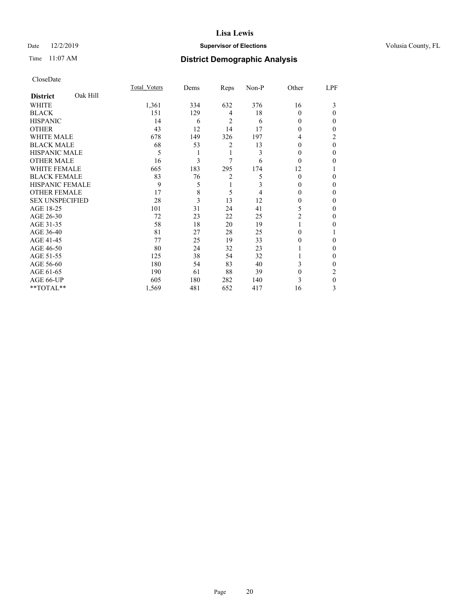## Date 12/2/2019 **Supervisor of Elections Supervisor of Elections** Volusia County, FL

# Time 11:07 AM **District Demographic Analysis**

|                        |          | Total Voters | Dems | Reps | Non-P | Other    | LPF      |
|------------------------|----------|--------------|------|------|-------|----------|----------|
| <b>District</b>        | Oak Hill |              |      |      |       |          |          |
| WHITE                  |          | 1,361        | 334  | 632  | 376   | 16       | 3        |
| <b>BLACK</b>           |          | 151          | 129  | 4    | 18    | 0        | 0        |
| <b>HISPANIC</b>        |          | 14           | 6    | 2    | 6     | $\theta$ | 0        |
| <b>OTHER</b>           |          | 43           | 12   | 14   | 17    | $\Omega$ | 0        |
| WHITE MALE             |          | 678          | 149  | 326  | 197   | 4        | 2        |
| <b>BLACK MALE</b>      |          | 68           | 53   | 2    | 13    | $\theta$ | $\theta$ |
| <b>HISPANIC MALE</b>   |          | 5            |      | 1    | 3     | $\theta$ | 0        |
| <b>OTHER MALE</b>      |          | 16           | 3    | 7    | 6     | $\Omega$ | 0        |
| WHITE FEMALE           |          | 665          | 183  | 295  | 174   | 12       |          |
| <b>BLACK FEMALE</b>    |          | 83           | 76   | 2    | 5     | $\Omega$ | 0        |
| <b>HISPANIC FEMALE</b> |          | 9            | 5    | 1    | 3     | $\Omega$ | 0        |
| <b>OTHER FEMALE</b>    |          | 17           | 8    | 5    | 4     | $\Omega$ | 0        |
| <b>SEX UNSPECIFIED</b> |          | 28           | 3    | 13   | 12    | 0        | 0        |
| AGE 18-25              |          | 101          | 31   | 24   | 41    | 5        | 0        |
| AGE 26-30              |          | 72           | 23   | 22   | 25    | 2        | 0        |
| AGE 31-35              |          | 58           | 18   | 20   | 19    |          | 0        |
| AGE 36-40              |          | 81           | 27   | 28   | 25    | 0        |          |
| AGE 41-45              |          | 77           | 25   | 19   | 33    | $\theta$ | 0        |
| AGE 46-50              |          | 80           | 24   | 32   | 23    |          | 0        |
| AGE 51-55              |          | 125          | 38   | 54   | 32    |          | 0        |
| AGE 56-60              |          | 180          | 54   | 83   | 40    | 3        | 0        |
| AGE 61-65              |          | 190          | 61   | 88   | 39    | $\theta$ | 2        |
| AGE 66-UP              |          | 605          | 180  | 282  | 140   | 3        | 0        |
| **TOTAL**              |          | 1,569        | 481  | 652  | 417   | 16       | 3        |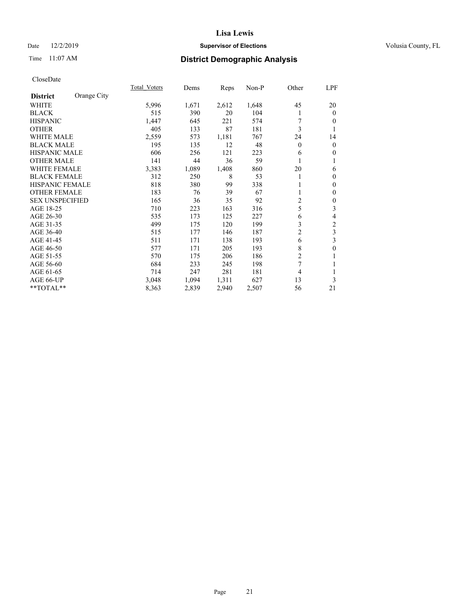## Date 12/2/2019 **Supervisor of Elections Supervisor of Elections** Volusia County, FL

# Time 11:07 AM **District Demographic Analysis**

|                        |             | Total Voters | Dems  | Reps  | Non-P | Other          | LPF                      |
|------------------------|-------------|--------------|-------|-------|-------|----------------|--------------------------|
| <b>District</b>        | Orange City |              |       |       |       |                |                          |
| WHITE                  |             | 5,996        | 1,671 | 2,612 | 1,648 | 45             | 20                       |
| <b>BLACK</b>           |             | 515          | 390   | 20    | 104   |                | $\mathbf{0}$             |
| <b>HISPANIC</b>        |             | 1,447        | 645   | 221   | 574   |                | $\theta$                 |
| <b>OTHER</b>           |             | 405          | 133   | 87    | 181   | 3              | 1                        |
| WHITE MALE             |             | 2,559        | 573   | 1,181 | 767   | 24             | 14                       |
| <b>BLACK MALE</b>      |             | 195          | 135   | 12    | 48    | $\theta$       | $\mathbf{0}$             |
| HISPANIC MALE          |             | 606          | 256   | 121   | 223   | 6              | $\mathbf{0}$             |
| <b>OTHER MALE</b>      |             | 141          | 44    | 36    | 59    |                | 1                        |
| <b>WHITE FEMALE</b>    |             | 3,383        | 1,089 | 1,408 | 860   | 20             | 6                        |
| <b>BLACK FEMALE</b>    |             | 312          | 250   | 8     | 53    |                | $\boldsymbol{0}$         |
| <b>HISPANIC FEMALE</b> |             | 818          | 380   | 99    | 338   |                | $\mathbf{0}$             |
| <b>OTHER FEMALE</b>    |             | 183          | 76    | 39    | 67    |                | $\mathbf{0}$             |
| <b>SEX UNSPECIFIED</b> |             | 165          | 36    | 35    | 92    | $\overline{c}$ | $\boldsymbol{0}$         |
| AGE 18-25              |             | 710          | 223   | 163   | 316   | 5              | 3                        |
| AGE 26-30              |             | 535          | 173   | 125   | 227   | 6              | $\overline{\mathcal{L}}$ |
| AGE 31-35              |             | 499          | 175   | 120   | 199   | 3              | 2                        |
| AGE 36-40              |             | 515          | 177   | 146   | 187   | $\overline{2}$ | 3                        |
| AGE 41-45              |             | 511          | 171   | 138   | 193   | 6              | 3                        |
| AGE 46-50              |             | 577          | 171   | 205   | 193   | 8              | $\boldsymbol{0}$         |
| AGE 51-55              |             | 570          | 175   | 206   | 186   | $\overline{c}$ | 1                        |
| AGE 56-60              |             | 684          | 233   | 245   | 198   | 7              | 1                        |
| AGE 61-65              |             | 714          | 247   | 281   | 181   | 4              | 1                        |
| AGE 66-UP              |             | 3,048        | 1,094 | 1,311 | 627   | 13             | 3                        |
| **TOTAL**              |             | 8,363        | 2,839 | 2,940 | 2,507 | 56             | 21                       |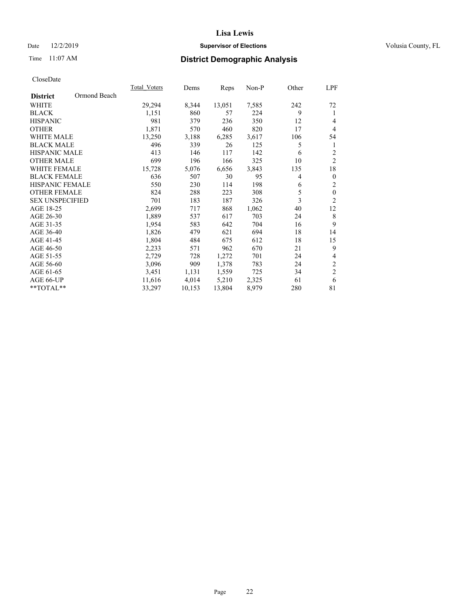## Date 12/2/2019 **Supervisor of Elections Supervisor of Elections** Volusia County, FL

# Time 11:07 AM **District Demographic Analysis**

|                        |              | Total Voters | Dems   | Reps   | Non-P | Other          | LPF              |
|------------------------|--------------|--------------|--------|--------|-------|----------------|------------------|
| <b>District</b>        | Ormond Beach |              |        |        |       |                |                  |
| WHITE                  |              | 29,294       | 8,344  | 13,051 | 7,585 | 242            | 72               |
| <b>BLACK</b>           |              | 1,151        | 860    | 57     | 224   | 9              | 1                |
| <b>HISPANIC</b>        |              | 981          | 379    | 236    | 350   | 12             | $\overline{4}$   |
| <b>OTHER</b>           |              | 1,871        | 570    | 460    | 820   | 17             | $\overline{4}$   |
| <b>WHITE MALE</b>      |              | 13,250       | 3,188  | 6,285  | 3,617 | 106            | 54               |
| <b>BLACK MALE</b>      |              | 496          | 339    | 26     | 125   | 5              | 1                |
| <b>HISPANIC MALE</b>   |              | 413          | 146    | 117    | 142   | 6              | $\overline{2}$   |
| <b>OTHER MALE</b>      |              | 699          | 196    | 166    | 325   | 10             | $\overline{2}$   |
| WHITE FEMALE           |              | 15,728       | 5,076  | 6,656  | 3,843 | 135            | 18               |
| <b>BLACK FEMALE</b>    |              | 636          | 507    | 30     | 95    | $\overline{4}$ | $\theta$         |
| HISPANIC FEMALE        |              | 550          | 230    | 114    | 198   | 6              | $\overline{2}$   |
| <b>OTHER FEMALE</b>    |              | 824          | 288    | 223    | 308   | 5              | $\boldsymbol{0}$ |
| <b>SEX UNSPECIFIED</b> |              | 701          | 183    | 187    | 326   | 3              | $\overline{2}$   |
| AGE 18-25              |              | 2,699        | 717    | 868    | 1,062 | 40             | 12               |
| AGE 26-30              |              | 1,889        | 537    | 617    | 703   | 24             | 8                |
| AGE 31-35              |              | 1,954        | 583    | 642    | 704   | 16             | 9                |
| AGE 36-40              |              | 1,826        | 479    | 621    | 694   | 18             | 14               |
| AGE 41-45              |              | 1,804        | 484    | 675    | 612   | 18             | 15               |
| AGE 46-50              |              | 2,233        | 571    | 962    | 670   | 21             | 9                |
| AGE 51-55              |              | 2,729        | 728    | 1,272  | 701   | 24             | 4                |
| AGE 56-60              |              | 3,096        | 909    | 1,378  | 783   | 24             | $\sqrt{2}$       |
| AGE 61-65              |              | 3,451        | 1,131  | 1,559  | 725   | 34             | $\overline{2}$   |
| AGE 66-UP              |              | 11,616       | 4,014  | 5,210  | 2,325 | 61             | 6                |
| **TOTAL**              |              | 33,297       | 10,153 | 13,804 | 8,979 | 280            | 81               |
|                        |              |              |        |        |       |                |                  |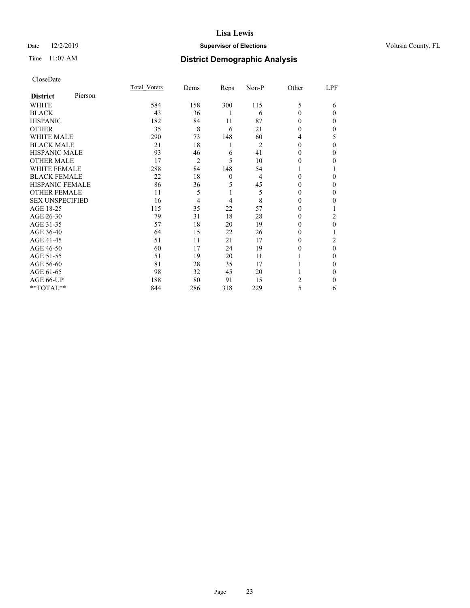## Date 12/2/2019 **Supervisor of Elections Supervisor of Elections** Volusia County, FL

# Time 11:07 AM **District Demographic Analysis**

|                        |         | Total Voters | Dems | Reps         | Non-P | Other    | LPF      |
|------------------------|---------|--------------|------|--------------|-------|----------|----------|
| <b>District</b>        | Pierson |              |      |              |       |          |          |
| WHITE                  |         | 584          | 158  | 300          | 115   | 5        | 6        |
| <b>BLACK</b>           |         | 43           | 36   | 1            | 6     | $\theta$ | $\Omega$ |
| <b>HISPANIC</b>        |         | 182          | 84   | 11           | 87    | 0        | 0        |
| <b>OTHER</b>           |         | 35           | 8    | 6            | 21    | 0        | 0        |
| WHITE MALE             |         | 290          | 73   | 148          | 60    | 4        | 5        |
| <b>BLACK MALE</b>      |         | 21           | 18   | 1            | 2     | $\Omega$ | 0        |
| <b>HISPANIC MALE</b>   |         | 93           | 46   | 6            | 41    | $\theta$ | 0        |
| <b>OTHER MALE</b>      |         | 17           | 2    | 5            | 10    | $\theta$ | 0        |
| WHITE FEMALE           |         | 288          | 84   | 148          | 54    |          |          |
| <b>BLACK FEMALE</b>    |         | 22           | 18   | $\mathbf{0}$ | 4     | $\Omega$ | 0        |
| <b>HISPANIC FEMALE</b> |         | 86           | 36   | 5            | 45    | 0        | $\Omega$ |
| <b>OTHER FEMALE</b>    |         | 11           | 5    | 1            | 5     | $\Omega$ | $\Omega$ |
| <b>SEX UNSPECIFIED</b> |         | 16           | 4    | 4            | 8     | $\Omega$ | 0        |
| AGE 18-25              |         | 115          | 35   | 22           | 57    | $\Omega$ |          |
| AGE 26-30              |         | 79           | 31   | 18           | 28    | 0        | 2        |
| AGE 31-35              |         | 57           | 18   | 20           | 19    | 0        | 0        |
| AGE 36-40              |         | 64           | 15   | 22           | 26    | 0        |          |
| AGE 41-45              |         | 51           | 11   | 21           | 17    | 0        | 2        |
| AGE 46-50              |         | 60           | 17   | 24           | 19    | 0        | $\Omega$ |
| AGE 51-55              |         | 51           | 19   | 20           | 11    |          | $\Omega$ |
| AGE 56-60              |         | 81           | 28   | 35           | 17    |          | 0        |
| AGE 61-65              |         | 98           | 32   | 45           | 20    |          | 0        |
| AGE 66-UP              |         | 188          | 80   | 91           | 15    | 2        | 0        |
| **TOTAL**              |         | 844          | 286  | 318          | 229   | 5        | 6        |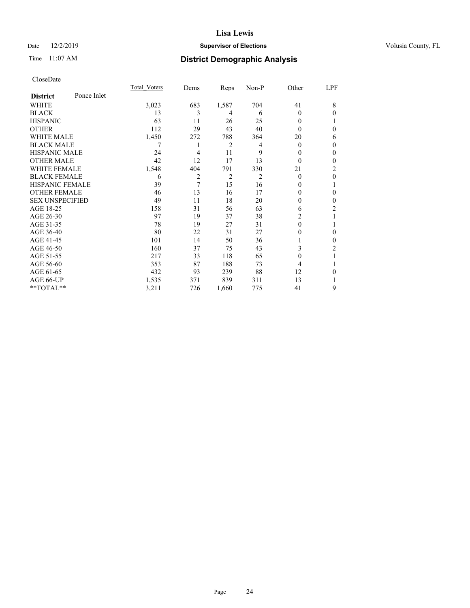## Date 12/2/2019 **Supervisor of Elections Supervisor of Elections** Volusia County, FL

# Time 11:07 AM **District Demographic Analysis**

|                        |             | Total Voters | Dems | Reps           | Non-P | Other    | LPF            |
|------------------------|-------------|--------------|------|----------------|-------|----------|----------------|
| <b>District</b>        | Ponce Inlet |              |      |                |       |          |                |
| WHITE                  |             | 3,023        | 683  | 1,587          | 704   | 41       | 8              |
| <b>BLACK</b>           |             | 13           | 3    | 4              | 6     | $\Omega$ | $\theta$       |
| <b>HISPANIC</b>        |             | 63           | 11   | 26             | 25    | 0        |                |
| <b>OTHER</b>           |             | 112          | 29   | 43             | 40    | 0        | $\theta$       |
| WHITE MALE             |             | 1,450        | 272  | 788            | 364   | 20       | 6              |
| <b>BLACK MALE</b>      |             | 7            | 1    | 2              | 4     | $\Omega$ | $\mathbf{0}$   |
| <b>HISPANIC MALE</b>   |             | 24           | 4    | 11             | 9     | 0        | $\mathbf{0}$   |
| <b>OTHER MALE</b>      |             | 42           | 12   | 17             | 13    | $\theta$ | $\mathbf{0}$   |
| <b>WHITE FEMALE</b>    |             | 1,548        | 404  | 791            | 330   | 21       | $\overline{2}$ |
| <b>BLACK FEMALE</b>    |             | 6            | 2    | $\overline{2}$ | 2     | $\Omega$ | $\theta$       |
| <b>HISPANIC FEMALE</b> |             | 39           | 7    | 15             | 16    | 0        | 1              |
| <b>OTHER FEMALE</b>    |             | 46           | 13   | 16             | 17    | 0        | $\theta$       |
| <b>SEX UNSPECIFIED</b> |             | 49           | 11   | 18             | 20    | 0        | $\theta$       |
| AGE 18-25              |             | 158          | 31   | 56             | 63    | 6        | 2              |
| AGE 26-30              |             | 97           | 19   | 37             | 38    | 2        | 1              |
| AGE 31-35              |             | 78           | 19   | 27             | 31    | 0        | 1              |
| AGE 36-40              |             | 80           | 22   | 31             | 27    | 0        | $\mathbf{0}$   |
| AGE 41-45              |             | 101          | 14   | 50             | 36    |          | $\mathbf{0}$   |
| AGE 46-50              |             | 160          | 37   | 75             | 43    | 3        | 2              |
| AGE 51-55              |             | 217          | 33   | 118            | 65    | 0        | 1              |
| AGE 56-60              |             | 353          | 87   | 188            | 73    | 4        |                |
| AGE 61-65              |             | 432          | 93   | 239            | 88    | 12       | $\theta$       |
| AGE 66-UP              |             | 1,535        | 371  | 839            | 311   | 13       | 1              |
| **TOTAL**              |             | 3,211        | 726  | 1,660          | 775   | 41       | 9              |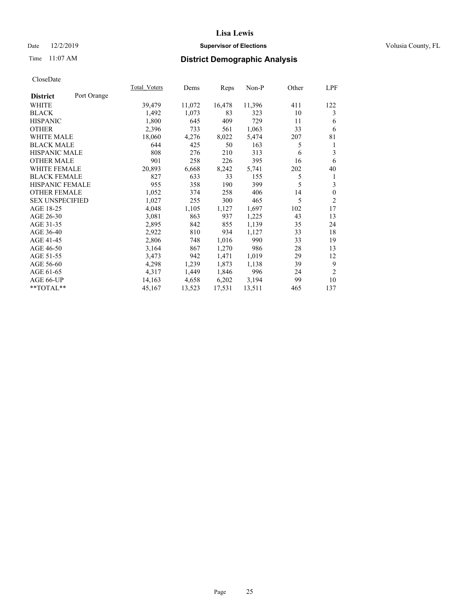## Date 12/2/2019 **Supervisor of Elections Supervisor of Elections** Volusia County, FL

# Time 11:07 AM **District Demographic Analysis**

|                                | <b>Total Voters</b> | Dems   | Reps   | Non-P  | Other | LPF            |
|--------------------------------|---------------------|--------|--------|--------|-------|----------------|
| Port Orange<br><b>District</b> |                     |        |        |        |       |                |
| WHITE                          | 39,479              | 11,072 | 16,478 | 11,396 | 411   | 122            |
| <b>BLACK</b>                   | 1,492               | 1,073  | 83     | 323    | 10    | 3              |
| <b>HISPANIC</b>                | 1,800               | 645    | 409    | 729    | 11    | 6              |
| <b>OTHER</b>                   | 2,396               | 733    | 561    | 1,063  | 33    | 6              |
| <b>WHITE MALE</b>              | 18,060              | 4,276  | 8,022  | 5,474  | 207   | 81             |
| <b>BLACK MALE</b>              | 644                 | 425    | 50     | 163    | 5     | 1              |
| <b>HISPANIC MALE</b>           | 808                 | 276    | 210    | 313    | 6     | 3              |
| <b>OTHER MALE</b>              | 901                 | 258    | 226    | 395    | 16    | 6              |
| WHITE FEMALE                   | 20,893              | 6,668  | 8,242  | 5,741  | 202   | 40             |
| <b>BLACK FEMALE</b>            | 827                 | 633    | 33     | 155    | 5     | 1              |
| <b>HISPANIC FEMALE</b>         | 955                 | 358    | 190    | 399    | 5     | 3              |
| <b>OTHER FEMALE</b>            | 1,052               | 374    | 258    | 406    | 14    | $\mathbf{0}$   |
| <b>SEX UNSPECIFIED</b>         | 1,027               | 255    | 300    | 465    | 5     | $\overline{2}$ |
| AGE 18-25                      | 4,048               | 1,105  | 1,127  | 1,697  | 102   | 17             |
| AGE 26-30                      | 3,081               | 863    | 937    | 1,225  | 43    | 13             |
| AGE 31-35                      | 2,895               | 842    | 855    | 1,139  | 35    | 24             |
| AGE 36-40                      | 2,922               | 810    | 934    | 1,127  | 33    | 18             |
| AGE 41-45                      | 2,806               | 748    | 1,016  | 990    | 33    | 19             |
| AGE 46-50                      | 3,164               | 867    | 1,270  | 986    | 28    | 13             |
| AGE 51-55                      | 3,473               | 942    | 1,471  | 1,019  | 29    | 12             |
| AGE 56-60                      | 4,298               | 1,239  | 1,873  | 1,138  | 39    | 9              |
| AGE 61-65                      | 4,317               | 1,449  | 1,846  | 996    | 24    | $\overline{2}$ |
| AGE 66-UP                      | 14,163              | 4,658  | 6,202  | 3,194  | 99    | 10             |
| $*$ $TOTAL**$                  | 45,167              | 13,523 | 17,531 | 13,511 | 465   | 137            |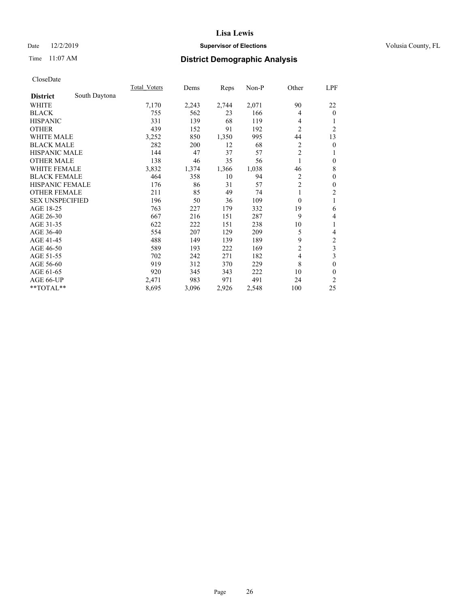## Date 12/2/2019 **Supervisor of Elections Supervisor of Elections** Volusia County, FL

# Time 11:07 AM **District Demographic Analysis**

|                        |               | <b>Total Voters</b> | Dems  | Reps  | $Non-P$ | Other            | LPF            |
|------------------------|---------------|---------------------|-------|-------|---------|------------------|----------------|
| <b>District</b>        | South Daytona |                     |       |       |         |                  |                |
| WHITE                  |               | 7,170               | 2,243 | 2,744 | 2,071   | 90               | 22             |
| <b>BLACK</b>           |               | 755                 | 562   | 23    | 166     | 4                | $\theta$       |
| <b>HISPANIC</b>        |               | 331                 | 139   | 68    | 119     | 4                |                |
| <b>OTHER</b>           |               | 439                 | 152   | 91    | 192     | $\overline{2}$   | $\overline{2}$ |
| <b>WHITE MALE</b>      |               | 3,252               | 850   | 1,350 | 995     | 44               | 13             |
| <b>BLACK MALE</b>      |               | 282                 | 200   | 12    | 68      | 2                | $\theta$       |
| <b>HISPANIC MALE</b>   |               | 144                 | 47    | 37    | 57      | $\overline{2}$   | 1              |
| <b>OTHER MALE</b>      |               | 138                 | 46    | 35    | 56      | 1                | $\theta$       |
| <b>WHITE FEMALE</b>    |               | 3,832               | 1,374 | 1,366 | 1,038   | 46               | 8              |
| <b>BLACK FEMALE</b>    |               | 464                 | 358   | 10    | 94      | $\overline{2}$   | $\theta$       |
| <b>HISPANIC FEMALE</b> |               | 176                 | 86    | 31    | 57      | $\overline{c}$   | $\theta$       |
| <b>OTHER FEMALE</b>    |               | 211                 | 85    | 49    | 74      | 1                | 2              |
| <b>SEX UNSPECIFIED</b> |               | 196                 | 50    | 36    | 109     | $\boldsymbol{0}$ | 1              |
| AGE 18-25              |               | 763                 | 227   | 179   | 332     | 19               | 6              |
| AGE 26-30              |               | 667                 | 216   | 151   | 287     | 9                | 4              |
| AGE 31-35              |               | 622                 | 222   | 151   | 238     | 10               | 1              |
| AGE 36-40              |               | 554                 | 207   | 129   | 209     | 5                | 4              |
| AGE 41-45              |               | 488                 | 149   | 139   | 189     | 9                | $\mathfrak{2}$ |
| AGE 46-50              |               | 589                 | 193   | 222   | 169     | $\overline{c}$   | 3              |
| AGE 51-55              |               | 702                 | 242   | 271   | 182     | 4                | 3              |
| AGE 56-60              |               | 919                 | 312   | 370   | 229     | 8                | $\theta$       |
| AGE 61-65              |               | 920                 | 345   | 343   | 222     | 10               | 0              |
| AGE 66-UP              |               | 2,471               | 983   | 971   | 491     | 24               | $\overline{2}$ |
| $*$ TOTAL $*$          |               | 8,695               | 3,096 | 2,926 | 2,548   | 100              | 25             |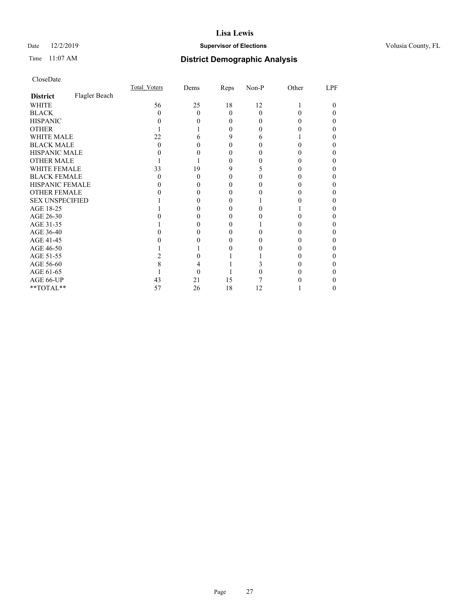## Date 12/2/2019 **Supervisor of Elections Supervisor of Elections** Volusia County, FL

# Time 11:07 AM **District Demographic Analysis**

|                        |               | Total Voters | Dems | Reps     | Non-P        | Other | LPF |
|------------------------|---------------|--------------|------|----------|--------------|-------|-----|
| <b>District</b>        | Flagler Beach |              |      |          |              |       |     |
| WHITE                  |               | 56           | 25   | 18       | 12           |       |     |
| <b>BLACK</b>           |               | 0            | 0    | $\Omega$ | 0            | 0     |     |
| <b>HISPANIC</b>        |               |              |      | 0        | $\mathbf{0}$ |       |     |
| <b>OTHER</b>           |               |              |      |          |              |       |     |
| <b>WHITE MALE</b>      |               | 22           |      | 9        |              |       |     |
| <b>BLACK MALE</b>      |               | 0            |      | 0        |              |       |     |
| <b>HISPANIC MALE</b>   |               |              |      |          |              |       |     |
| <b>OTHER MALE</b>      |               |              |      | 0        |              |       |     |
| <b>WHITE FEMALE</b>    |               | 33           | 19   | 9        |              |       |     |
| <b>BLACK FEMALE</b>    |               | 0            | 0    | 0        |              |       |     |
| <b>HISPANIC FEMALE</b> |               |              |      |          |              |       |     |
| <b>OTHER FEMALE</b>    |               |              |      |          |              |       |     |
| <b>SEX UNSPECIFIED</b> |               |              |      |          |              |       |     |
| AGE 18-25              |               |              |      |          |              |       |     |
| AGE 26-30              |               |              |      |          |              |       |     |
| AGE 31-35              |               |              |      |          |              |       |     |
| AGE 36-40              |               |              |      | 0        |              |       |     |
| AGE 41-45              |               |              |      |          |              |       |     |
| AGE 46-50              |               |              |      |          |              |       |     |
| AGE 51-55              |               |              |      |          |              |       |     |
| AGE 56-60              |               |              |      |          |              |       |     |
| AGE 61-65              |               |              |      |          |              |       |     |
| AGE 66-UP              |               | 43           | 21   | 15       |              |       |     |
| **TOTAL**              |               | 57           | 26   | 18       | 12           |       | 0   |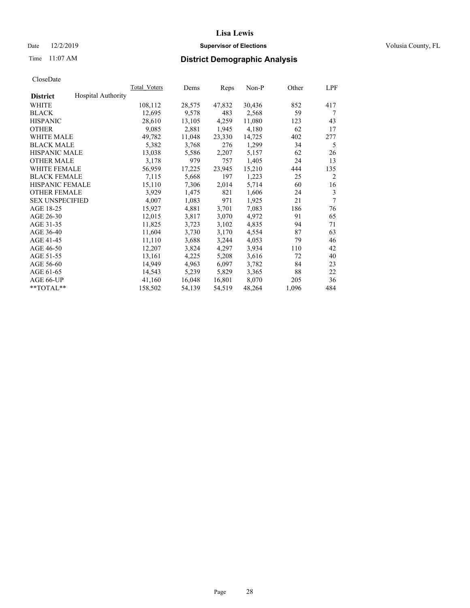## Date 12/2/2019 **Supervisor of Elections Supervisor of Elections** Volusia County, FL

# Time 11:07 AM **District Demographic Analysis**

|                        |                           | Total Voters | Dems   | Reps   | Non-P  | Other | LPF            |
|------------------------|---------------------------|--------------|--------|--------|--------|-------|----------------|
| <b>District</b>        | <b>Hospital Authority</b> |              |        |        |        |       |                |
| WHITE                  |                           | 108,112      | 28,575 | 47,832 | 30,436 | 852   | 417            |
| <b>BLACK</b>           |                           | 12,695       | 9,578  | 483    | 2,568  | 59    | 7              |
| <b>HISPANIC</b>        |                           | 28,610       | 13,105 | 4,259  | 11,080 | 123   | 43             |
| <b>OTHER</b>           |                           | 9,085        | 2,881  | 1,945  | 4,180  | 62    | 17             |
| WHITE MALE             |                           | 49,782       | 11,048 | 23,330 | 14,725 | 402   | 277            |
| <b>BLACK MALE</b>      |                           | 5,382        | 3,768  | 276    | 1,299  | 34    | 5              |
| <b>HISPANIC MALE</b>   |                           | 13,038       | 5,586  | 2,207  | 5,157  | 62    | 26             |
| <b>OTHER MALE</b>      |                           | 3,178        | 979    | 757    | 1,405  | 24    | 13             |
| <b>WHITE FEMALE</b>    |                           | 56,959       | 17,225 | 23,945 | 15,210 | 444   | 135            |
| <b>BLACK FEMALE</b>    |                           | 7,115        | 5,668  | 197    | 1,223  | 25    | $\overline{c}$ |
| <b>HISPANIC FEMALE</b> |                           | 15,110       | 7,306  | 2,014  | 5,714  | 60    | 16             |
| <b>OTHER FEMALE</b>    |                           | 3,929        | 1,475  | 821    | 1,606  | 24    | 3              |
| <b>SEX UNSPECIFIED</b> |                           | 4,007        | 1,083  | 971    | 1,925  | 21    | 7              |
| AGE 18-25              |                           | 15,927       | 4,881  | 3,701  | 7,083  | 186   | 76             |
| AGE 26-30              |                           | 12,015       | 3,817  | 3,070  | 4,972  | 91    | 65             |
| AGE 31-35              |                           | 11,825       | 3,723  | 3,102  | 4,835  | 94    | 71             |
| AGE 36-40              |                           | 11,604       | 3,730  | 3,170  | 4,554  | 87    | 63             |
| AGE 41-45              |                           | 11,110       | 3,688  | 3,244  | 4,053  | 79    | 46             |
| AGE 46-50              |                           | 12,207       | 3,824  | 4,297  | 3,934  | 110   | 42             |
| AGE 51-55              |                           | 13,161       | 4,225  | 5,208  | 3,616  | 72    | 40             |
| AGE 56-60              |                           | 14,949       | 4,963  | 6,097  | 3,782  | 84    | 23             |
| AGE 61-65              |                           | 14,543       | 5,239  | 5,829  | 3,365  | 88    | 22             |
| AGE 66-UP              |                           | 41,160       | 16,048 | 16,801 | 8,070  | 205   | 36             |
| $*$ TOTAL $*$          |                           | 158,502      | 54,139 | 54,519 | 48,264 | 1,096 | 484            |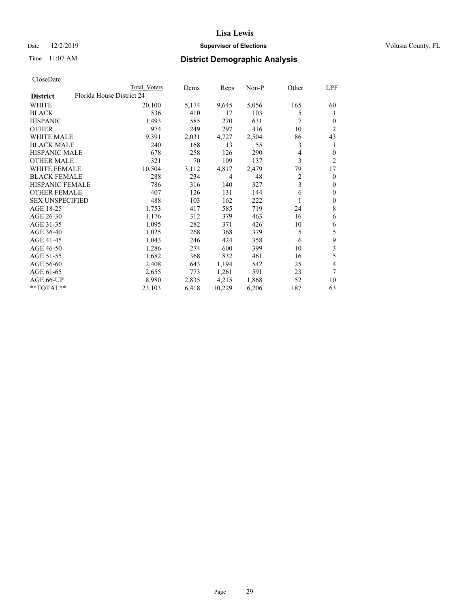## Date 12/2/2019 **Supervisor of Elections Supervisor of Elections** Volusia County, FL

| Total Voters | Dems                      | Reps   | $Non-P$ | Other          | LPF            |
|--------------|---------------------------|--------|---------|----------------|----------------|
|              |                           |        |         |                |                |
| 20,100       | 5,174                     | 9,645  | 5,056   | 165            | 60             |
| 536          | 410                       | 17     | 103     | 5              | 1              |
| 1,493        | 585                       | 270    | 631     | 7              | $\Omega$       |
| 974          | 249                       | 297    | 416     | 10             | $\overline{c}$ |
| 9,391        | 2,031                     | 4,727  | 2,504   | 86             | 43             |
| 240          | 168                       | 13     | 55      | 3              | 1              |
| 678          | 258                       | 126    | 290     | 4              | $\overline{0}$ |
| 321          | 70                        | 109    | 137     | 3              | 2              |
| 10,504       | 3,112                     | 4,817  | 2,479   | 79             | 17             |
| 288          | 234                       | 4      | 48      | $\overline{c}$ | $\overline{0}$ |
| 786          | 316                       | 140    | 327     | 3              | $\theta$       |
| 407          | 126                       | 131    | 144     | 6              | 0              |
| 488          | 103                       | 162    | 222     | 1              | 0              |
| 1,753        | 417                       | 585    | 719     | 24             | 8              |
| 1,176        | 312                       | 379    | 463     | 16             | 6              |
| 1,095        | 282                       | 371    | 426     | 10             | 6              |
| 1,025        | 268                       | 368    | 379     | 5              | 5              |
| 1,043        | 246                       | 424    | 358     | 6              | 9              |
| 1,286        | 274                       | 600    | 399     | 10             | 3              |
| 1,682        | 368                       | 832    | 461     | 16             | 5              |
| 2,408        | 643                       | 1,194  | 542     | 25             | 4              |
| 2,655        | 773                       | 1,261  | 591     | 23             | 7              |
| 8,980        | 2,835                     | 4,215  | 1,868   | 52             | 10             |
| 23,103       | 6,418                     | 10,229 | 6,206   | 187            | 63             |
|              | Florida House District 24 |        |         |                |                |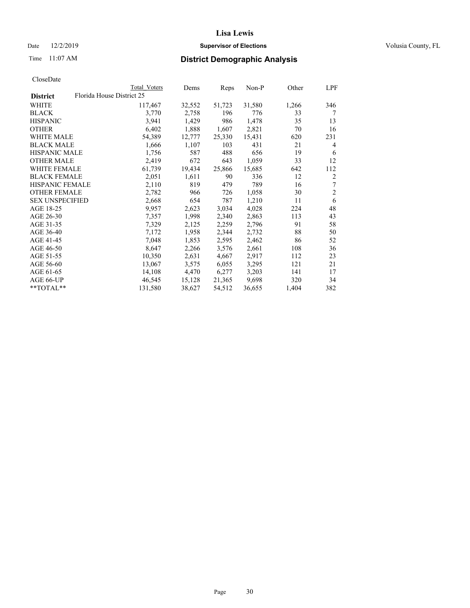## Date 12/2/2019 **Supervisor of Elections Supervisor of Elections** Volusia County, FL

# Time 11:07 AM **District Demographic Analysis**

|                        |                           | Total Voters | Dems   | Reps   | Non-P  | Other | LPF            |
|------------------------|---------------------------|--------------|--------|--------|--------|-------|----------------|
| <b>District</b>        | Florida House District 25 |              |        |        |        |       |                |
| WHITE                  |                           | 117,467      | 32,552 | 51,723 | 31,580 | 1,266 | 346            |
| <b>BLACK</b>           |                           | 3,770        | 2,758  | 196    | 776    | 33    | 7              |
| <b>HISPANIC</b>        |                           | 3,941        | 1,429  | 986    | 1,478  | 35    | 13             |
| <b>OTHER</b>           |                           | 6,402        | 1,888  | 1,607  | 2,821  | 70    | 16             |
| WHITE MALE             |                           | 54,389       | 12,777 | 25,330 | 15,431 | 620   | 231            |
| <b>BLACK MALE</b>      |                           | 1,666        | 1,107  | 103    | 431    | 21    | 4              |
| <b>HISPANIC MALE</b>   |                           | 1,756        | 587    | 488    | 656    | 19    | 6              |
| <b>OTHER MALE</b>      |                           | 2,419        | 672    | 643    | 1,059  | 33    | 12             |
| WHITE FEMALE           |                           | 61,739       | 19,434 | 25,866 | 15,685 | 642   | 112            |
| <b>BLACK FEMALE</b>    |                           | 2,051        | 1,611  | 90     | 336    | 12    | $\overline{2}$ |
| <b>HISPANIC FEMALE</b> |                           | 2,110        | 819    | 479    | 789    | 16    | 7              |
| <b>OTHER FEMALE</b>    |                           | 2,782        | 966    | 726    | 1,058  | 30    | $\mathfrak{2}$ |
| <b>SEX UNSPECIFIED</b> |                           | 2,668        | 654    | 787    | 1,210  | 11    | 6              |
| AGE 18-25              |                           | 9,957        | 2,623  | 3,034  | 4,028  | 224   | 48             |
| AGE 26-30              |                           | 7,357        | 1,998  | 2,340  | 2,863  | 113   | 43             |
| AGE 31-35              |                           | 7,329        | 2,125  | 2,259  | 2,796  | 91    | 58             |
| AGE 36-40              |                           | 7,172        | 1,958  | 2,344  | 2,732  | 88    | 50             |
| AGE 41-45              |                           | 7,048        | 1,853  | 2,595  | 2,462  | 86    | 52             |
| AGE 46-50              |                           | 8,647        | 2,266  | 3,576  | 2,661  | 108   | 36             |
| AGE 51-55              |                           | 10,350       | 2,631  | 4,667  | 2,917  | 112   | 23             |
| AGE 56-60              |                           | 13,067       | 3,575  | 6,055  | 3,295  | 121   | 21             |
| AGE 61-65              |                           | 14,108       | 4,470  | 6,277  | 3,203  | 141   | 17             |
| AGE 66-UP              |                           | 46,545       | 15,128 | 21,365 | 9,698  | 320   | 34             |
| $*$ $TOTAL**$          |                           | 131,580      | 38,627 | 54,512 | 36,655 | 1,404 | 382            |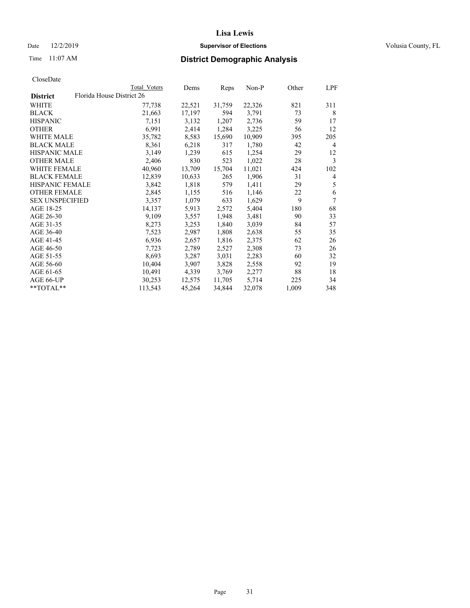## Date 12/2/2019 **Supervisor of Elections Supervisor of Elections** Volusia County, FL

| CloseDate |
|-----------|
|-----------|

|                  |                           | Total Voters | Dems   | Reps   | Non-P  | Other | LPF            |
|------------------|---------------------------|--------------|--------|--------|--------|-------|----------------|
| <b>District</b>  | Florida House District 26 |              |        |        |        |       |                |
| WHITE            |                           | 77,738       | 22,521 | 31,759 | 22,326 | 821   | 311            |
| BLACK            |                           | 21,663       | 17,197 | 594    | 3,791  | 73    | 8              |
| HISPANIC         |                           | 7,151        | 3,132  | 1,207  | 2,736  | 59    | 17             |
| OTHER            |                           | 6,991        | 2,414  | 1,284  | 3,225  | 56    | 12             |
| WHITE MALE       |                           | 35,782       | 8,583  | 15,690 | 10,909 | 395   | 205            |
| BLACK MALE       |                           | 8,361        | 6,218  | 317    | 1,780  | 42    | 4              |
| HISPANIC MALE    |                           | 3,149        | 1,239  | 615    | 1,254  | 29    | 12             |
| OTHER MALE       |                           | 2,406        | 830    | 523    | 1,022  | 28    | 3              |
| WHITE FEMALE     |                           | 40,960       | 13,709 | 15,704 | 11,021 | 424   | 102            |
| BLACK FEMALE     |                           | 12,839       | 10,633 | 265    | 1,906  | 31    | $\overline{4}$ |
| HISPANIC FEMALE  |                           | 3,842        | 1,818  | 579    | 1,411  | 29    | 5              |
| OTHER FEMALE     |                           | 2,845        | 1,155  | 516    | 1,146  | 22    | 6              |
| SEX UNSPECIFIED  |                           | 3,357        | 1,079  | 633    | 1,629  | 9     | 7              |
| AGE 18-25        |                           | 14,137       | 5,913  | 2,572  | 5,404  | 180   | 68             |
| AGE 26-30        |                           | 9,109        | 3,557  | 1,948  | 3,481  | 90    | 33             |
| AGE 31-35        |                           | 8,273        | 3,253  | 1,840  | 3,039  | 84    | 57             |
| AGE 36-40        |                           | 7,523        | 2,987  | 1,808  | 2,638  | 55    | 35             |
| AGE 41-45        |                           | 6,936        | 2,657  | 1,816  | 2,375  | 62    | 26             |
| AGE 46-50        |                           | 7,723        | 2,789  | 2,527  | 2,308  | 73    | 26             |
| AGE 51-55        |                           | 8,693        | 3,287  | 3,031  | 2,283  | 60    | 32             |
| AGE 56-60        |                           | 10,404       | 3,907  | 3,828  | 2,558  | 92    | 19             |
| AGE 61-65        |                           | 10,491       | 4,339  | 3,769  | 2,277  | 88    | 18             |
| AGE 66-UP        |                           | 30,253       | 12,575 | 11,705 | 5,714  | 225   | 34             |
| $*$ *TOTAL $*$ * |                           | 113,543      | 45,264 | 34,844 | 32,078 | 1,009 | 348            |
|                  |                           |              |        |        |        |       |                |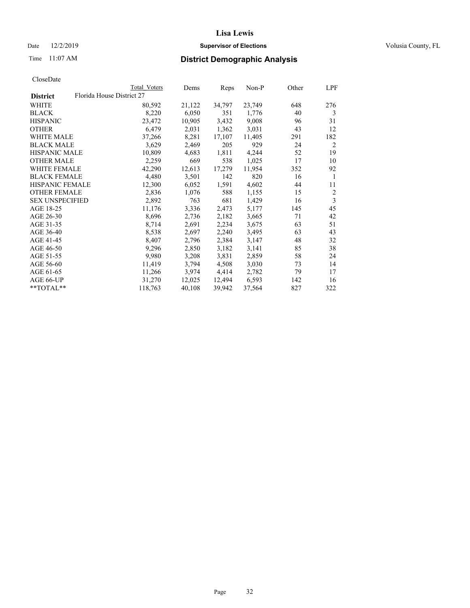## Date 12/2/2019 **Supervisor of Elections Supervisor of Elections** Volusia County, FL

| Florida House District 27<br><b>District</b><br>WHITE<br>80,592<br>21,122<br>34,797<br>23,749<br>648<br>8,220<br>6,050<br>40<br><b>BLACK</b><br>351<br>1,776<br>3,432<br><b>HISPANIC</b><br>23,472<br>10,905<br>9,008<br>96<br>6,479<br>2,031<br>1,362<br>3,031<br>43<br><b>OTHER</b><br><b>WHITE MALE</b><br>37,266<br>8,281<br>17,107<br>11,405<br>291<br>205<br>929<br><b>BLACK MALE</b><br>3,629<br>2,469<br>24<br><b>HISPANIC MALE</b><br>10,809<br>1,811<br>4,244<br>4,683<br>52<br>2,259<br>669<br>538<br>1,025<br><b>OTHER MALE</b><br>17<br><b>WHITE FEMALE</b><br>42,290<br>12,613<br>17,279<br>11,954<br>352<br><b>BLACK FEMALE</b><br>4,480<br>3,501<br>142<br>820<br>16<br>4,602<br><b>HISPANIC FEMALE</b><br>12,300<br>6,052<br>1,591<br>44<br><b>OTHER FEMALE</b><br>2,836<br>588<br>1,076<br>1,155<br>15<br>681<br>1,429<br><b>SEX UNSPECIFIED</b><br>2,892<br>763<br>16<br>AGE 18-25<br>11,176<br>3,336<br>2,473<br>5,177<br>145<br>2,182<br>AGE 26-30<br>8,696<br>2,736<br>3,665<br>71<br>2,234<br>AGE 31-35<br>8,714<br>2,691<br>63<br>3,675<br>2,240<br>AGE 36-40<br>8,538<br>2,697<br>3,495<br>63<br>AGE 41-45<br>2,384<br>8,407<br>2,796<br>3,147<br>48<br>AGE 46-50<br>3,182<br>9,296<br>2,850<br>3,141<br>85<br>2,859<br>AGE 51-55<br>9,980<br>3,208<br>3,831<br>58<br>AGE 56-60<br>3,030<br>11,419<br>3,794<br>4,508<br>73<br>4,414<br>AGE 61-65<br>11,266<br>3,974<br>2,782<br>79<br>6,593<br>AGE 66-UP<br>31,270<br>12,494<br>142<br>12,025<br>**TOTAL**<br>39,942<br>827<br>118,763<br>40,108<br>37,564 |  | Total Voters | Dems | Reps | Non-P | Other | LPF |
|-------------------------------------------------------------------------------------------------------------------------------------------------------------------------------------------------------------------------------------------------------------------------------------------------------------------------------------------------------------------------------------------------------------------------------------------------------------------------------------------------------------------------------------------------------------------------------------------------------------------------------------------------------------------------------------------------------------------------------------------------------------------------------------------------------------------------------------------------------------------------------------------------------------------------------------------------------------------------------------------------------------------------------------------------------------------------------------------------------------------------------------------------------------------------------------------------------------------------------------------------------------------------------------------------------------------------------------------------------------------------------------------------------------------------------------------------------------------------------------------------------------------------------------|--|--------------|------|------|-------|-------|-----|
|                                                                                                                                                                                                                                                                                                                                                                                                                                                                                                                                                                                                                                                                                                                                                                                                                                                                                                                                                                                                                                                                                                                                                                                                                                                                                                                                                                                                                                                                                                                                     |  |              |      |      |       |       |     |
|                                                                                                                                                                                                                                                                                                                                                                                                                                                                                                                                                                                                                                                                                                                                                                                                                                                                                                                                                                                                                                                                                                                                                                                                                                                                                                                                                                                                                                                                                                                                     |  |              |      |      |       |       | 276 |
|                                                                                                                                                                                                                                                                                                                                                                                                                                                                                                                                                                                                                                                                                                                                                                                                                                                                                                                                                                                                                                                                                                                                                                                                                                                                                                                                                                                                                                                                                                                                     |  |              |      |      |       |       | 3   |
|                                                                                                                                                                                                                                                                                                                                                                                                                                                                                                                                                                                                                                                                                                                                                                                                                                                                                                                                                                                                                                                                                                                                                                                                                                                                                                                                                                                                                                                                                                                                     |  |              |      |      |       |       | 31  |
|                                                                                                                                                                                                                                                                                                                                                                                                                                                                                                                                                                                                                                                                                                                                                                                                                                                                                                                                                                                                                                                                                                                                                                                                                                                                                                                                                                                                                                                                                                                                     |  |              |      |      |       |       | 12  |
|                                                                                                                                                                                                                                                                                                                                                                                                                                                                                                                                                                                                                                                                                                                                                                                                                                                                                                                                                                                                                                                                                                                                                                                                                                                                                                                                                                                                                                                                                                                                     |  |              |      |      |       |       | 182 |
|                                                                                                                                                                                                                                                                                                                                                                                                                                                                                                                                                                                                                                                                                                                                                                                                                                                                                                                                                                                                                                                                                                                                                                                                                                                                                                                                                                                                                                                                                                                                     |  |              |      |      |       |       | 2   |
|                                                                                                                                                                                                                                                                                                                                                                                                                                                                                                                                                                                                                                                                                                                                                                                                                                                                                                                                                                                                                                                                                                                                                                                                                                                                                                                                                                                                                                                                                                                                     |  |              |      |      |       |       | 19  |
|                                                                                                                                                                                                                                                                                                                                                                                                                                                                                                                                                                                                                                                                                                                                                                                                                                                                                                                                                                                                                                                                                                                                                                                                                                                                                                                                                                                                                                                                                                                                     |  |              |      |      |       |       | 10  |
|                                                                                                                                                                                                                                                                                                                                                                                                                                                                                                                                                                                                                                                                                                                                                                                                                                                                                                                                                                                                                                                                                                                                                                                                                                                                                                                                                                                                                                                                                                                                     |  |              |      |      |       |       | 92  |
|                                                                                                                                                                                                                                                                                                                                                                                                                                                                                                                                                                                                                                                                                                                                                                                                                                                                                                                                                                                                                                                                                                                                                                                                                                                                                                                                                                                                                                                                                                                                     |  |              |      |      |       |       | 1   |
|                                                                                                                                                                                                                                                                                                                                                                                                                                                                                                                                                                                                                                                                                                                                                                                                                                                                                                                                                                                                                                                                                                                                                                                                                                                                                                                                                                                                                                                                                                                                     |  |              |      |      |       |       | 11  |
|                                                                                                                                                                                                                                                                                                                                                                                                                                                                                                                                                                                                                                                                                                                                                                                                                                                                                                                                                                                                                                                                                                                                                                                                                                                                                                                                                                                                                                                                                                                                     |  |              |      |      |       |       | 2   |
|                                                                                                                                                                                                                                                                                                                                                                                                                                                                                                                                                                                                                                                                                                                                                                                                                                                                                                                                                                                                                                                                                                                                                                                                                                                                                                                                                                                                                                                                                                                                     |  |              |      |      |       |       | 3   |
|                                                                                                                                                                                                                                                                                                                                                                                                                                                                                                                                                                                                                                                                                                                                                                                                                                                                                                                                                                                                                                                                                                                                                                                                                                                                                                                                                                                                                                                                                                                                     |  |              |      |      |       |       | 45  |
|                                                                                                                                                                                                                                                                                                                                                                                                                                                                                                                                                                                                                                                                                                                                                                                                                                                                                                                                                                                                                                                                                                                                                                                                                                                                                                                                                                                                                                                                                                                                     |  |              |      |      |       |       | 42  |
|                                                                                                                                                                                                                                                                                                                                                                                                                                                                                                                                                                                                                                                                                                                                                                                                                                                                                                                                                                                                                                                                                                                                                                                                                                                                                                                                                                                                                                                                                                                                     |  |              |      |      |       |       | 51  |
|                                                                                                                                                                                                                                                                                                                                                                                                                                                                                                                                                                                                                                                                                                                                                                                                                                                                                                                                                                                                                                                                                                                                                                                                                                                                                                                                                                                                                                                                                                                                     |  |              |      |      |       |       | 43  |
|                                                                                                                                                                                                                                                                                                                                                                                                                                                                                                                                                                                                                                                                                                                                                                                                                                                                                                                                                                                                                                                                                                                                                                                                                                                                                                                                                                                                                                                                                                                                     |  |              |      |      |       |       | 32  |
|                                                                                                                                                                                                                                                                                                                                                                                                                                                                                                                                                                                                                                                                                                                                                                                                                                                                                                                                                                                                                                                                                                                                                                                                                                                                                                                                                                                                                                                                                                                                     |  |              |      |      |       |       | 38  |
|                                                                                                                                                                                                                                                                                                                                                                                                                                                                                                                                                                                                                                                                                                                                                                                                                                                                                                                                                                                                                                                                                                                                                                                                                                                                                                                                                                                                                                                                                                                                     |  |              |      |      |       |       | 24  |
|                                                                                                                                                                                                                                                                                                                                                                                                                                                                                                                                                                                                                                                                                                                                                                                                                                                                                                                                                                                                                                                                                                                                                                                                                                                                                                                                                                                                                                                                                                                                     |  |              |      |      |       |       | 14  |
|                                                                                                                                                                                                                                                                                                                                                                                                                                                                                                                                                                                                                                                                                                                                                                                                                                                                                                                                                                                                                                                                                                                                                                                                                                                                                                                                                                                                                                                                                                                                     |  |              |      |      |       |       | 17  |
|                                                                                                                                                                                                                                                                                                                                                                                                                                                                                                                                                                                                                                                                                                                                                                                                                                                                                                                                                                                                                                                                                                                                                                                                                                                                                                                                                                                                                                                                                                                                     |  |              |      |      |       |       | 16  |
|                                                                                                                                                                                                                                                                                                                                                                                                                                                                                                                                                                                                                                                                                                                                                                                                                                                                                                                                                                                                                                                                                                                                                                                                                                                                                                                                                                                                                                                                                                                                     |  |              |      |      |       |       | 322 |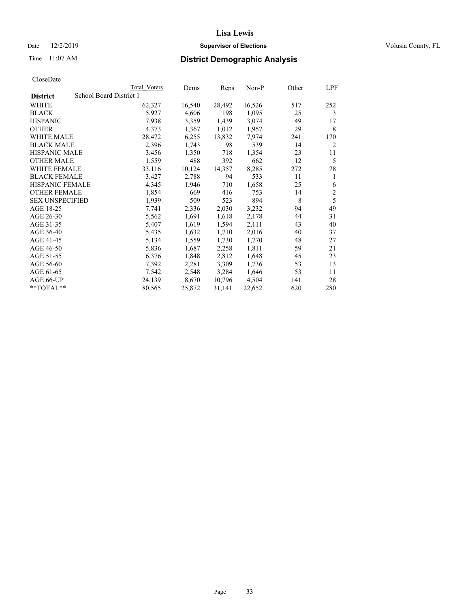## Date 12/2/2019 **Supervisor of Elections Supervisor of Elections** Volusia County, FL

# Time 11:07 AM **District Demographic Analysis**

|                        |                         | Total Voters | Dems   | Reps   | Non-P  | Other | LPF            |
|------------------------|-------------------------|--------------|--------|--------|--------|-------|----------------|
| <b>District</b>        | School Board District 1 |              |        |        |        |       |                |
| WHITE                  |                         | 62,327       | 16,540 | 28,492 | 16,526 | 517   | 252            |
| <b>BLACK</b>           |                         | 5,927        | 4,606  | 198    | 1,095  | 25    | 3              |
| <b>HISPANIC</b>        |                         | 7,938        | 3,359  | 1,439  | 3,074  | 49    | 17             |
| <b>OTHER</b>           |                         | 4,373        | 1,367  | 1,012  | 1,957  | 29    | 8              |
| WHITE MALE             |                         | 28,472       | 6,255  | 13,832 | 7,974  | 241   | 170            |
| <b>BLACK MALE</b>      |                         | 2,396        | 1,743  | 98     | 539    | 14    | 2              |
| <b>HISPANIC MALE</b>   |                         | 3,456        | 1,350  | 718    | 1,354  | 23    | 11             |
| <b>OTHER MALE</b>      |                         | 1,559        | 488    | 392    | 662    | 12    | 5              |
| WHITE FEMALE           |                         | 33,116       | 10,124 | 14,357 | 8,285  | 272   | 78             |
| <b>BLACK FEMALE</b>    |                         | 3,427        | 2,788  | 94     | 533    | 11    | 1              |
| <b>HISPANIC FEMALE</b> |                         | 4,345        | 1,946  | 710    | 1,658  | 25    | 6              |
| <b>OTHER FEMALE</b>    |                         | 1,854        | 669    | 416    | 753    | 14    | $\mathfrak{2}$ |
| <b>SEX UNSPECIFIED</b> |                         | 1,939        | 509    | 523    | 894    | 8     | 5              |
| AGE 18-25              |                         | 7,741        | 2,336  | 2,030  | 3,232  | 94    | 49             |
| AGE 26-30              |                         | 5,562        | 1,691  | 1,618  | 2,178  | 44    | 31             |
| AGE 31-35              |                         | 5,407        | 1,619  | 1,594  | 2,111  | 43    | 40             |
| AGE 36-40              |                         | 5,435        | 1,632  | 1,710  | 2,016  | 40    | 37             |
| AGE 41-45              |                         | 5,134        | 1,559  | 1,730  | 1,770  | 48    | 27             |
| AGE 46-50              |                         | 5,836        | 1,687  | 2,258  | 1,811  | 59    | 21             |
| AGE 51-55              |                         | 6,376        | 1,848  | 2,812  | 1,648  | 45    | 23             |
| AGE 56-60              |                         | 7,392        | 2,281  | 3,309  | 1,736  | 53    | 13             |
| AGE 61-65              |                         | 7,542        | 2,548  | 3,284  | 1,646  | 53    | 11             |
| AGE 66-UP              |                         | 24,139       | 8,670  | 10,796 | 4,504  | 141   | 28             |
| $*$ $TOTAL**$          |                         | 80,565       | 25,872 | 31,141 | 22,652 | 620   | 280            |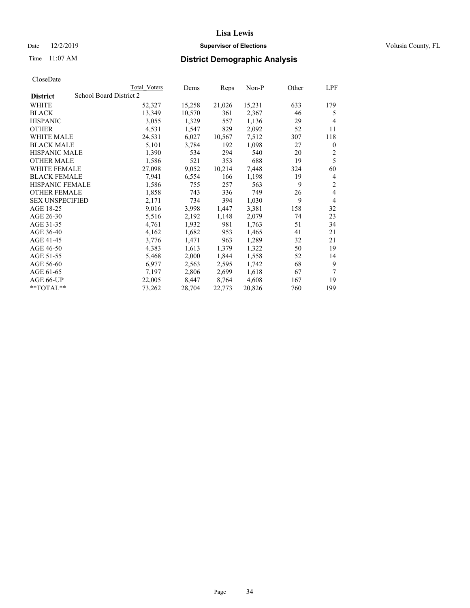## Date 12/2/2019 **Supervisor of Elections Supervisor of Elections** Volusia County, FL

# Time 11:07 AM **District Demographic Analysis**

|                        |                         | Total Voters | Dems   | Reps   | Non-P  | Other | LPF            |
|------------------------|-------------------------|--------------|--------|--------|--------|-------|----------------|
| <b>District</b>        | School Board District 2 |              |        |        |        |       |                |
| WHITE                  |                         | 52,327       | 15,258 | 21,026 | 15,231 | 633   | 179            |
| <b>BLACK</b>           |                         | 13,349       | 10,570 | 361    | 2,367  | 46    | 5              |
| <b>HISPANIC</b>        |                         | 3,055        | 1,329  | 557    | 1,136  | 29    | 4              |
| <b>OTHER</b>           |                         | 4,531        | 1,547  | 829    | 2,092  | 52    | 11             |
| WHITE MALE             |                         | 24,531       | 6,027  | 10,567 | 7,512  | 307   | 118            |
| <b>BLACK MALE</b>      |                         | 5,101        | 3,784  | 192    | 1,098  | 27    | $\mathbf{0}$   |
| <b>HISPANIC MALE</b>   |                         | 1,390        | 534    | 294    | 540    | 20    | $\overline{2}$ |
| <b>OTHER MALE</b>      |                         | 1,586        | 521    | 353    | 688    | 19    | 5              |
| <b>WHITE FEMALE</b>    |                         | 27,098       | 9,052  | 10,214 | 7,448  | 324   | 60             |
| <b>BLACK FEMALE</b>    |                         | 7,941        | 6,554  | 166    | 1,198  | 19    | 4              |
| <b>HISPANIC FEMALE</b> |                         | 1,586        | 755    | 257    | 563    | 9     | $\overline{c}$ |
| <b>OTHER FEMALE</b>    |                         | 1,858        | 743    | 336    | 749    | 26    | 4              |
| <b>SEX UNSPECIFIED</b> |                         | 2,171        | 734    | 394    | 1,030  | 9     | 4              |
| AGE 18-25              |                         | 9,016        | 3,998  | 1,447  | 3,381  | 158   | 32             |
| AGE 26-30              |                         | 5,516        | 2,192  | 1,148  | 2,079  | 74    | 23             |
| AGE 31-35              |                         | 4,761        | 1,932  | 981    | 1,763  | 51    | 34             |
| AGE 36-40              |                         | 4,162        | 1,682  | 953    | 1,465  | 41    | 21             |
| AGE 41-45              |                         | 3,776        | 1,471  | 963    | 1,289  | 32    | 21             |
| AGE 46-50              |                         | 4,383        | 1,613  | 1,379  | 1,322  | 50    | 19             |
| AGE 51-55              |                         | 5,468        | 2,000  | 1,844  | 1,558  | 52    | 14             |
| AGE 56-60              |                         | 6,977        | 2,563  | 2,595  | 1,742  | 68    | 9              |
| AGE 61-65              |                         | 7,197        | 2,806  | 2,699  | 1,618  | 67    | 7              |
| AGE 66-UP              |                         | 22,005       | 8,447  | 8,764  | 4,608  | 167   | 19             |
| $*$ $TOTAL**$          |                         | 73,262       | 28,704 | 22,773 | 20,826 | 760   | 199            |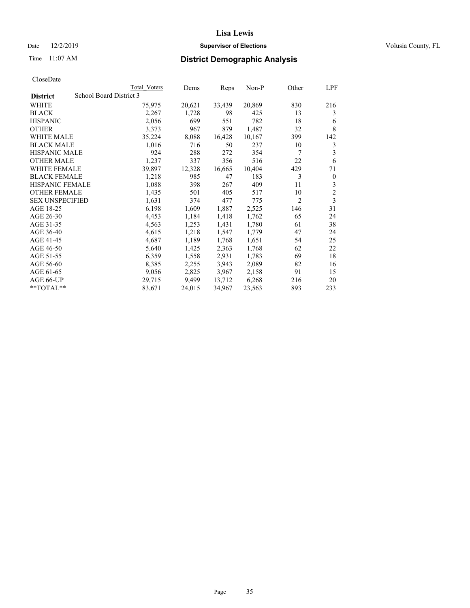## Date 12/2/2019 **Supervisor of Elections Supervisor of Elections** Volusia County, FL

# Time 11:07 AM **District Demographic Analysis**

|                        | Total Voters            | Dems   | Reps   | Non-P  | Other          | LPF            |
|------------------------|-------------------------|--------|--------|--------|----------------|----------------|
| <b>District</b>        | School Board District 3 |        |        |        |                |                |
| WHITE                  | 75,975                  | 20,621 | 33,439 | 20,869 | 830            | 216            |
| <b>BLACK</b>           | 2,267                   | 1,728  | 98     | 425    | 13             | 3              |
| <b>HISPANIC</b>        | 2,056                   | 699    | 551    | 782    | 18             | 6              |
| <b>OTHER</b>           | 3,373                   | 967    | 879    | 1,487  | 32             | 8              |
| WHITE MALE             | 35,224                  | 8,088  | 16,428 | 10,167 | 399            | 142            |
| <b>BLACK MALE</b>      | 1,016                   | 716    | 50     | 237    | 10             | 3              |
| <b>HISPANIC MALE</b>   | 924                     | 288    | 272    | 354    | 7              | 3              |
| <b>OTHER MALE</b>      | 1,237                   | 337    | 356    | 516    | 22             | 6              |
| <b>WHITE FEMALE</b>    | 39,897                  | 12,328 | 16,665 | 10,404 | 429            | 71             |
| <b>BLACK FEMALE</b>    | 1,218                   | 985    | 47     | 183    | 3              | $\mathbf{0}$   |
| <b>HISPANIC FEMALE</b> | 1,088                   | 398    | 267    | 409    | 11             | 3              |
| <b>OTHER FEMALE</b>    | 1,435                   | 501    | 405    | 517    | 10             | $\overline{c}$ |
| <b>SEX UNSPECIFIED</b> | 1,631                   | 374    | 477    | 775    | $\overline{2}$ | 3              |
| AGE 18-25              | 6,198                   | 1,609  | 1,887  | 2,525  | 146            | 31             |
| AGE 26-30              | 4,453                   | 1,184  | 1,418  | 1,762  | 65             | 24             |
| AGE 31-35              | 4,563                   | 1,253  | 1,431  | 1,780  | 61             | 38             |
| AGE 36-40              | 4,615                   | 1,218  | 1,547  | 1,779  | 47             | 24             |
| AGE 41-45              | 4,687                   | 1,189  | 1,768  | 1,651  | 54             | 25             |
| AGE 46-50              | 5,640                   | 1,425  | 2,363  | 1,768  | 62             | 22             |
| AGE 51-55              | 6,359                   | 1,558  | 2,931  | 1,783  | 69             | 18             |
| AGE 56-60              | 8,385                   | 2,255  | 3,943  | 2,089  | 82             | 16             |
| AGE 61-65              | 9,056                   | 2,825  | 3,967  | 2,158  | 91             | 15             |
| AGE 66-UP              | 29,715                  | 9,499  | 13,712 | 6,268  | 216            | 20             |
| $*$ TOTAL $*$          | 83,671                  | 24,015 | 34,967 | 23,563 | 893            | 233            |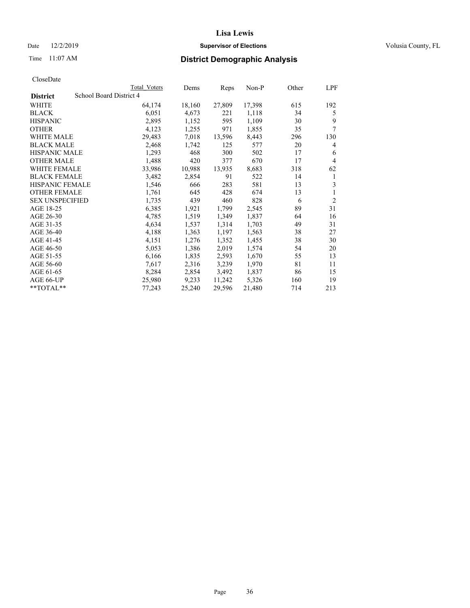## Date 12/2/2019 **Supervisor of Elections Supervisor of Elections** Volusia County, FL

# Time 11:07 AM **District Demographic Analysis**

|                        |                         | Total Voters | Dems   | Reps   | Non-P  | Other | LPF            |
|------------------------|-------------------------|--------------|--------|--------|--------|-------|----------------|
| <b>District</b>        | School Board District 4 |              |        |        |        |       |                |
| WHITE                  |                         | 64,174       | 18,160 | 27,809 | 17,398 | 615   | 192            |
| <b>BLACK</b>           |                         | 6,051        | 4,673  | 221    | 1,118  | 34    | 5              |
| <b>HISPANIC</b>        |                         | 2,895        | 1,152  | 595    | 1,109  | 30    | 9              |
| <b>OTHER</b>           |                         | 4,123        | 1,255  | 971    | 1,855  | 35    | 7              |
| WHITE MALE             |                         | 29,483       | 7,018  | 13,596 | 8,443  | 296   | 130            |
| <b>BLACK MALE</b>      |                         | 2,468        | 1,742  | 125    | 577    | 20    | 4              |
| <b>HISPANIC MALE</b>   |                         | 1,293        | 468    | 300    | 502    | 17    | 6              |
| <b>OTHER MALE</b>      |                         | 1,488        | 420    | 377    | 670    | 17    | 4              |
| <b>WHITE FEMALE</b>    |                         | 33,986       | 10,988 | 13,935 | 8,683  | 318   | 62             |
| <b>BLACK FEMALE</b>    |                         | 3,482        | 2,854  | 91     | 522    | 14    | 1              |
| <b>HISPANIC FEMALE</b> |                         | 1,546        | 666    | 283    | 581    | 13    | 3              |
| <b>OTHER FEMALE</b>    |                         | 1,761        | 645    | 428    | 674    | 13    | 1              |
| <b>SEX UNSPECIFIED</b> |                         | 1,735        | 439    | 460    | 828    | 6     | $\overline{2}$ |
| AGE 18-25              |                         | 6,385        | 1,921  | 1,799  | 2,545  | 89    | 31             |
| AGE 26-30              |                         | 4,785        | 1,519  | 1,349  | 1,837  | 64    | 16             |
| AGE 31-35              |                         | 4,634        | 1,537  | 1,314  | 1,703  | 49    | 31             |
| AGE 36-40              |                         | 4,188        | 1,363  | 1,197  | 1,563  | 38    | 27             |
| AGE 41-45              |                         | 4,151        | 1,276  | 1,352  | 1,455  | 38    | 30             |
| AGE 46-50              |                         | 5,053        | 1,386  | 2,019  | 1,574  | 54    | 20             |
| AGE 51-55              |                         | 6,166        | 1,835  | 2,593  | 1,670  | 55    | 13             |
| AGE 56-60              |                         | 7,617        | 2,316  | 3,239  | 1,970  | 81    | 11             |
| AGE 61-65              |                         | 8,284        | 2,854  | 3,492  | 1,837  | 86    | 15             |
| AGE 66-UP              |                         | 25,980       | 9,233  | 11,242 | 5,326  | 160   | 19             |
| $*$ $TOTAL**$          |                         | 77,243       | 25,240 | 29,596 | 21,480 | 714   | 213            |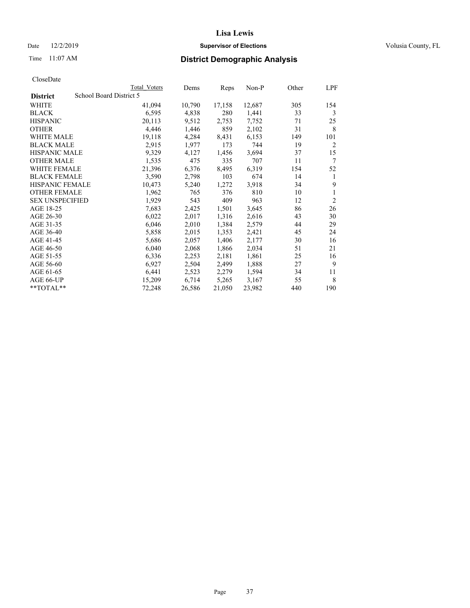## Date 12/2/2019 **Supervisor of Elections Supervisor of Elections** Volusia County, FL

# Time 11:07 AM **District Demographic Analysis**

|                        |                         | Total Voters | Dems   | Reps   | Non-P  | Other | LPF            |
|------------------------|-------------------------|--------------|--------|--------|--------|-------|----------------|
| <b>District</b>        | School Board District 5 |              |        |        |        |       |                |
| WHITE                  |                         | 41,094       | 10,790 | 17,158 | 12,687 | 305   | 154            |
| <b>BLACK</b>           |                         | 6,595        | 4,838  | 280    | 1,441  | 33    | 3              |
| <b>HISPANIC</b>        |                         | 20,113       | 9,512  | 2,753  | 7,752  | 71    | 25             |
| <b>OTHER</b>           |                         | 4,446        | 1,446  | 859    | 2,102  | 31    | 8              |
| WHITE MALE             |                         | 19,118       | 4,284  | 8,431  | 6,153  | 149   | 101            |
| <b>BLACK MALE</b>      |                         | 2,915        | 1,977  | 173    | 744    | 19    | 2              |
| <b>HISPANIC MALE</b>   |                         | 9,329        | 4,127  | 1,456  | 3,694  | 37    | 15             |
| <b>OTHER MALE</b>      |                         | 1,535        | 475    | 335    | 707    | 11    | 7              |
| WHITE FEMALE           |                         | 21,396       | 6,376  | 8,495  | 6,319  | 154   | 52             |
| <b>BLACK FEMALE</b>    |                         | 3,590        | 2,798  | 103    | 674    | 14    | 1              |
| <b>HISPANIC FEMALE</b> |                         | 10,473       | 5,240  | 1,272  | 3,918  | 34    | 9              |
| <b>OTHER FEMALE</b>    |                         | 1,962        | 765    | 376    | 810    | 10    | 1              |
| <b>SEX UNSPECIFIED</b> |                         | 1,929        | 543    | 409    | 963    | 12    | $\overline{2}$ |
| AGE 18-25              |                         | 7,683        | 2,425  | 1,501  | 3,645  | 86    | 26             |
| AGE 26-30              |                         | 6,022        | 2,017  | 1,316  | 2,616  | 43    | 30             |
| AGE 31-35              |                         | 6,046        | 2,010  | 1,384  | 2,579  | 44    | 29             |
| AGE 36-40              |                         | 5,858        | 2,015  | 1,353  | 2,421  | 45    | 24             |
| AGE 41-45              |                         | 5,686        | 2,057  | 1,406  | 2,177  | 30    | 16             |
| AGE 46-50              |                         | 6,040        | 2,068  | 1,866  | 2,034  | 51    | 21             |
| AGE 51-55              |                         | 6,336        | 2,253  | 2,181  | 1,861  | 25    | 16             |
| AGE 56-60              |                         | 6,927        | 2,504  | 2,499  | 1,888  | 27    | 9              |
| AGE 61-65              |                         | 6,441        | 2,523  | 2,279  | 1,594  | 34    | 11             |
| AGE 66-UP              |                         | 15,209       | 6,714  | 5,265  | 3,167  | 55    | 8              |
| $*$ $TOTAL**$          |                         | 72,248       | 26,586 | 21,050 | 23,982 | 440   | 190            |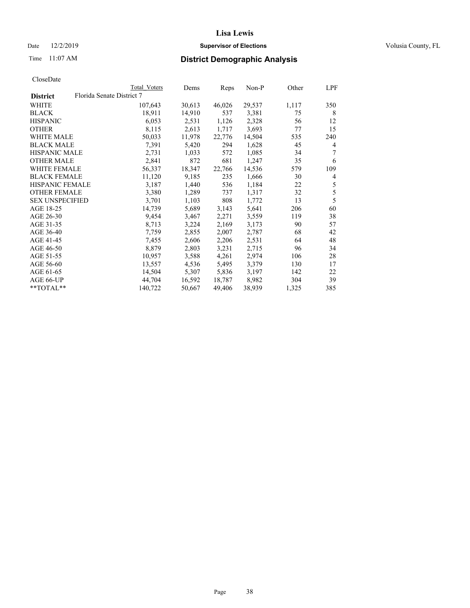## Date 12/2/2019 **Supervisor of Elections Supervisor of Elections** Volusia County, FL

# Time 11:07 AM **District Demographic Analysis**

|                                              | Total Voters | Dems   | Reps   | $Non-P$ | Other | LPF            |
|----------------------------------------------|--------------|--------|--------|---------|-------|----------------|
| Florida Senate District 7<br><b>District</b> |              |        |        |         |       |                |
| WHITE                                        | 107,643      | 30,613 | 46,026 | 29,537  | 1,117 | 350            |
| <b>BLACK</b>                                 | 18,911       | 14,910 | 537    | 3,381   | 75    | 8              |
| <b>HISPANIC</b>                              | 6,053        | 2,531  | 1,126  | 2,328   | 56    | 12             |
| <b>OTHER</b>                                 | 8,115        | 2,613  | 1,717  | 3,693   | 77    | 15             |
| WHITE MALE                                   | 50,033       | 11,978 | 22,776 | 14,504  | 535   | 240            |
| <b>BLACK MALE</b>                            | 7,391        | 5,420  | 294    | 1,628   | 45    | 4              |
| <b>HISPANIC MALE</b>                         | 2,731        | 1,033  | 572    | 1,085   | 34    | 7              |
| <b>OTHER MALE</b>                            | 2,841        | 872    | 681    | 1,247   | 35    | 6              |
| <b>WHITE FEMALE</b>                          | 56,337       | 18,347 | 22,766 | 14,536  | 579   | 109            |
| <b>BLACK FEMALE</b>                          | 11,120       | 9,185  | 235    | 1,666   | 30    | $\overline{4}$ |
| HISPANIC FEMALE                              | 3,187        | 1,440  | 536    | 1,184   | 22    | 5              |
| <b>OTHER FEMALE</b>                          | 3,380        | 1,289  | 737    | 1,317   | 32    | 5              |
| <b>SEX UNSPECIFIED</b>                       | 3,701        | 1,103  | 808    | 1,772   | 13    | 5              |
| AGE 18-25                                    | 14,739       | 5,689  | 3,143  | 5,641   | 206   | 60             |
| AGE 26-30                                    | 9,454        | 3,467  | 2,271  | 3,559   | 119   | 38             |
| AGE 31-35                                    | 8,713        | 3,224  | 2,169  | 3,173   | 90    | 57             |
| AGE 36-40                                    | 7,759        | 2,855  | 2,007  | 2,787   | 68    | 42             |
| AGE 41-45                                    | 7,455        | 2,606  | 2,206  | 2,531   | 64    | 48             |
| AGE 46-50                                    | 8,879        | 2,803  | 3,231  | 2,715   | 96    | 34             |
| AGE 51-55                                    | 10,957       | 3,588  | 4,261  | 2,974   | 106   | 28             |
| AGE 56-60                                    | 13,557       | 4,536  | 5,495  | 3,379   | 130   | 17             |
| AGE 61-65                                    | 14,504       | 5,307  | 5,836  | 3,197   | 142   | 22             |
| AGE 66-UP                                    | 44,704       | 16,592 | 18,787 | 8,982   | 304   | 39             |
| $*$ $TOTAL**$                                | 140,722      | 50,667 | 49,406 | 38,939  | 1,325 | 385            |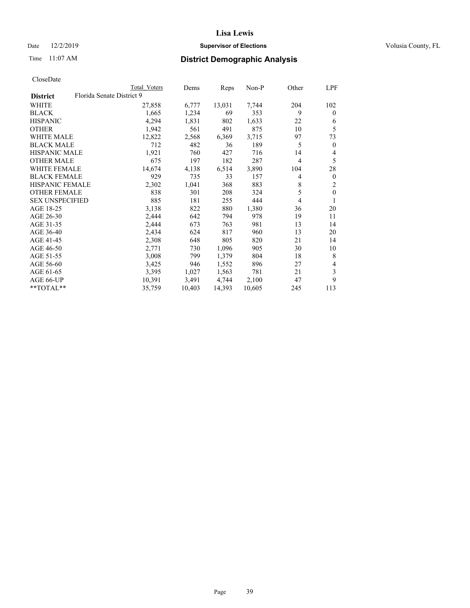## Date 12/2/2019 **Supervisor of Elections Supervisor of Elections** Volusia County, FL

# Time 11:07 AM **District Demographic Analysis**

|                        |                           | Total Voters | Dems   | Reps   | Non-P  | Other | LPF            |
|------------------------|---------------------------|--------------|--------|--------|--------|-------|----------------|
| <b>District</b>        | Florida Senate District 9 |              |        |        |        |       |                |
| WHITE                  |                           | 27,858       | 6,777  | 13,031 | 7,744  | 204   | 102            |
| <b>BLACK</b>           |                           | 1,665        | 1,234  | 69     | 353    | 9     | $\mathbf{0}$   |
| <b>HISPANIC</b>        |                           | 4,294        | 1,831  | 802    | 1,633  | 22    | 6              |
| <b>OTHER</b>           |                           | 1,942        | 561    | 491    | 875    | 10    | 5              |
| WHITE MALE             |                           | 12,822       | 2,568  | 6,369  | 3,715  | 97    | 73             |
| <b>BLACK MALE</b>      |                           | 712          | 482    | 36     | 189    | 5     | $\overline{0}$ |
| <b>HISPANIC MALE</b>   |                           | 1,921        | 760    | 427    | 716    | 14    | 4              |
| <b>OTHER MALE</b>      |                           | 675          | 197    | 182    | 287    | 4     | 5              |
| WHITE FEMALE           |                           | 14,674       | 4,138  | 6,514  | 3,890  | 104   | 28             |
| <b>BLACK FEMALE</b>    |                           | 929          | 735    | 33     | 157    | 4     | $\mathbf{0}$   |
| HISPANIC FEMALE        |                           | 2,302        | 1,041  | 368    | 883    | 8     | $\overline{2}$ |
| <b>OTHER FEMALE</b>    |                           | 838          | 301    | 208    | 324    | 5     | $\theta$       |
| <b>SEX UNSPECIFIED</b> |                           | 885          | 181    | 255    | 444    | 4     |                |
| AGE 18-25              |                           | 3,138        | 822    | 880    | 1,380  | 36    | 20             |
| AGE 26-30              |                           | 2,444        | 642    | 794    | 978    | 19    | 11             |
| AGE 31-35              |                           | 2,444        | 673    | 763    | 981    | 13    | 14             |
| AGE 36-40              |                           | 2,434        | 624    | 817    | 960    | 13    | 20             |
| AGE 41-45              |                           | 2,308        | 648    | 805    | 820    | 21    | 14             |
| AGE 46-50              |                           | 2,771        | 730    | 1,096  | 905    | 30    | 10             |
| AGE 51-55              |                           | 3,008        | 799    | 1,379  | 804    | 18    | 8              |
| AGE 56-60              |                           | 3,425        | 946    | 1,552  | 896    | 27    | 4              |
| AGE 61-65              |                           | 3,395        | 1,027  | 1,563  | 781    | 21    | 3              |
| AGE 66-UP              |                           | 10,391       | 3,491  | 4,744  | 2,100  | 47    | 9              |
| **TOTAL**              |                           | 35,759       | 10,403 | 14,393 | 10,605 | 245   | 113            |
|                        |                           |              |        |        |        |       |                |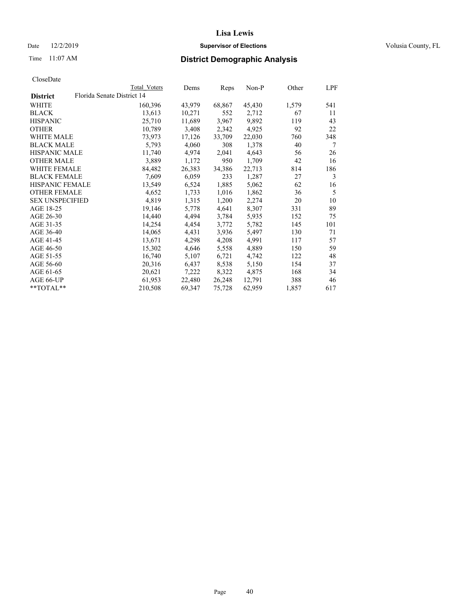## Date 12/2/2019 **Supervisor of Elections Supervisor of Elections** Volusia County, FL

| CloseDate |
|-----------|
|-----------|

|                        |                            | Total Voters | Dems   | Reps   | $Non-P$ | Other | LPF |
|------------------------|----------------------------|--------------|--------|--------|---------|-------|-----|
| <b>District</b>        | Florida Senate District 14 |              |        |        |         |       |     |
| WHITE                  |                            | 160,396      | 43,979 | 68,867 | 45,430  | 1,579 | 541 |
| <b>BLACK</b>           |                            | 13,613       | 10,271 | 552    | 2,712   | 67    | 11  |
| <b>HISPANIC</b>        |                            | 25,710       | 11,689 | 3,967  | 9,892   | 119   | 43  |
| <b>OTHER</b>           |                            | 10,789       | 3,408  | 2,342  | 4,925   | 92    | 22  |
| <b>WHITE MALE</b>      |                            | 73,973       | 17,126 | 33,709 | 22,030  | 760   | 348 |
| <b>BLACK MALE</b>      |                            | 5,793        | 4,060  | 308    | 1,378   | 40    | 7   |
| <b>HISPANIC MALE</b>   |                            | 11,740       | 4,974  | 2,041  | 4,643   | 56    | 26  |
| <b>OTHER MALE</b>      |                            | 3,889        | 1,172  | 950    | 1,709   | 42    | 16  |
| <b>WHITE FEMALE</b>    |                            | 84,482       | 26,383 | 34,386 | 22,713  | 814   | 186 |
| <b>BLACK FEMALE</b>    |                            | 7,609        | 6,059  | 233    | 1,287   | 27    | 3   |
| HISPANIC FEMALE        |                            | 13,549       | 6,524  | 1,885  | 5,062   | 62    | 16  |
| <b>OTHER FEMALE</b>    |                            | 4,652        | 1,733  | 1,016  | 1,862   | 36    | 5   |
| <b>SEX UNSPECIFIED</b> |                            | 4,819        | 1,315  | 1,200  | 2,274   | 20    | 10  |
| AGE 18-25              |                            | 19,146       | 5,778  | 4,641  | 8,307   | 331   | 89  |
| AGE 26-30              |                            | 14,440       | 4,494  | 3,784  | 5,935   | 152   | 75  |
| AGE 31-35              |                            | 14,254       | 4,454  | 3,772  | 5,782   | 145   | 101 |
| AGE 36-40              |                            | 14,065       | 4,431  | 3,936  | 5,497   | 130   | 71  |
| AGE 41-45              |                            | 13,671       | 4,298  | 4,208  | 4,991   | 117   | 57  |
| AGE 46-50              |                            | 15,302       | 4,646  | 5,558  | 4,889   | 150   | 59  |
| AGE 51-55              |                            | 16,740       | 5,107  | 6,721  | 4,742   | 122   | 48  |
| AGE 56-60              |                            | 20,316       | 6,437  | 8,538  | 5,150   | 154   | 37  |
| AGE 61-65              |                            | 20,621       | 7,222  | 8,322  | 4,875   | 168   | 34  |
| AGE 66-UP              |                            | 61,953       | 22,480 | 26,248 | 12,791  | 388   | 46  |
| $*$ $TOTAL**$          |                            | 210,508      | 69,347 | 75,728 | 62,959  | 1,857 | 617 |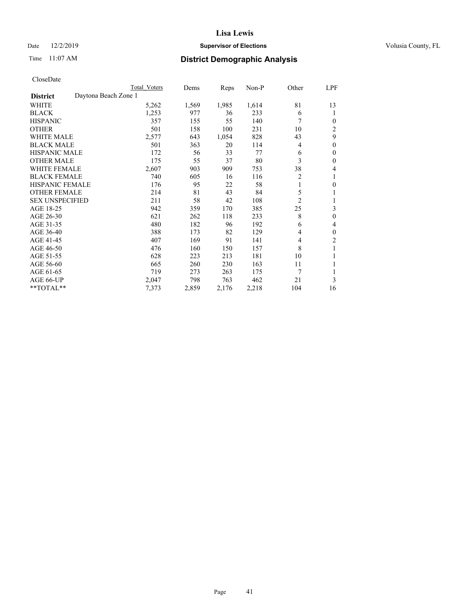## Date 12/2/2019 **Supervisor of Elections Supervisor of Elections** Volusia County, FL

# Time 11:07 AM **District Demographic Analysis**

|                        | Total Voters         | Dems  | Reps  | Non-P | Other          | LPF            |
|------------------------|----------------------|-------|-------|-------|----------------|----------------|
| <b>District</b>        | Daytona Beach Zone 1 |       |       |       |                |                |
| WHITE                  | 5,262                | 1,569 | 1,985 | 1,614 | 81             | 13             |
| <b>BLACK</b>           | 1,253                | 977   | 36    | 233   | 6              |                |
| <b>HISPANIC</b>        | 357                  | 155   | 55    | 140   | 7              | $\Omega$       |
| <b>OTHER</b>           | 501                  | 158   | 100   | 231   | 10             | $\overline{2}$ |
| <b>WHITE MALE</b>      | 2,577                | 643   | 1,054 | 828   | 43             | 9              |
| <b>BLACK MALE</b>      | 501                  | 363   | 20    | 114   | 4              | $\theta$       |
| <b>HISPANIC MALE</b>   | 172                  | 56    | 33    | 77    | 6              | $\theta$       |
| <b>OTHER MALE</b>      | 175                  | 55    | 37    | 80    | 3              | $\theta$       |
| <b>WHITE FEMALE</b>    | 2,607                | 903   | 909   | 753   | 38             | 4              |
| <b>BLACK FEMALE</b>    | 740                  | 605   | 16    | 116   | $\overline{2}$ |                |
| <b>HISPANIC FEMALE</b> | 176                  | 95    | 22    | 58    | 1              | 0              |
| <b>OTHER FEMALE</b>    | 214                  | 81    | 43    | 84    | 5              |                |
| <b>SEX UNSPECIFIED</b> | 211                  | 58    | 42    | 108   | $\overline{2}$ |                |
| AGE 18-25              | 942                  | 359   | 170   | 385   | 25             | 3              |
| AGE 26-30              | 621                  | 262   | 118   | 233   | 8              | $\theta$       |
| AGE 31-35              | 480                  | 182   | 96    | 192   | 6              | 4              |
| AGE 36-40              | 388                  | 173   | 82    | 129   | 4              | $\theta$       |
| AGE 41-45              | 407                  | 169   | 91    | 141   | 4              | 2              |
| AGE 46-50              | 476                  | 160   | 150   | 157   | 8              | 1              |
| AGE 51-55              | 628                  | 223   | 213   | 181   | 10             |                |
| AGE 56-60              | 665                  | 260   | 230   | 163   | 11             |                |
| AGE 61-65              | 719                  | 273   | 263   | 175   | 7              | 1              |
| AGE 66-UP              | 2,047                | 798   | 763   | 462   | 21             | 3              |
| **TOTAL**              | 7,373                | 2,859 | 2,176 | 2,218 | 104            | 16             |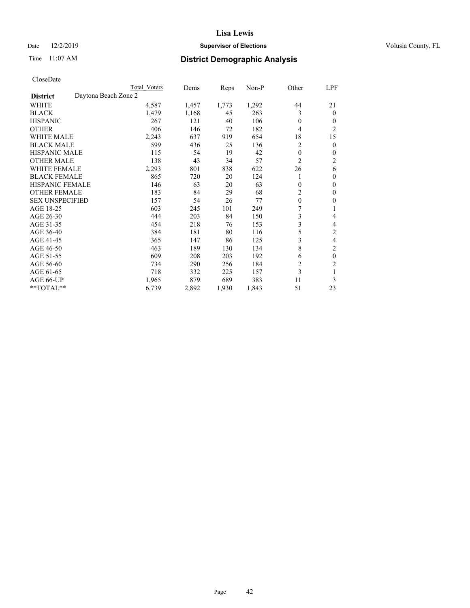## Date 12/2/2019 **Supervisor of Elections Supervisor of Elections** Volusia County, FL

# Time 11:07 AM **District Demographic Analysis**

|                        | Total Voters         | Dems  | Reps  | Non-P | Other          | LPF            |
|------------------------|----------------------|-------|-------|-------|----------------|----------------|
| <b>District</b>        | Daytona Beach Zone 2 |       |       |       |                |                |
| WHITE                  | 4,587                | 1,457 | 1,773 | 1,292 | 44             | 21             |
| <b>BLACK</b>           | 1,479                | 1,168 | 45    | 263   | 3              | $\mathbf{0}$   |
| <b>HISPANIC</b>        | 267                  | 121   | 40    | 106   | $\Omega$       | $\Omega$       |
| <b>OTHER</b>           | 406                  | 146   | 72    | 182   | 4              | $\overline{2}$ |
| <b>WHITE MALE</b>      | 2,243                | 637   | 919   | 654   | 18             | 15             |
| <b>BLACK MALE</b>      | 599                  | 436   | 25    | 136   | 2              | $\theta$       |
| <b>HISPANIC MALE</b>   | 115                  | 54    | 19    | 42    | $\theta$       | $\theta$       |
| <b>OTHER MALE</b>      | 138                  | 43    | 34    | 57    | $\overline{2}$ | $\overline{c}$ |
| <b>WHITE FEMALE</b>    | 2,293                | 801   | 838   | 622   | 26             | 6              |
| <b>BLACK FEMALE</b>    | 865                  | 720   | 20    | 124   |                | $\theta$       |
| <b>HISPANIC FEMALE</b> | 146                  | 63    | 20    | 63    | $\theta$       | $\theta$       |
| <b>OTHER FEMALE</b>    | 183                  | 84    | 29    | 68    | $\overline{2}$ | $\theta$       |
| <b>SEX UNSPECIFIED</b> | 157                  | 54    | 26    | 77    | $\mathbf{0}$   | $\theta$       |
| AGE 18-25              | 603                  | 245   | 101   | 249   | 7              |                |
| AGE 26-30              | 444                  | 203   | 84    | 150   | 3              | 4              |
| AGE 31-35              | 454                  | 218   | 76    | 153   | 3              | 4              |
| AGE 36-40              | 384                  | 181   | 80    | 116   | 5              | 2              |
| AGE 41-45              | 365                  | 147   | 86    | 125   | 3              | 4              |
| AGE 46-50              | 463                  | 189   | 130   | 134   | 8              | 2              |
| AGE 51-55              | 609                  | 208   | 203   | 192   | 6              | $\mathbf{0}$   |
| AGE 56-60              | 734                  | 290   | 256   | 184   | $\overline{c}$ | $\overline{c}$ |
| AGE 61-65              | 718                  | 332   | 225   | 157   | 3              | 1              |
| AGE 66-UP              | 1,965                | 879   | 689   | 383   | 11             | 3              |
| **TOTAL**              | 6,739                | 2,892 | 1,930 | 1,843 | 51             | 23             |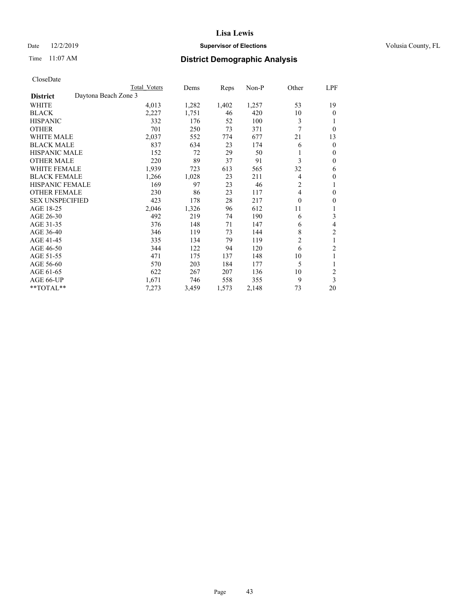## Date 12/2/2019 **Supervisor of Elections Supervisor of Elections** Volusia County, FL

# Time 11:07 AM **District Demographic Analysis**

|                        |                      | Total Voters | Dems  | Reps  | Non-P | Other    | LPF              |
|------------------------|----------------------|--------------|-------|-------|-------|----------|------------------|
| <b>District</b>        | Daytona Beach Zone 3 |              |       |       |       |          |                  |
| WHITE                  |                      | 4,013        | 1,282 | 1,402 | 1,257 | 53       | 19               |
| <b>BLACK</b>           |                      | 2,227        | 1,751 | 46    | 420   | 10       | $\mathbf{0}$     |
| <b>HISPANIC</b>        |                      | 332          | 176   | 52    | 100   | 3        | 1                |
| <b>OTHER</b>           |                      | 701          | 250   | 73    | 371   | 7        | $\theta$         |
| <b>WHITE MALE</b>      |                      | 2,037        | 552   | 774   | 677   | 21       | 13               |
| <b>BLACK MALE</b>      |                      | 837          | 634   | 23    | 174   | 6        | $\mathbf{0}$     |
| <b>HISPANIC MALE</b>   |                      | 152          | 72    | 29    | 50    |          | $\mathbf{0}$     |
| <b>OTHER MALE</b>      |                      | 220          | 89    | 37    | 91    | 3        | $\mathbf{0}$     |
| WHITE FEMALE           |                      | 1,939        | 723   | 613   | 565   | 32       | 6                |
| <b>BLACK FEMALE</b>    |                      | 1,266        | 1,028 | 23    | 211   | 4        | $\theta$         |
| <b>HISPANIC FEMALE</b> |                      | 169          | 97    | 23    | 46    | 2        | 1                |
| <b>OTHER FEMALE</b>    |                      | 230          | 86    | 23    | 117   | 4        | 0                |
| <b>SEX UNSPECIFIED</b> |                      | 423          | 178   | 28    | 217   | $\theta$ | $\boldsymbol{0}$ |
| AGE 18-25              |                      | 2,046        | 1,326 | 96    | 612   | 11       | 1                |
| AGE 26-30              |                      | 492          | 219   | 74    | 190   | 6        | 3                |
| AGE 31-35              |                      | 376          | 148   | 71    | 147   | 6        | 4                |
| AGE 36-40              |                      | 346          | 119   | 73    | 144   | 8        | 2                |
| AGE 41-45              |                      | 335          | 134   | 79    | 119   | 2        | 1                |
| AGE 46-50              |                      | 344          | 122   | 94    | 120   | 6        | 2                |
| AGE 51-55              |                      | 471          | 175   | 137   | 148   | 10       | 1                |
| AGE 56-60              |                      | 570          | 203   | 184   | 177   | 5        |                  |
| AGE 61-65              |                      | 622          | 267   | 207   | 136   | 10       | $\overline{2}$   |
| AGE 66-UP              |                      | 1,671        | 746   | 558   | 355   | 9        | 3                |
| **TOTAL**              |                      | 7,273        | 3,459 | 1,573 | 2,148 | 73       | 20               |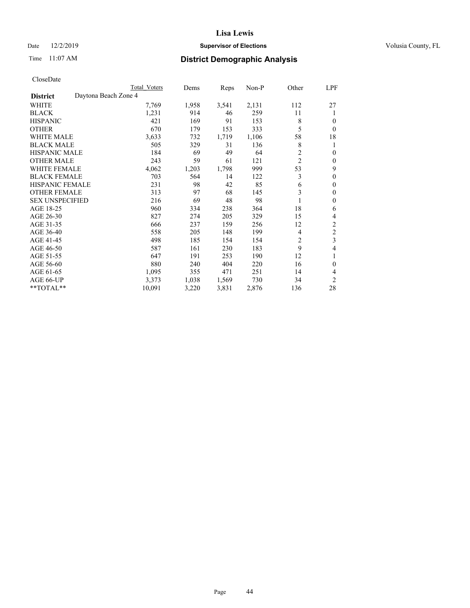## Date 12/2/2019 **Supervisor of Elections Supervisor of Elections** Volusia County, FL

# Time 11:07 AM **District Demographic Analysis**

|                        | Total Voters         | Dems  | Reps  | Non-P | Other          | LPF            |
|------------------------|----------------------|-------|-------|-------|----------------|----------------|
| <b>District</b>        | Daytona Beach Zone 4 |       |       |       |                |                |
| WHITE                  | 7,769                | 1,958 | 3,541 | 2,131 | 112            | 27             |
| <b>BLACK</b>           | 1,231                | 914   | 46    | 259   | 11             |                |
| <b>HISPANIC</b>        | 421                  | 169   | 91    | 153   | 8              | $\Omega$       |
| <b>OTHER</b>           | 670                  | 179   | 153   | 333   | 5              | 0              |
| <b>WHITE MALE</b>      | 3,633                | 732   | 1,719 | 1,106 | 58             | 18             |
| <b>BLACK MALE</b>      | 505                  | 329   | 31    | 136   | 8              | 1              |
| <b>HISPANIC MALE</b>   | 184                  | 69    | 49    | 64    | $\overline{2}$ | $\theta$       |
| <b>OTHER MALE</b>      | 243                  | 59    | 61    | 121   | $\overline{c}$ | $\mathbf{0}$   |
| <b>WHITE FEMALE</b>    | 4,062                | 1,203 | 1,798 | 999   | 53             | 9              |
| <b>BLACK FEMALE</b>    | 703                  | 564   | 14    | 122   | 3              | $\theta$       |
| <b>HISPANIC FEMALE</b> | 231                  | 98    | 42    | 85    | 6              | $\theta$       |
| <b>OTHER FEMALE</b>    | 313                  | 97    | 68    | 145   | 3              | $\theta$       |
| <b>SEX UNSPECIFIED</b> | 216                  | 69    | 48    | 98    |                | $\theta$       |
| AGE 18-25              | 960                  | 334   | 238   | 364   | 18             | 6              |
| AGE 26-30              | 827                  | 274   | 205   | 329   | 15             | 4              |
| AGE 31-35              | 666                  | 237   | 159   | 256   | 12             | $\overline{c}$ |
| AGE 36-40              | 558                  | 205   | 148   | 199   | 4              | 2              |
| AGE 41-45              | 498                  | 185   | 154   | 154   | 2              | 3              |
| AGE 46-50              | 587                  | 161   | 230   | 183   | 9              | 4              |
| AGE 51-55              | 647                  | 191   | 253   | 190   | 12             | 1              |
| AGE 56-60              | 880                  | 240   | 404   | 220   | 16             | $\theta$       |
| AGE 61-65              | 1,095                | 355   | 471   | 251   | 14             | 4              |
| AGE 66-UP              | 3,373                | 1,038 | 1,569 | 730   | 34             | $\overline{c}$ |
| **TOTAL**              | 10,091               | 3,220 | 3,831 | 2,876 | 136            | 28             |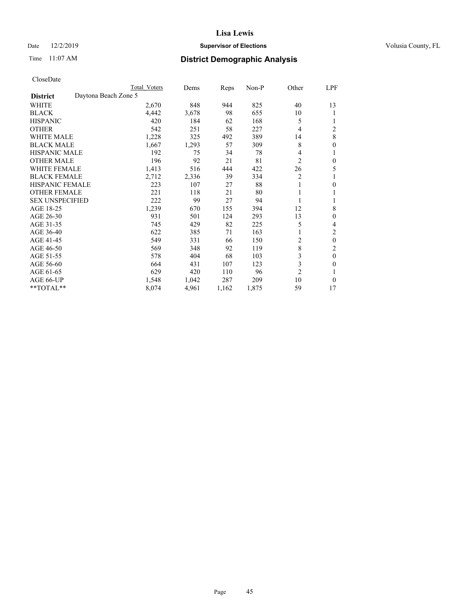## Date 12/2/2019 **Supervisor of Elections Supervisor of Elections** Volusia County, FL

# Time 11:07 AM **District Demographic Analysis**

| Total Voters | Dems                 | Reps  | $Non-P$ | Other          | LPF              |
|--------------|----------------------|-------|---------|----------------|------------------|
|              |                      |       |         |                |                  |
| 2,670        | 848                  | 944   | 825     | 40             | 13               |
| 4,442        | 3,678                | 98    | 655     | 10             | 1                |
| 420          | 184                  | 62    | 168     | 5              |                  |
| 542          | 251                  | 58    | 227     | 4              | $\overline{c}$   |
| 1,228        | 325                  | 492   | 389     | 14             | $\,$ 8 $\,$      |
| 1,667        | 1,293                | 57    | 309     | 8              | $\boldsymbol{0}$ |
| 192          | 75                   | 34    | 78      | 4              | 1                |
| 196          | 92                   | 21    | 81      | $\overline{c}$ | $\theta$         |
| 1,413        | 516                  | 444   | 422     | 26             | 5                |
| 2,712        | 2,336                | 39    | 334     | 2              | 1                |
| 223          | 107                  | 27    | 88      | 1              | 0                |
| 221          | 118                  | 21    | 80      |                | 1                |
| 222          | 99                   | 27    | 94      |                |                  |
| 1,239        | 670                  | 155   | 394     | 12             | 8                |
| 931          | 501                  | 124   | 293     | 13             | 0                |
| 745          | 429                  | 82    | 225     | 5              | 4                |
| 622          | 385                  | 71    | 163     |                | $\overline{2}$   |
| 549          | 331                  | 66    | 150     | 2              | $\theta$         |
| 569          | 348                  | 92    | 119     |                | $\overline{c}$   |
| 578          | 404                  | 68    | 103     | 3              | $\theta$         |
| 664          | 431                  | 107   | 123     | 3              | 0                |
| 629          | 420                  | 110   | 96      | $\overline{2}$ |                  |
| 1,548        | 1,042                | 287   | 209     | 10             | $\theta$         |
| 8,074        | 4,961                | 1,162 | 1,875   | 59             | 17               |
|              | Daytona Beach Zone 5 |       |         |                | $\,8\,$          |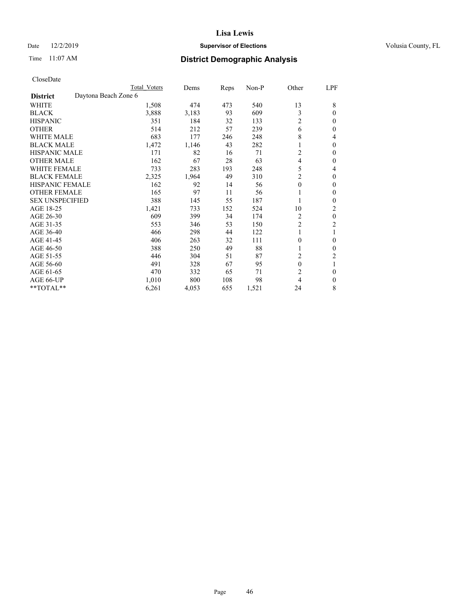## Date 12/2/2019 **Supervisor of Elections Supervisor of Elections** Volusia County, FL

# Time 11:07 AM **District Demographic Analysis**

|                        |                      | Total Voters | Dems  | Reps | Non-P | Other          | LPF            |
|------------------------|----------------------|--------------|-------|------|-------|----------------|----------------|
| <b>District</b>        | Daytona Beach Zone 6 |              |       |      |       |                |                |
| WHITE                  |                      | 1,508        | 474   | 473  | 540   | 13             | 8              |
| <b>BLACK</b>           |                      | 3,888        | 3,183 | 93   | 609   | 3              | $\theta$       |
| <b>HISPANIC</b>        |                      | 351          | 184   | 32   | 133   | $\overline{c}$ | $\theta$       |
| <b>OTHER</b>           |                      | 514          | 212   | 57   | 239   | 6              | $\Omega$       |
| WHITE MALE             |                      | 683          | 177   | 246  | 248   | 8              | 4              |
| <b>BLACK MALE</b>      |                      | 1,472        | 1,146 | 43   | 282   |                | $\theta$       |
| <b>HISPANIC MALE</b>   |                      | 171          | 82    | 16   | 71    | 2              | $\Omega$       |
| <b>OTHER MALE</b>      |                      | 162          | 67    | 28   | 63    | $\overline{4}$ | 0              |
| WHITE FEMALE           |                      | 733          | 283   | 193  | 248   | 5              | 4              |
| <b>BLACK FEMALE</b>    |                      | 2,325        | 1,964 | 49   | 310   | 2              | $\Omega$       |
| <b>HISPANIC FEMALE</b> |                      | 162          | 92    | 14   | 56    | $\theta$       | $\Omega$       |
| <b>OTHER FEMALE</b>    |                      | 165          | 97    | 11   | 56    | 1              | 0              |
| <b>SEX UNSPECIFIED</b> |                      | 388          | 145   | 55   | 187   |                | $\Omega$       |
| AGE 18-25              |                      | 1,421        | 733   | 152  | 524   | 10             | 2              |
| AGE 26-30              |                      | 609          | 399   | 34   | 174   | 2              | $\mathbf{0}$   |
| AGE 31-35              |                      | 553          | 346   | 53   | 150   | $\overline{c}$ | $\overline{c}$ |
| AGE 36-40              |                      | 466          | 298   | 44   | 122   |                |                |
| AGE 41-45              |                      | 406          | 263   | 32   | 111   | $\theta$       | $\Omega$       |
| AGE 46-50              |                      | 388          | 250   | 49   | 88    |                | $\theta$       |
| AGE 51-55              |                      | 446          | 304   | 51   | 87    | 2              | 2              |
| AGE 56-60              |                      | 491          | 328   | 67   | 95    | $\theta$       |                |
| AGE 61-65              |                      | 470          | 332   | 65   | 71    | $\overline{c}$ | $\theta$       |
| AGE 66-UP              |                      | 1,010        | 800   | 108  | 98    | 4              | $\Omega$       |
| **TOTAL**              |                      | 6,261        | 4,053 | 655  | 1,521 | 24             | 8              |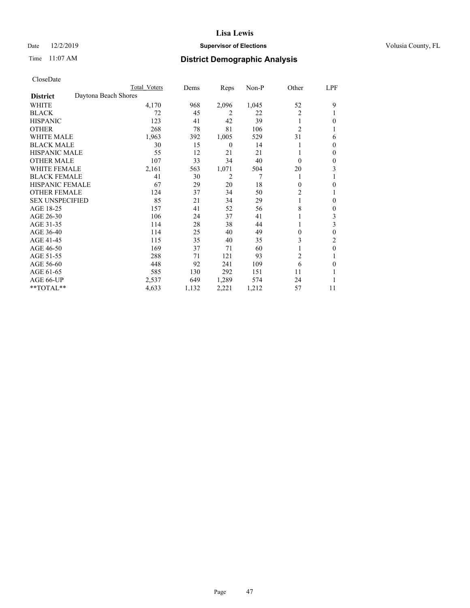## Date 12/2/2019 **Supervisor of Elections Supervisor of Elections** Volusia County, FL

# Time 11:07 AM **District Demographic Analysis**

|                        |                      | Total Voters | Dems  | Reps             | Non-P | Other          | LPF          |
|------------------------|----------------------|--------------|-------|------------------|-------|----------------|--------------|
| <b>District</b>        | Daytona Beach Shores |              |       |                  |       |                |              |
| WHITE                  |                      | 4,170        | 968   | 2,096            | 1,045 | 52             | 9            |
| <b>BLACK</b>           |                      | 72           | 45    | 2                | 22    | $\overline{2}$ |              |
| <b>HISPANIC</b>        |                      | 123          | 41    | 42               | 39    | 1              | 0            |
| <b>OTHER</b>           |                      | 268          | 78    | 81               | 106   | $\overline{2}$ |              |
| <b>WHITE MALE</b>      |                      | 1,963        | 392   | 1,005            | 529   | 31             | 6            |
| <b>BLACK MALE</b>      |                      | 30           | 15    | $\boldsymbol{0}$ | 14    |                | $\Omega$     |
| <b>HISPANIC MALE</b>   |                      | 55           | 12    | 21               | 21    |                | $\mathbf{0}$ |
| <b>OTHER MALE</b>      |                      | 107          | 33    | 34               | 40    | $\theta$       | $\mathbf{0}$ |
| WHITE FEMALE           |                      | 2,161        | 563   | 1,071            | 504   | 20             | 3            |
| <b>BLACK FEMALE</b>    |                      | 41           | 30    | $\overline{2}$   | 7     |                |              |
| <b>HISPANIC FEMALE</b> |                      | 67           | 29    | 20               | 18    | $\theta$       | 0            |
| <b>OTHER FEMALE</b>    |                      | 124          | 37    | 34               | 50    | 2              |              |
| <b>SEX UNSPECIFIED</b> |                      | 85           | 21    | 34               | 29    |                | $\theta$     |
| AGE 18-25              |                      | 157          | 41    | 52               | 56    | 8              | $\mathbf{0}$ |
| AGE 26-30              |                      | 106          | 24    | 37               | 41    |                | 3            |
| AGE 31-35              |                      | 114          | 28    | 38               | 44    |                | 3            |
| AGE 36-40              |                      | 114          | 25    | 40               | 49    | 0              | $\theta$     |
| AGE 41-45              |                      | 115          | 35    | 40               | 35    | 3              | 2            |
| AGE 46-50              |                      | 169          | 37    | 71               | 60    |                | $\theta$     |
| AGE 51-55              |                      | 288          | 71    | 121              | 93    | $\overline{2}$ |              |
| AGE 56-60              |                      | 448          | 92    | 241              | 109   | 6              | 0            |
| AGE 61-65              |                      | 585          | 130   | 292              | 151   | 11             |              |
| AGE 66-UP              |                      | 2,537        | 649   | 1,289            | 574   | 24             |              |
| **TOTAL**              |                      | 4,633        | 1,132 | 2,221            | 1,212 | 57             | 11           |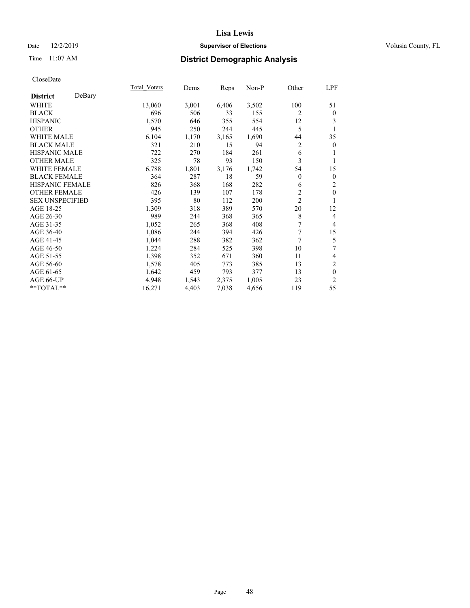## Date 12/2/2019 **Supervisor of Elections Supervisor of Elections** Volusia County, FL

# Time 11:07 AM **District Demographic Analysis**

|                        |        | Total Voters | Dems  | Reps  | Non-P | Other          | LPF              |
|------------------------|--------|--------------|-------|-------|-------|----------------|------------------|
| <b>District</b>        | DeBary |              |       |       |       |                |                  |
| WHITE                  |        | 13,060       | 3,001 | 6,406 | 3,502 | 100            | 51               |
| <b>BLACK</b>           |        | 696          | 506   | 33    | 155   | 2              | $\bf{0}$         |
| <b>HISPANIC</b>        |        | 1,570        | 646   | 355   | 554   | 12             | 3                |
| <b>OTHER</b>           |        | 945          | 250   | 244   | 445   | 5              | 1                |
| WHITE MALE             |        | 6,104        | 1,170 | 3,165 | 1,690 | 44             | 35               |
| <b>BLACK MALE</b>      |        | 321          | 210   | 15    | 94    | $\overline{c}$ | $\mathbf{0}$     |
| <b>HISPANIC MALE</b>   |        | 722          | 270   | 184   | 261   | 6              | 1                |
| <b>OTHER MALE</b>      |        | 325          | 78    | 93    | 150   | 3              | 1                |
| <b>WHITE FEMALE</b>    |        | 6,788        | 1,801 | 3,176 | 1,742 | 54             | 15               |
| <b>BLACK FEMALE</b>    |        | 364          | 287   | 18    | 59    | $\mathbf{0}$   | $\boldsymbol{0}$ |
| <b>HISPANIC FEMALE</b> |        | 826          | 368   | 168   | 282   | 6              | $\overline{2}$   |
| <b>OTHER FEMALE</b>    |        | 426          | 139   | 107   | 178   | $\overline{c}$ | $\mathbf{0}$     |
| <b>SEX UNSPECIFIED</b> |        | 395          | 80    | 112   | 200   | $\overline{c}$ | 1                |
| AGE 18-25              |        | 1,309        | 318   | 389   | 570   | 20             | 12               |
| AGE 26-30              |        | 989          | 244   | 368   | 365   | 8              | $\overline{4}$   |
| AGE 31-35              |        | 1,052        | 265   | 368   | 408   | 7              | $\overline{4}$   |
| AGE 36-40              |        | 1,086        | 244   | 394   | 426   | 7              | 15               |
| AGE 41-45              |        | 1,044        | 288   | 382   | 362   | 7              | 5                |
| AGE 46-50              |        | 1,224        | 284   | 525   | 398   | 10             | 7                |
| AGE 51-55              |        | 1,398        | 352   | 671   | 360   | 11             | 4                |
| AGE 56-60              |        | 1,578        | 405   | 773   | 385   | 13             | $\mathfrak{2}$   |
| AGE 61-65              |        | 1,642        | 459   | 793   | 377   | 13             | $\boldsymbol{0}$ |
| AGE 66-UP              |        | 4,948        | 1,543 | 2,375 | 1,005 | 23             | $\overline{2}$   |
| **TOTAL**              |        | 16,271       | 4,403 | 7,038 | 4,656 | 119            | 55               |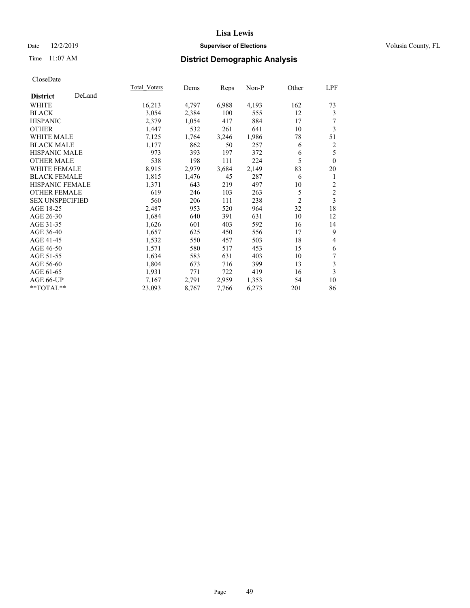## Date 12/2/2019 **Supervisor of Elections Supervisor of Elections** Volusia County, FL

# Time 11:07 AM **District Demographic Analysis**

|                        |        | Total Voters | Dems  | Reps  | Non-P | Other          | LPF            |
|------------------------|--------|--------------|-------|-------|-------|----------------|----------------|
| <b>District</b>        | DeLand |              |       |       |       |                |                |
| WHITE                  |        | 16,213       | 4,797 | 6,988 | 4,193 | 162            | 73             |
| <b>BLACK</b>           |        | 3,054        | 2,384 | 100   | 555   | 12             | 3              |
| <b>HISPANIC</b>        |        | 2,379        | 1,054 | 417   | 884   | 17             | 7              |
| <b>OTHER</b>           |        | 1,447        | 532   | 261   | 641   | 10             | 3              |
| WHITE MALE             |        | 7,125        | 1,764 | 3,246 | 1,986 | 78             | 51             |
| <b>BLACK MALE</b>      |        | 1,177        | 862   | 50    | 257   | 6              | $\overline{c}$ |
| <b>HISPANIC MALE</b>   |        | 973          | 393   | 197   | 372   | 6              | 5              |
| <b>OTHER MALE</b>      |        | 538          | 198   | 111   | 224   | 5              | $\theta$       |
| <b>WHITE FEMALE</b>    |        | 8,915        | 2,979 | 3,684 | 2,149 | 83             | 20             |
| <b>BLACK FEMALE</b>    |        | 1,815        | 1,476 | 45    | 287   | 6              | 1              |
| HISPANIC FEMALE        |        | 1,371        | 643   | 219   | 497   | 10             | 2              |
| <b>OTHER FEMALE</b>    |        | 619          | 246   | 103   | 263   | 5              | $\sqrt{2}$     |
| <b>SEX UNSPECIFIED</b> |        | 560          | 206   | 111   | 238   | $\mathfrak{2}$ | 3              |
| AGE 18-25              |        | 2,487        | 953   | 520   | 964   | 32             | 18             |
| AGE 26-30              |        | 1,684        | 640   | 391   | 631   | 10             | 12             |
| AGE 31-35              |        | 1,626        | 601   | 403   | 592   | 16             | 14             |
| AGE 36-40              |        | 1,657        | 625   | 450   | 556   | 17             | 9              |
| AGE 41-45              |        | 1,532        | 550   | 457   | 503   | 18             | $\overline{4}$ |
| AGE 46-50              |        | 1,571        | 580   | 517   | 453   | 15             | 6              |
| AGE 51-55              |        | 1,634        | 583   | 631   | 403   | 10             | 7              |
| AGE 56-60              |        | 1,804        | 673   | 716   | 399   | 13             | 3              |
| AGE 61-65              |        | 1,931        | 771   | 722   | 419   | 16             | 3              |
| AGE 66-UP              |        | 7,167        | 2,791 | 2,959 | 1,353 | 54             | 10             |
| **TOTAL**              |        | 23,093       | 8,767 | 7,766 | 6,273 | 201            | 86             |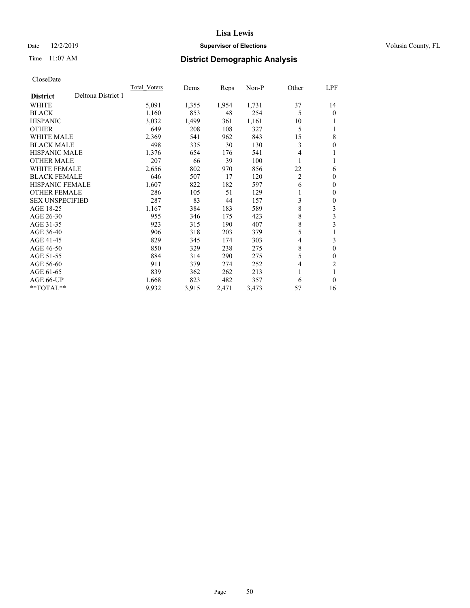## Date 12/2/2019 **Supervisor of Elections Supervisor of Elections** Volusia County, FL

# Time 11:07 AM **District Demographic Analysis**

|                                       | Total Voters | Dems  | Reps  | $Non-P$ | Other          | <u>LPF</u>     |
|---------------------------------------|--------------|-------|-------|---------|----------------|----------------|
| Deltona District 1<br><b>District</b> |              |       |       |         |                |                |
| <b>WHITE</b>                          | 5,091        | 1,355 | 1,954 | 1,731   | 37             | 14             |
| <b>BLACK</b>                          | 1,160        | 853   | 48    | 254     | 5              | $\theta$       |
| <b>HISPANIC</b>                       | 3,032        | 1,499 | 361   | 1,161   | 10             |                |
| <b>OTHER</b>                          | 649          | 208   | 108   | 327     | 5              |                |
| <b>WHITE MALE</b>                     | 2,369        | 541   | 962   | 843     | 15             | 8              |
| <b>BLACK MALE</b>                     | 498          | 335   | 30    | 130     | 3              | 0              |
| HISPANIC MALE                         | 1,376        | 654   | 176   | 541     | 4              |                |
| <b>OTHER MALE</b>                     | 207          | 66    | 39    | 100     | 1              |                |
| WHITE FEMALE                          | 2,656        | 802   | 970   | 856     | 22             | 6              |
| <b>BLACK FEMALE</b>                   | 646          | 507   | 17    | 120     | $\overline{2}$ | $\theta$       |
| <b>HISPANIC FEMALE</b>                | 1,607        | 822   | 182   | 597     | 6              | $\mathbf{0}$   |
| <b>OTHER FEMALE</b>                   | 286          | 105   | 51    | 129     | 1              | 0              |
| <b>SEX UNSPECIFIED</b>                | 287          | 83    | 44    | 157     | 3              | 0              |
| AGE 18-25                             | 1,167        | 384   | 183   | 589     | 8              | 3              |
| AGE 26-30                             | 955          | 346   | 175   | 423     | 8              | 3              |
| AGE 31-35                             | 923          | 315   | 190   | 407     | 8              | 3              |
| AGE 36-40                             | 906          | 318   | 203   | 379     | 5              |                |
| AGE 41-45                             | 829          | 345   | 174   | 303     | 4              | 3              |
| AGE 46-50                             | 850          | 329   | 238   | 275     | 8              | $\theta$       |
| AGE 51-55                             | 884          | 314   | 290   | 275     | 5              | 0              |
| AGE 56-60                             | 911          | 379   | 274   | 252     | 4              | $\overline{c}$ |
| AGE 61-65                             | 839          | 362   | 262   | 213     | 1              |                |
| AGE 66-UP                             | 1,668        | 823   | 482   | 357     | 6              | $\theta$       |
| $*$ TOTAL $*$                         | 9,932        | 3,915 | 2,471 | 3,473   | 57             | 16             |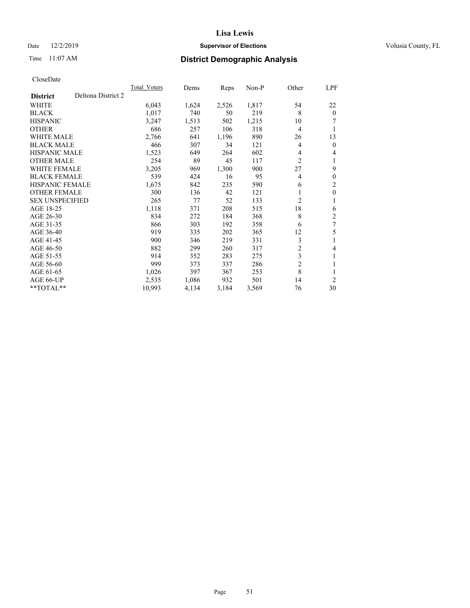## Date 12/2/2019 **Supervisor of Elections Supervisor of Elections** Volusia County, FL

# Time 11:07 AM **District Demographic Analysis**

|                        |                    | <b>Total Voters</b> | Dems  | Reps  | $Non-P$ | Other          | LPF            |
|------------------------|--------------------|---------------------|-------|-------|---------|----------------|----------------|
| <b>District</b>        | Deltona District 2 |                     |       |       |         |                |                |
| <b>WHITE</b>           |                    | 6,043               | 1,624 | 2,526 | 1,817   | 54             | 22             |
| <b>BLACK</b>           |                    | 1,017               | 740   | 50    | 219     | 8              | $\theta$       |
| <b>HISPANIC</b>        |                    | 3,247               | 1,513 | 502   | 1,215   | 10             | 7              |
| <b>OTHER</b>           |                    | 686                 | 257   | 106   | 318     | $\overline{4}$ | 1              |
| <b>WHITE MALE</b>      |                    | 2,766               | 641   | 1,196 | 890     | 26             | 13             |
| <b>BLACK MALE</b>      |                    | 466                 | 307   | 34    | 121     | 4              | $\mathbf{0}$   |
| <b>HISPANIC MALE</b>   |                    | 1,523               | 649   | 264   | 602     | 4              | 4              |
| <b>OTHER MALE</b>      |                    | 254                 | 89    | 45    | 117     | $\overline{c}$ | 1              |
| <b>WHITE FEMALE</b>    |                    | 3,205               | 969   | 1,300 | 900     | 27             | 9              |
| <b>BLACK FEMALE</b>    |                    | 539                 | 424   | 16    | 95      | 4              | $\theta$       |
| <b>HISPANIC FEMALE</b> |                    | 1,675               | 842   | 235   | 590     | 6              | $\overline{2}$ |
| <b>OTHER FEMALE</b>    |                    | 300                 | 136   | 42    | 121     | 1              | $\theta$       |
| <b>SEX UNSPECIFIED</b> |                    | 265                 | 77    | 52    | 133     | 2              | 1              |
| AGE 18-25              |                    | 1,118               | 371   | 208   | 515     | 18             | 6              |
| AGE 26-30              |                    | 834                 | 272   | 184   | 368     | 8              | 2              |
| AGE 31-35              |                    | 866                 | 303   | 192   | 358     | 6              | 7              |
| AGE 36-40              |                    | 919                 | 335   | 202   | 365     | 12             | 5              |
| AGE 41-45              |                    | 900                 | 346   | 219   | 331     | 3              | 1              |
| AGE 46-50              |                    | 882                 | 299   | 260   | 317     | $\overline{c}$ | 4              |
| AGE 51-55              |                    | 914                 | 352   | 283   | 275     | 3              | 1              |
| AGE 56-60              |                    | 999                 | 373   | 337   | 286     | $\overline{2}$ | 1              |
| AGE 61-65              |                    | 1,026               | 397   | 367   | 253     | 8              |                |
| AGE 66-UP              |                    | 2,535               | 1,086 | 932   | 501     | 14             | $\overline{2}$ |
| $*$ TOTAL $*$          |                    | 10,993              | 4,134 | 3,184 | 3,569   | 76             | 30             |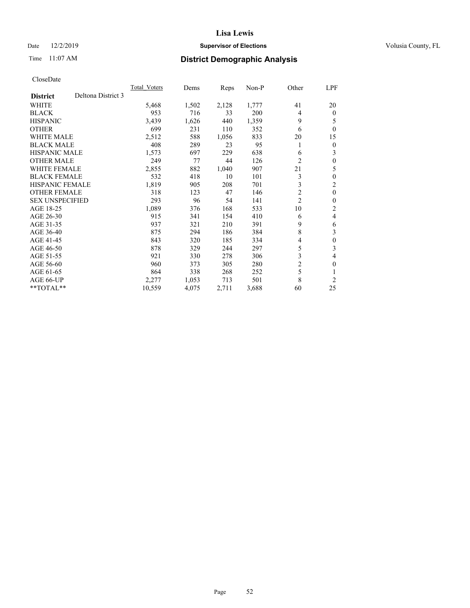## Date 12/2/2019 **Supervisor of Elections Supervisor of Elections** Volusia County, FL

# Time 11:07 AM **District Demographic Analysis**

|                                       | <b>Total Voters</b> | Dems  | Reps  | $Non-P$ | Other          | LPF              |
|---------------------------------------|---------------------|-------|-------|---------|----------------|------------------|
| Deltona District 3<br><b>District</b> |                     |       |       |         |                |                  |
| WHITE                                 | 5,468               | 1,502 | 2,128 | 1,777   | 41             | 20               |
| <b>BLACK</b>                          | 953                 | 716   | 33    | 200     | 4              | $\theta$         |
| <b>HISPANIC</b>                       | 3,439               | 1,626 | 440   | 1,359   | 9              | 5                |
| <b>OTHER</b>                          | 699                 | 231   | 110   | 352     | 6              | $\theta$         |
| <b>WHITE MALE</b>                     | 2,512               | 588   | 1,056 | 833     | 20             | 15               |
| <b>BLACK MALE</b>                     | 408                 | 289   | 23    | 95      | 1              | $\theta$         |
| HISPANIC MALE                         | 1,573               | 697   | 229   | 638     | 6              | 3                |
| <b>OTHER MALE</b>                     | 249                 | 77    | 44    | 126     | $\overline{c}$ | $\theta$         |
| WHITE FEMALE                          | 2,855               | 882   | 1,040 | 907     | 21             | 5                |
| <b>BLACK FEMALE</b>                   | 532                 | 418   | 10    | 101     | 3              | $\theta$         |
| <b>HISPANIC FEMALE</b>                | 1,819               | 905   | 208   | 701     | 3              | 2                |
| <b>OTHER FEMALE</b>                   | 318                 | 123   | 47    | 146     | $\overline{c}$ | $\mathbf{0}$     |
| <b>SEX UNSPECIFIED</b>                | 293                 | 96    | 54    | 141     | $\overline{c}$ | $\theta$         |
| AGE 18-25                             | 1,089               | 376   | 168   | 533     | 10             | 2                |
| AGE 26-30                             | 915                 | 341   | 154   | 410     | 6              | 4                |
| AGE 31-35                             | 937                 | 321   | 210   | 391     | 9              | 6                |
| AGE 36-40                             | 875                 | 294   | 186   | 384     | 8              | 3                |
| AGE 41-45                             | 843                 | 320   | 185   | 334     | 4              | $\boldsymbol{0}$ |
| AGE 46-50                             | 878                 | 329   | 244   | 297     | 5              | 3                |
| AGE 51-55                             | 921                 | 330   | 278   | 306     | 3              | 4                |
| AGE 56-60                             | 960                 | 373   | 305   | 280     | $\overline{c}$ | $\theta$         |
| AGE 61-65                             | 864                 | 338   | 268   | 252     | 5              |                  |
| AGE 66-UP                             | 2,277               | 1,053 | 713   | 501     | 8              | 2                |
| **TOTAL**                             | 10,559              | 4,075 | 2,711 | 3,688   | 60             | 25               |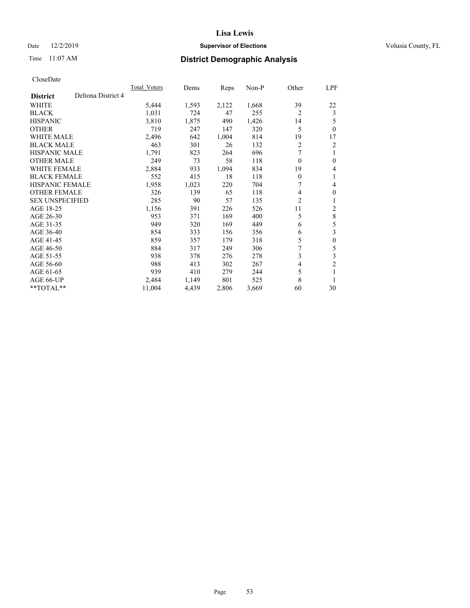## Date 12/2/2019 **Supervisor of Elections Supervisor of Elections** Volusia County, FL

# Time 11:07 AM **District Demographic Analysis**

|                        |                    | Total Voters | Dems  | Reps  | $Non-P$ | Other            | LPF            |
|------------------------|--------------------|--------------|-------|-------|---------|------------------|----------------|
| <b>District</b>        | Deltona District 4 |              |       |       |         |                  |                |
| WHITE                  |                    | 5,444        | 1,593 | 2,122 | 1,668   | 39               | 22             |
| <b>BLACK</b>           |                    | 1,031        | 724   | 47    | 255     | $\overline{2}$   | 3              |
| <b>HISPANIC</b>        |                    | 3,810        | 1,875 | 490   | 1,426   | 14               | 5              |
| <b>OTHER</b>           |                    | 719          | 247   | 147   | 320     | 5                | $\theta$       |
| <b>WHITE MALE</b>      |                    | 2,496        | 642   | 1,004 | 814     | 19               | 17             |
| <b>BLACK MALE</b>      |                    | 463          | 301   | 26    | 132     | 2                | 2              |
| HISPANIC MALE          |                    | 1,791        | 823   | 264   | 696     | 7                | 1              |
| <b>OTHER MALE</b>      |                    | 249          | 73    | 58    | 118     | $\theta$         | $\theta$       |
| WHITE FEMALE           |                    | 2,884        | 933   | 1,094 | 834     | 19               | 4              |
| <b>BLACK FEMALE</b>    |                    | 552          | 415   | 18    | 118     | $\boldsymbol{0}$ | 1              |
| <b>HISPANIC FEMALE</b> |                    | 1,958        | 1,023 | 220   | 704     | 7                | 4              |
| <b>OTHER FEMALE</b>    |                    | 326          | 139   | 65    | 118     | 4                | $\theta$       |
| <b>SEX UNSPECIFIED</b> |                    | 285          | 90    | 57    | 135     | $\overline{2}$   |                |
| AGE 18-25              |                    | 1,156        | 391   | 226   | 526     | 11               | 2              |
| AGE 26-30              |                    | 953          | 371   | 169   | 400     | 5                | $\,$ 8 $\,$    |
| AGE 31-35              |                    | 949          | 320   | 169   | 449     | 6                | 5              |
| AGE 36-40              |                    | 854          | 333   | 156   | 356     | 6                | 3              |
| AGE 41-45              |                    | 859          | 357   | 179   | 318     | 5                | $\theta$       |
| AGE 46-50              |                    | 884          | 317   | 249   | 306     | 7                | 5              |
| AGE 51-55              |                    | 938          | 378   | 276   | 278     | 3                | 3              |
| AGE 56-60              |                    | 988          | 413   | 302   | 267     | 4                | $\overline{c}$ |
| AGE 61-65              |                    | 939          | 410   | 279   | 244     | 5                |                |
| AGE 66-UP              |                    | 2,484        | 1,149 | 801   | 525     | 8                | 1              |
| **TOTAL**              |                    | 11,004       | 4,439 | 2,806 | 3,669   | 60               | 30             |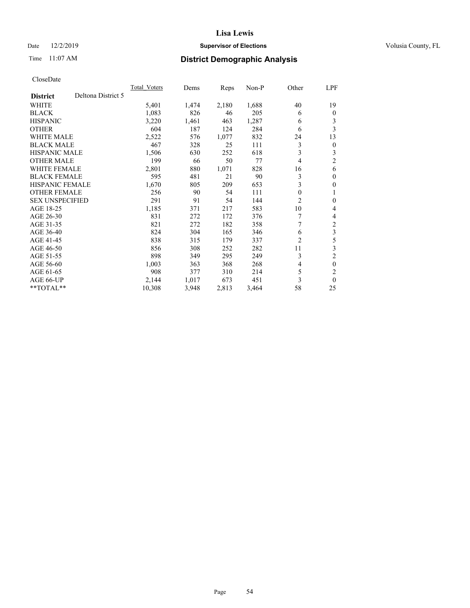## Date 12/2/2019 **Supervisor of Elections Supervisor of Elections** Volusia County, FL

# Time 11:07 AM **District Demographic Analysis**

|                                       | <b>Total Voters</b> | Dems  | Reps  | $Non-P$ | Other | LPF            |
|---------------------------------------|---------------------|-------|-------|---------|-------|----------------|
| Deltona District 5<br><b>District</b> |                     |       |       |         |       |                |
| WHITE                                 | 5,401               | 1,474 | 2,180 | 1,688   | 40    | 19             |
| <b>BLACK</b>                          | 1,083               | 826   | 46    | 205     | 6     | $\mathbf{0}$   |
| <b>HISPANIC</b>                       | 3,220               | 1,461 | 463   | 1,287   | 6     | 3              |
| <b>OTHER</b>                          | 604                 | 187   | 124   | 284     | 6     | 3              |
| <b>WHITE MALE</b>                     | 2,522               | 576   | 1,077 | 832     | 24    | 13             |
| <b>BLACK MALE</b>                     | 467                 | 328   | 25    | 111     | 3     | $\overline{0}$ |
| <b>HISPANIC MALE</b>                  | 1,506               | 630   | 252   | 618     | 3     | 3              |
| <b>OTHER MALE</b>                     | 199                 | 66    | 50    | 77      | 4     | $\overline{2}$ |
| <b>WHITE FEMALE</b>                   | 2,801               | 880   | 1,071 | 828     | 16    | 6              |
| <b>BLACK FEMALE</b>                   | 595                 | 481   | 21    | 90      | 3     | $\mathbf{0}$   |
| <b>HISPANIC FEMALE</b>                | 1,670               | 805   | 209   | 653     | 3     | $\mathbf{0}$   |
| <b>OTHER FEMALE</b>                   | 256                 | 90    | 54    | 111     | 0     | 1              |
| <b>SEX UNSPECIFIED</b>                | 291                 | 91    | 54    | 144     | 2     | $\mathbf{0}$   |
| AGE 18-25                             | 1,185               | 371   | 217   | 583     | 10    | 4              |
| AGE 26-30                             | 831                 | 272   | 172   | 376     |       | 4              |
| AGE 31-35                             | 821                 | 272   | 182   | 358     | 7     | $\overline{c}$ |
| AGE 36-40                             | 824                 | 304   | 165   | 346     | 6     | $\overline{3}$ |
| AGE 41-45                             | 838                 | 315   | 179   | 337     | 2     | 5              |
| AGE 46-50                             | 856                 | 308   | 252   | 282     | 11    | 3              |
| AGE 51-55                             | 898                 | 349   | 295   | 249     | 3     | $\overline{2}$ |
| AGE 56-60                             | 1,003               | 363   | 368   | 268     | 4     | $\theta$       |
| AGE 61-65                             | 908                 | 377   | 310   | 214     | 5     | $\overline{2}$ |
| AGE 66-UP                             | 2,144               | 1,017 | 673   | 451     | 3     | $\theta$       |
| $*$ TOTAL $*$                         | 10,308              | 3,948 | 2,813 | 3,464   | 58    | 25             |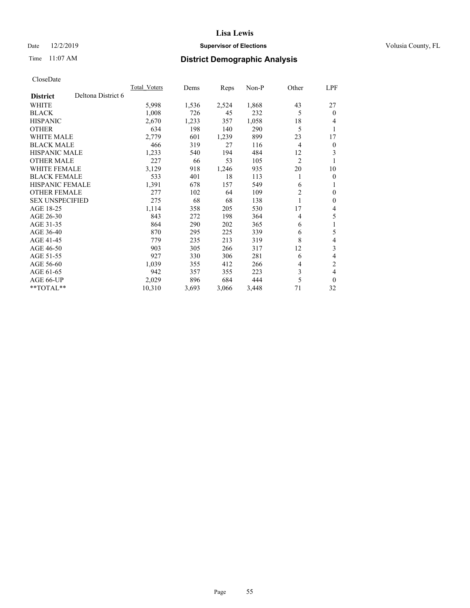## Date 12/2/2019 **Supervisor of Elections Supervisor of Elections** Volusia County, FL

# Time 11:07 AM **District Demographic Analysis**

|                        |                    | <b>Total Voters</b> | Dems  | Reps  | Non-P | Other          | LPF            |
|------------------------|--------------------|---------------------|-------|-------|-------|----------------|----------------|
| <b>District</b>        | Deltona District 6 |                     |       |       |       |                |                |
| WHITE                  |                    | 5,998               | 1,536 | 2,524 | 1,868 | 43             | 27             |
| <b>BLACK</b>           |                    | 1,008               | 726   | 45    | 232   | 5              | $\theta$       |
| <b>HISPANIC</b>        |                    | 2,670               | 1,233 | 357   | 1,058 | 18             | 4              |
| <b>OTHER</b>           |                    | 634                 | 198   | 140   | 290   | 5              | 1              |
| <b>WHITE MALE</b>      |                    | 2,779               | 601   | 1,239 | 899   | 23             | 17             |
| <b>BLACK MALE</b>      |                    | 466                 | 319   | 27    | 116   | $\overline{4}$ | $\mathbf{0}$   |
| <b>HISPANIC MALE</b>   |                    | 1,233               | 540   | 194   | 484   | 12             | 3              |
| <b>OTHER MALE</b>      |                    | 227                 | 66    | 53    | 105   | $\overline{c}$ |                |
| WHITE FEMALE           |                    | 3,129               | 918   | 1,246 | 935   | 20             | 10             |
| <b>BLACK FEMALE</b>    |                    | 533                 | 401   | 18    | 113   | 1              | $\overline{0}$ |
| <b>HISPANIC FEMALE</b> |                    | 1,391               | 678   | 157   | 549   | 6              | 1              |
| <b>OTHER FEMALE</b>    |                    | 277                 | 102   | 64    | 109   | $\overline{c}$ | $\mathbf{0}$   |
| <b>SEX UNSPECIFIED</b> |                    | 275                 | 68    | 68    | 138   |                | $\mathbf{0}$   |
| AGE 18-25              |                    | 1,114               | 358   | 205   | 530   | 17             | 4              |
| AGE 26-30              |                    | 843                 | 272   | 198   | 364   | 4              | 5              |
| AGE 31-35              |                    | 864                 | 290   | 202   | 365   | 6              | 1              |
| AGE 36-40              |                    | 870                 | 295   | 225   | 339   | 6              | 5              |
| AGE 41-45              |                    | 779                 | 235   | 213   | 319   | 8              | 4              |
| AGE 46-50              |                    | 903                 | 305   | 266   | 317   | 12             | 3              |
| AGE 51-55              |                    | 927                 | 330   | 306   | 281   | 6              | 4              |
| AGE 56-60              |                    | 1,039               | 355   | 412   | 266   | 4              | $\overline{2}$ |
| AGE 61-65              |                    | 942                 | 357   | 355   | 223   | 3              | 4              |
| AGE 66-UP              |                    | 2,029               | 896   | 684   | 444   | 5              | $\theta$       |
| **TOTAL**              |                    | 10,310              | 3,693 | 3,066 | 3,448 | 71             | 32             |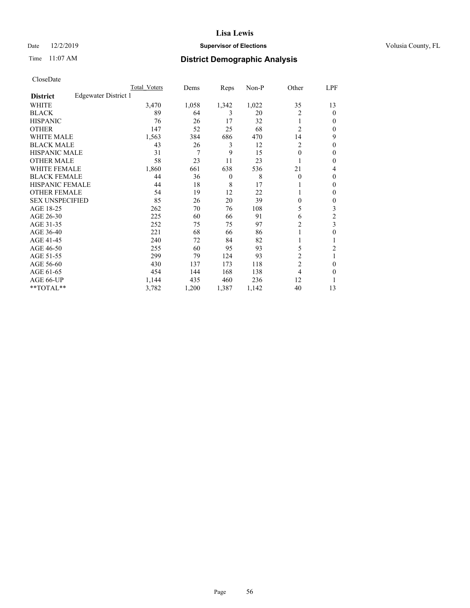## Date 12/2/2019 **Supervisor of Elections Supervisor of Elections** Volusia County, FL

# Time 11:07 AM **District Demographic Analysis**

|                        |                      | Total Voters | Dems  | Reps           | Non-P | Other          | LPF    |
|------------------------|----------------------|--------------|-------|----------------|-------|----------------|--------|
| <b>District</b>        | Edgewater District 1 |              |       |                |       |                |        |
| WHITE                  |                      | 3,470        | 1,058 | 1,342          | 1,022 | 35             | 13     |
| <b>BLACK</b>           |                      | 89           | 64    | 3              | 20    | 2              | 0      |
| <b>HISPANIC</b>        |                      | 76           | 26    | 17             | 32    | 1              | $_{0}$ |
| <b>OTHER</b>           |                      | 147          | 52    | 25             | 68    | $\overline{2}$ | 0      |
| WHITE MALE             |                      | 1,563        | 384   | 686            | 470   | 14             | 9      |
| <b>BLACK MALE</b>      |                      | 43           | 26    | 3              | 12    | $\overline{c}$ | 0      |
| <b>HISPANIC MALE</b>   |                      | 31           | 7     | 9              | 15    | 0              | 0      |
| <b>OTHER MALE</b>      |                      | 58           | 23    | 11             | 23    |                | 0      |
| WHITE FEMALE           |                      | 1,860        | 661   | 638            | 536   | 21             | 4      |
| <b>BLACK FEMALE</b>    |                      | 44           | 36    | $\overline{0}$ | 8     | $\theta$       | 0      |
| <b>HISPANIC FEMALE</b> |                      | 44           | 18    | 8              | 17    |                | 0      |
| <b>OTHER FEMALE</b>    |                      | 54           | 19    | 12             | 22    |                | 0      |
| <b>SEX UNSPECIFIED</b> |                      | 85           | 26    | 20             | 39    | 0              | 0      |
| AGE 18-25              |                      | 262          | 70    | 76             | 108   | 5              | 3      |
| AGE 26-30              |                      | 225          | 60    | 66             | 91    | 6              | 2      |
| AGE 31-35              |                      | 252          | 75    | 75             | 97    | 2              | 3      |
| AGE 36-40              |                      | 221          | 68    | 66             | 86    |                | 0      |
| AGE 41-45              |                      | 240          | 72    | 84             | 82    |                |        |
| AGE 46-50              |                      | 255          | 60    | 95             | 93    | 5              | 2      |
| AGE 51-55              |                      | 299          | 79    | 124            | 93    | 2              | 1      |
| AGE 56-60              |                      | 430          | 137   | 173            | 118   | $\overline{c}$ | 0      |
| AGE 61-65              |                      | 454          | 144   | 168            | 138   | 4              | 0      |
| AGE 66-UP              |                      | 1,144        | 435   | 460            | 236   | 12             |        |
| **TOTAL**              |                      | 3,782        | 1,200 | 1,387          | 1,142 | 40             | 13     |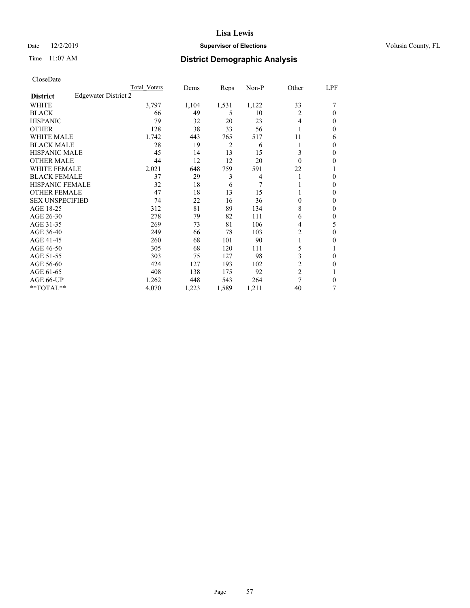## Date 12/2/2019 **Supervisor of Elections Supervisor of Elections** Volusia County, FL

# Time 11:07 AM **District Demographic Analysis**

|                        |                      | Total Voters | Dems  | Reps  | Non-P          | Other          | LPF    |
|------------------------|----------------------|--------------|-------|-------|----------------|----------------|--------|
| <b>District</b>        | Edgewater District 2 |              |       |       |                |                |        |
| WHITE                  |                      | 3,797        | 1,104 | 1,531 | 1,122          | 33             |        |
| <b>BLACK</b>           |                      | 66           | 49    | 5     | 10             | 2              | 0      |
| <b>HISPANIC</b>        |                      | 79           | 32    | 20    | 23             | 4              | $_{0}$ |
| <b>OTHER</b>           |                      | 128          | 38    | 33    | 56             |                | 0      |
| WHITE MALE             |                      | 1,742        | 443   | 765   | 517            | 11             | 6      |
| <b>BLACK MALE</b>      |                      | 28           | 19    | 2     | 6              |                | 0      |
| <b>HISPANIC MALE</b>   |                      | 45           | 14    | 13    | 15             | 3              | 0      |
| <b>OTHER MALE</b>      |                      | 44           | 12    | 12    | 20             | $\Omega$       | 0      |
| <b>WHITE FEMALE</b>    |                      | 2,021        | 648   | 759   | 591            | 22             |        |
| <b>BLACK FEMALE</b>    |                      | 37           | 29    | 3     | $\overline{4}$ |                | 0      |
| <b>HISPANIC FEMALE</b> |                      | 32           | 18    | 6     | 7              |                | 0      |
| <b>OTHER FEMALE</b>    |                      | 47           | 18    | 13    | 15             |                | 0      |
| <b>SEX UNSPECIFIED</b> |                      | 74           | 22    | 16    | 36             | $\Omega$       | 0      |
| AGE 18-25              |                      | 312          | 81    | 89    | 134            | 8              | 0      |
| AGE 26-30              |                      | 278          | 79    | 82    | 111            | 6              | 0      |
| AGE 31-35              |                      | 269          | 73    | 81    | 106            | 4              | 5      |
| AGE 36-40              |                      | 249          | 66    | 78    | 103            | 2              | 0      |
| AGE 41-45              |                      | 260          | 68    | 101   | 90             |                | 0      |
| AGE 46-50              |                      | 305          | 68    | 120   | 111            | 5              |        |
| AGE 51-55              |                      | 303          | 75    | 127   | 98             | 3              | 0      |
| AGE 56-60              |                      | 424          | 127   | 193   | 102            | $\overline{c}$ | 0      |
| AGE 61-65              |                      | 408          | 138   | 175   | 92             | $\overline{c}$ |        |
| AGE 66-UP              |                      | 1,262        | 448   | 543   | 264            | 7              | 0      |
| **TOTAL**              |                      | 4,070        | 1,223 | 1,589 | 1,211          | 40             | 7      |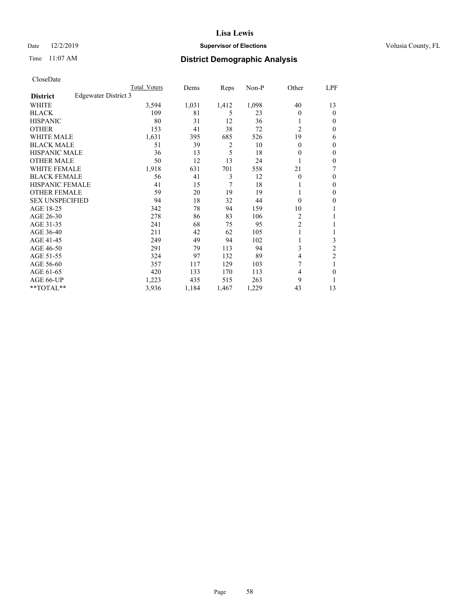## Date 12/2/2019 **Supervisor of Elections Supervisor of Elections** Volusia County, FL

# Time 11:07 AM **District Demographic Analysis**

|                        |                      | <b>Total Voters</b> | Dems  | Reps           | Non-P | Other          | LPF            |
|------------------------|----------------------|---------------------|-------|----------------|-------|----------------|----------------|
| <b>District</b>        | Edgewater District 3 |                     |       |                |       |                |                |
| WHITE                  |                      | 3,594               | 1,031 | 1,412          | 1,098 | 40             | 13             |
| <b>BLACK</b>           |                      | 109                 | 81    | 5              | 23    | 0              | $\mathbf{0}$   |
| <b>HISPANIC</b>        |                      | 80                  | 31    | 12             | 36    |                | $\theta$       |
| <b>OTHER</b>           |                      | 153                 | 41    | 38             | 72    | $\overline{2}$ | $\theta$       |
| <b>WHITE MALE</b>      |                      | 1,631               | 395   | 685            | 526   | 19             | 6              |
| <b>BLACK MALE</b>      |                      | 51                  | 39    | $\overline{2}$ | 10    | 0              | $\mathbf{0}$   |
| <b>HISPANIC MALE</b>   |                      | 36                  | 13    | 5              | 18    | 0              | $\mathbf{0}$   |
| <b>OTHER MALE</b>      |                      | 50                  | 12    | 13             | 24    |                | $\mathbf{0}$   |
| WHITE FEMALE           |                      | 1,918               | 631   | 701            | 558   | 21             | 7              |
| <b>BLACK FEMALE</b>    |                      | 56                  | 41    | 3              | 12    | 0              | $\mathbf{0}$   |
| <b>HISPANIC FEMALE</b> |                      | 41                  | 15    | 7              | 18    |                | $\theta$       |
| <b>OTHER FEMALE</b>    |                      | 59                  | 20    | 19             | 19    |                | $\theta$       |
| <b>SEX UNSPECIFIED</b> |                      | 94                  | 18    | 32             | 44    | 0              | $\theta$       |
| AGE 18-25              |                      | 342                 | 78    | 94             | 159   | 10             | 1              |
| AGE 26-30              |                      | 278                 | 86    | 83             | 106   | 2              | 1              |
| AGE 31-35              |                      | 241                 | 68    | 75             | 95    | $\overline{2}$ |                |
| AGE 36-40              |                      | 211                 | 42    | 62             | 105   |                | 1              |
| AGE 41-45              |                      | 249                 | 49    | 94             | 102   |                | 3              |
| AGE 46-50              |                      | 291                 | 79    | 113            | 94    | 3              | $\overline{2}$ |
| AGE 51-55              |                      | 324                 | 97    | 132            | 89    | 4              | $\overline{2}$ |
| AGE 56-60              |                      | 357                 | 117   | 129            | 103   | 7              | 1              |
| AGE 61-65              |                      | 420                 | 133   | 170            | 113   | 4              | $\theta$       |
| AGE 66-UP              |                      | 1,223               | 435   | 515            | 263   | 9              |                |
| **TOTAL**              |                      | 3,936               | 1,184 | 1,467          | 1,229 | 43             | 13             |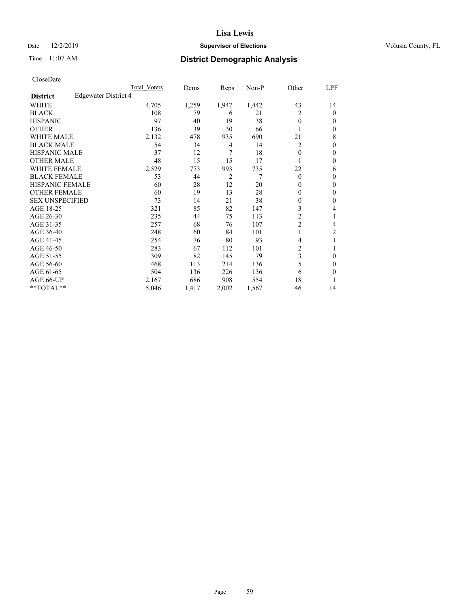## Date 12/2/2019 **Supervisor of Elections Supervisor of Elections** Volusia County, FL

# Time 11:07 AM **District Demographic Analysis**

|                        |                      | Total Voters | Dems  | Reps           | Non-P | Other          | LPF    |
|------------------------|----------------------|--------------|-------|----------------|-------|----------------|--------|
| <b>District</b>        | Edgewater District 4 |              |       |                |       |                |        |
| WHITE                  |                      | 4,705        | 1,259 | 1,947          | 1,442 | 43             | 14     |
| <b>BLACK</b>           |                      | 108          | 79    | 6              | 21    | 2              | 0      |
| <b>HISPANIC</b>        |                      | 97           | 40    | 19             | 38    | $\theta$       | $_{0}$ |
| <b>OTHER</b>           |                      | 136          | 39    | 30             | 66    |                | 0      |
| WHITE MALE             |                      | 2,132        | 478   | 935            | 690   | 21             | 8      |
| <b>BLACK MALE</b>      |                      | 54           | 34    | 4              | 14    | $\overline{c}$ | 0      |
| <b>HISPANIC MALE</b>   |                      | 37           | 12    | 7              | 18    | 0              | 0      |
| <b>OTHER MALE</b>      |                      | 48           | 15    | 15             | 17    |                | 0      |
| WHITE FEMALE           |                      | 2,529        | 773   | 993            | 735   | 22             | 6      |
| <b>BLACK FEMALE</b>    |                      | 53           | 44    | $\overline{2}$ | 7     | $\theta$       | 0      |
| <b>HISPANIC FEMALE</b> |                      | 60           | 28    | 12             | 20    | 0              | 0      |
| <b>OTHER FEMALE</b>    |                      | 60           | 19    | 13             | 28    | 0              | 0      |
| <b>SEX UNSPECIFIED</b> |                      | 73           | 14    | 21             | 38    | 0              | 0      |
| AGE 18-25              |                      | 321          | 85    | 82             | 147   | 3              | 4      |
| AGE 26-30              |                      | 235          | 44    | 75             | 113   | $\overline{2}$ | 1      |
| AGE 31-35              |                      | 257          | 68    | 76             | 107   | $\overline{2}$ | 4      |
| AGE 36-40              |                      | 248          | 60    | 84             | 101   | 1              | 2      |
| AGE 41-45              |                      | 254          | 76    | 80             | 93    | 4              |        |
| AGE 46-50              |                      | 283          | 67    | 112            | 101   | 2              |        |
| AGE 51-55              |                      | 309          | 82    | 145            | 79    | 3              | 0      |
| AGE 56-60              |                      | 468          | 113   | 214            | 136   | 5              | 0      |
| AGE 61-65              |                      | 504          | 136   | 226            | 136   | 6              | 0      |
| AGE 66-UP              |                      | 2,167        | 686   | 908            | 554   | 18             |        |
| **TOTAL**              |                      | 5,046        | 1,417 | 2,002          | 1,567 | 46             | 14     |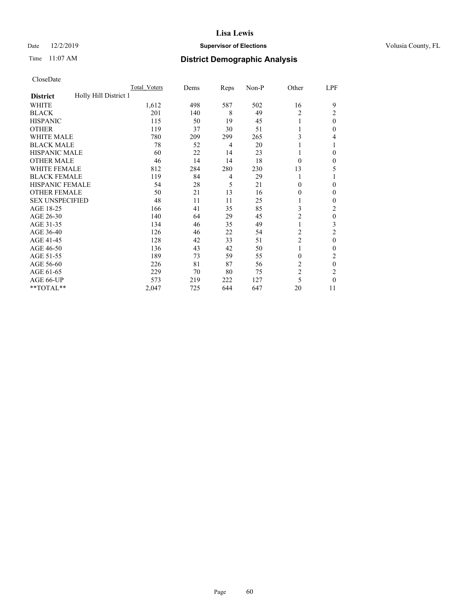## Date 12/2/2019 **Supervisor of Elections Supervisor of Elections** Volusia County, FL

# Time 11:07 AM **District Demographic Analysis**

|                                          | Total Voters | Dems | Reps | Non-P | Other          | LPF          |
|------------------------------------------|--------------|------|------|-------|----------------|--------------|
| Holly Hill District 1<br><b>District</b> |              |      |      |       |                |              |
| WHITE                                    | 1,612        | 498  | 587  | 502   | 16             | 9            |
| <b>BLACK</b>                             | 201          | 140  | 8    | 49    | 2              | 2            |
| <b>HISPANIC</b>                          | 115          | 50   | 19   | 45    | $\mathbf{1}$   | $\theta$     |
| <b>OTHER</b>                             | 119          | 37   | 30   | 51    |                | 0            |
| WHITE MALE                               | 780          | 209  | 299  | 265   | 3              | 4            |
| <b>BLACK MALE</b>                        | 78           | 52   | 4    | 20    | 1              |              |
| <b>HISPANIC MALE</b>                     | 60           | 22   | 14   | 23    | 1              | 0            |
| <b>OTHER MALE</b>                        | 46           | 14   | 14   | 18    | $\theta$       | $\mathbf{0}$ |
| <b>WHITE FEMALE</b>                      | 812          | 284  | 280  | 230   | 13             | 5            |
| <b>BLACK FEMALE</b>                      | 119          | 84   | 4    | 29    | 1              |              |
| <b>HISPANIC FEMALE</b>                   | 54           | 28   | 5    | 21    | $\theta$       | 0            |
| <b>OTHER FEMALE</b>                      | 50           | 21   | 13   | 16    | $\theta$       | $\Omega$     |
| <b>SEX UNSPECIFIED</b>                   | 48           | 11   | 11   | 25    | 1              | 0            |
| AGE 18-25                                | 166          | 41   | 35   | 85    | 3              | 2            |
| AGE 26-30                                | 140          | 64   | 29   | 45    | 2              | $\theta$     |
| AGE 31-35                                | 134          | 46   | 35   | 49    | 1              | 3            |
| AGE 36-40                                | 126          | 46   | 22   | 54    | 2              | 2            |
| AGE 41-45                                | 128          | 42   | 33   | 51    | $\overline{c}$ | $\theta$     |
| AGE 46-50                                | 136          | 43   | 42   | 50    | 1              | 0            |
| AGE 51-55                                | 189          | 73   | 59   | 55    | $\theta$       | 2            |
| AGE 56-60                                | 226          | 81   | 87   | 56    | $\overline{c}$ | $\theta$     |
| AGE 61-65                                | 229          | 70   | 80   | 75    | $\overline{c}$ | 2            |
| AGE 66-UP                                | 573          | 219  | 222  | 127   | 5              | 0            |
| **TOTAL**                                | 2,047        | 725  | 644  | 647   | 20             | 11           |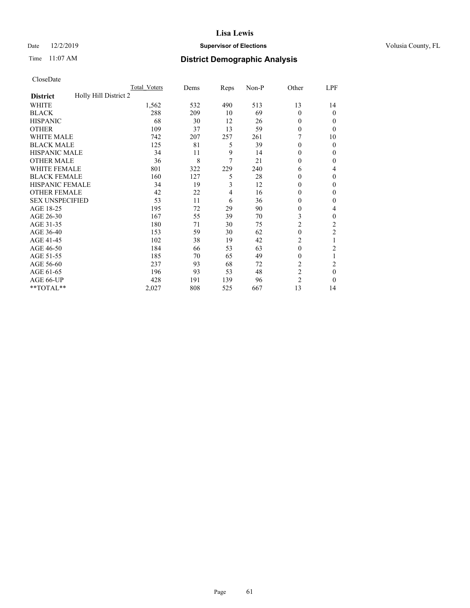## Date 12/2/2019 **Supervisor of Elections Supervisor of Elections** Volusia County, FL

# Time 11:07 AM **District Demographic Analysis**

|                                          | Total Voters | Dems | Reps | Non-P | Other          | LPF              |
|------------------------------------------|--------------|------|------|-------|----------------|------------------|
| Holly Hill District 2<br><b>District</b> |              |      |      |       |                |                  |
| WHITE                                    | 1,562        | 532  | 490  | 513   | 13             | 14               |
| <b>BLACK</b>                             | 288          | 209  | 10   | 69    | $\Omega$       | 0                |
| <b>HISPANIC</b>                          | 68           | 30   | 12   | 26    | 0              | $_{0}$           |
| <b>OTHER</b>                             | 109          | 37   | 13   | 59    | 0              | 0                |
| WHITE MALE                               | 742          | 207  | 257  | 261   |                | 10               |
| <b>BLACK MALE</b>                        | 125          | 81   | 5    | 39    | $\Omega$       | 0                |
| <b>HISPANIC MALE</b>                     | 34           | 11   | 9    | 14    | 0              | 0                |
| <b>OTHER MALE</b>                        | 36           | 8    | 7    | 21    | 0              | 0                |
| WHITE FEMALE                             | 801          | 322  | 229  | 240   | 6              | 4                |
| <b>BLACK FEMALE</b>                      | 160          | 127  | 5    | 28    | 0              | 0                |
| <b>HISPANIC FEMALE</b>                   | 34           | 19   | 3    | 12    | 0              | 0                |
| <b>OTHER FEMALE</b>                      | 42           | 22   | 4    | 16    | 0              | 0                |
| <b>SEX UNSPECIFIED</b>                   | 53           | 11   | 6    | 36    | 0              | 0                |
| AGE 18-25                                | 195          | 72   | 29   | 90    | 0              | 4                |
| AGE 26-30                                | 167          | 55   | 39   | 70    | 3              | 0                |
| AGE 31-35                                | 180          | 71   | 30   | 75    | $\overline{2}$ | $\overline{c}$   |
| AGE 36-40                                | 153          | 59   | 30   | 62    | $\theta$       | 2                |
| AGE 41-45                                | 102          | 38   | 19   | 42    | 2              |                  |
| AGE 46-50                                | 184          | 66   | 53   | 63    | $\theta$       | $\overline{c}$   |
| AGE 51-55                                | 185          | 70   | 65   | 49    | 0              | 1                |
| AGE 56-60                                | 237          | 93   | 68   | 72    | $\overline{c}$ | 2                |
| AGE 61-65                                | 196          | 93   | 53   | 48    | $\overline{2}$ | $\boldsymbol{0}$ |
| AGE 66-UP                                | 428          | 191  | 139  | 96    | $\overline{c}$ | 0                |
| **TOTAL**                                | 2,027        | 808  | 525  | 667   | 13             | 14               |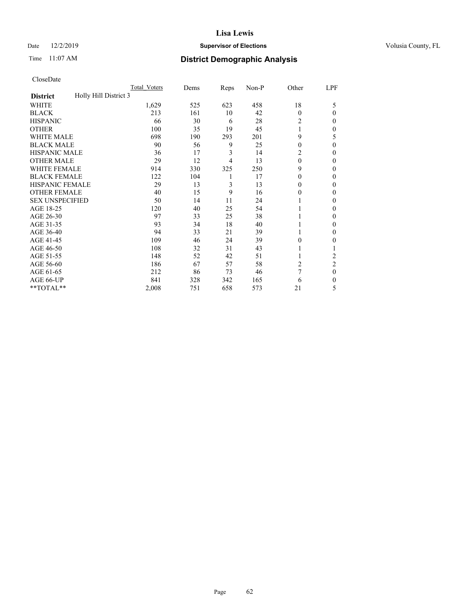## Date 12/2/2019 **Supervisor of Elections Supervisor of Elections** Volusia County, FL

# Time 11:07 AM **District Demographic Analysis**

|                                          | Total Voters | Dems | Reps | Non-P | Other    | LPF            |
|------------------------------------------|--------------|------|------|-------|----------|----------------|
| Holly Hill District 3<br><b>District</b> |              |      |      |       |          |                |
| WHITE                                    | 1,629        | 525  | 623  | 458   | 18       | 5              |
| <b>BLACK</b>                             | 213          | 161  | 10   | 42    | $\Omega$ | 0              |
| <b>HISPANIC</b>                          | 66           | 30   | 6    | 28    | 2        | $_{0}$         |
| <b>OTHER</b>                             | 100          | 35   | 19   | 45    |          | 0              |
| WHITE MALE                               | 698          | 190  | 293  | 201   | 9        | 5              |
| <b>BLACK MALE</b>                        | 90           | 56   | 9    | 25    | $\theta$ | 0              |
| <b>HISPANIC MALE</b>                     | 36           | 17   | 3    | 14    | 2        | 0              |
| <b>OTHER MALE</b>                        | 29           | 12   | 4    | 13    | $\theta$ | 0              |
| <b>WHITE FEMALE</b>                      | 914          | 330  | 325  | 250   | 9        | 0              |
| <b>BLACK FEMALE</b>                      | 122          | 104  | 1    | 17    | $\theta$ | 0              |
| <b>HISPANIC FEMALE</b>                   | 29           | 13   | 3    | 13    | 0        | 0              |
| <b>OTHER FEMALE</b>                      | 40           | 15   | 9    | 16    | 0        | 0              |
| <b>SEX UNSPECIFIED</b>                   | 50           | 14   | 11   | 24    |          | 0              |
| AGE 18-25                                | 120          | 40   | 25   | 54    |          | 0              |
| AGE 26-30                                | 97           | 33   | 25   | 38    |          | 0              |
| AGE 31-35                                | 93           | 34   | 18   | 40    |          | 0              |
| AGE 36-40                                | 94           | 33   | 21   | 39    |          | 0              |
| AGE 41-45                                | 109          | 46   | 24   | 39    | 0        | 0              |
| AGE 46-50                                | 108          | 32   | 31   | 43    |          |                |
| AGE 51-55                                | 148          | 52   | 42   | 51    |          | $\overline{c}$ |
| AGE 56-60                                | 186          | 67   | 57   | 58    | 2        | $\overline{2}$ |
| AGE 61-65                                | 212          | 86   | 73   | 46    | 7        | $\theta$       |
| AGE 66-UP                                | 841          | 328  | 342  | 165   | 6        | 0              |
| **TOTAL**                                | 2,008        | 751  | 658  | 573   | 21       | 5              |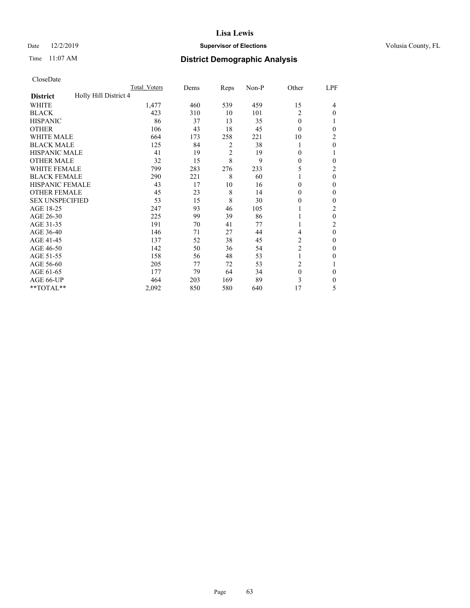## Date 12/2/2019 **Supervisor of Elections Supervisor of Elections** Volusia County, FL

# Time 11:07 AM **District Demographic Analysis**

|                                          | Total Voters | Dems | Reps           | Non-P | Other          | LPF            |
|------------------------------------------|--------------|------|----------------|-------|----------------|----------------|
| Holly Hill District 4<br><b>District</b> |              |      |                |       |                |                |
| WHITE                                    | 1,477        | 460  | 539            | 459   | 15             | 4              |
| <b>BLACK</b>                             | 423          | 310  | 10             | 101   | 2              | $\Omega$       |
| <b>HISPANIC</b>                          | 86           | 37   | 13             | 35    | $\theta$       |                |
| <b>OTHER</b>                             | 106          | 43   | 18             | 45    | $\theta$       | 0              |
| WHITE MALE                               | 664          | 173  | 258            | 221   | 10             | 2              |
| <b>BLACK MALE</b>                        | 125          | 84   | 2              | 38    | 1              | $\theta$       |
| <b>HISPANIC MALE</b>                     | 41           | 19   | $\overline{2}$ | 19    | $\theta$       |                |
| <b>OTHER MALE</b>                        | 32           | 15   | 8              | 9     | $\mathbf{0}$   | 0              |
| <b>WHITE FEMALE</b>                      | 799          | 283  | 276            | 233   | 5              | 2              |
| <b>BLACK FEMALE</b>                      | 290          | 221  | 8              | 60    | 1              | $\theta$       |
| <b>HISPANIC FEMALE</b>                   | 43           | 17   | 10             | 16    | $\theta$       | 0              |
| <b>OTHER FEMALE</b>                      | 45           | 23   | 8              | 14    | $\theta$       | $\Omega$       |
| <b>SEX UNSPECIFIED</b>                   | 53           | 15   | 8              | 30    | $\theta$       | 0              |
| AGE 18-25                                | 247          | 93   | 46             | 105   |                | 2              |
| AGE 26-30                                | 225          | 99   | 39             | 86    | 1              | $\theta$       |
| AGE 31-35                                | 191          | 70   | 41             | 77    | 1              | $\overline{c}$ |
| AGE 36-40                                | 146          | 71   | 27             | 44    | 4              | $\theta$       |
| AGE 41-45                                | 137          | 52   | 38             | 45    | 2              | 0              |
| AGE 46-50                                | 142          | 50   | 36             | 54    | $\overline{c}$ | $\Omega$       |
| AGE 51-55                                | 158          | 56   | 48             | 53    | 1              | 0              |
| AGE 56-60                                | 205          | 77   | 72             | 53    | $\overline{c}$ |                |
| AGE 61-65                                | 177          | 79   | 64             | 34    | $\mathbf{0}$   | $\theta$       |
| AGE 66-UP                                | 464          | 203  | 169            | 89    | 3              | 0              |
| **TOTAL**                                | 2,092        | 850  | 580            | 640   | 17             | 5              |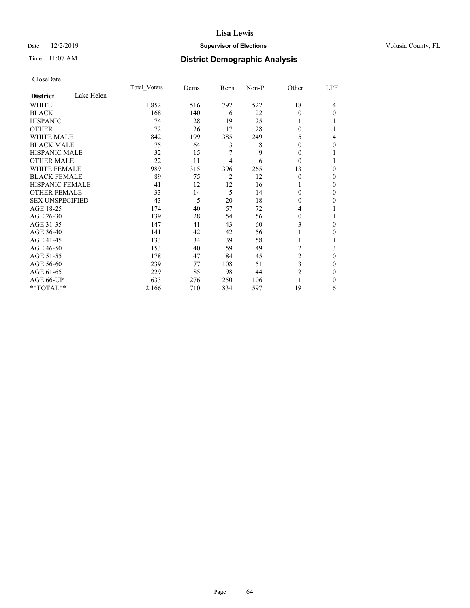## Date 12/2/2019 **Supervisor of Elections Supervisor of Elections** Volusia County, FL

# Time 11:07 AM **District Demographic Analysis**

|                        |            | Total Voters | Dems | Reps | Non-P | Other    | LPF |
|------------------------|------------|--------------|------|------|-------|----------|-----|
| <b>District</b>        | Lake Helen |              |      |      |       |          |     |
| WHITE                  |            | 1,852        | 516  | 792  | 522   | 18       | 4   |
| <b>BLACK</b>           |            | 168          | 140  | 6    | 22    | $\Omega$ | 0   |
| <b>HISPANIC</b>        |            | 74           | 28   | 19   | 25    | 1        |     |
| <b>OTHER</b>           |            | 72           | 26   | 17   | 28    | 0        |     |
| <b>WHITE MALE</b>      |            | 842          | 199  | 385  | 249   | 5        | 4   |
| <b>BLACK MALE</b>      |            | 75           | 64   | 3    | 8     | 0        | 0   |
| <b>HISPANIC MALE</b>   |            | 32           | 15   | 7    | 9     | 0        |     |
| <b>OTHER MALE</b>      |            | 22           | 11   | 4    | 6     | $\Omega$ |     |
| <b>WHITE FEMALE</b>    |            | 989          | 315  | 396  | 265   | 13       | 0   |
| <b>BLACK FEMALE</b>    |            | 89           | 75   | 2    | 12    | $\theta$ | 0   |
| <b>HISPANIC FEMALE</b> |            | 41           | 12   | 12   | 16    |          | 0   |
| <b>OTHER FEMALE</b>    |            | 33           | 14   | 5    | 14    | 0        | 0   |
| <b>SEX UNSPECIFIED</b> |            | 43           | 5    | 20   | 18    | 0        | 0   |
| AGE 18-25              |            | 174          | 40   | 57   | 72    | 4        |     |
| AGE 26-30              |            | 139          | 28   | 54   | 56    | 0        |     |
| AGE 31-35              |            | 147          | 41   | 43   | 60    | 3        | 0   |
| AGE 36-40              |            | 141          | 42   | 42   | 56    |          | 0   |
| AGE 41-45              |            | 133          | 34   | 39   | 58    | 1        |     |
| AGE 46-50              |            | 153          | 40   | 59   | 49    | 2        | 3   |
| AGE 51-55              |            | 178          | 47   | 84   | 45    | 2        | 0   |
| AGE 56-60              |            | 239          | 77   | 108  | 51    | 3        | 0   |
| AGE 61-65              |            | 229          | 85   | 98   | 44    | 2        | 0   |
| AGE 66-UP              |            | 633          | 276  | 250  | 106   |          | 0   |
| **TOTAL**              |            | 2,166        | 710  | 834  | 597   | 19       | 6   |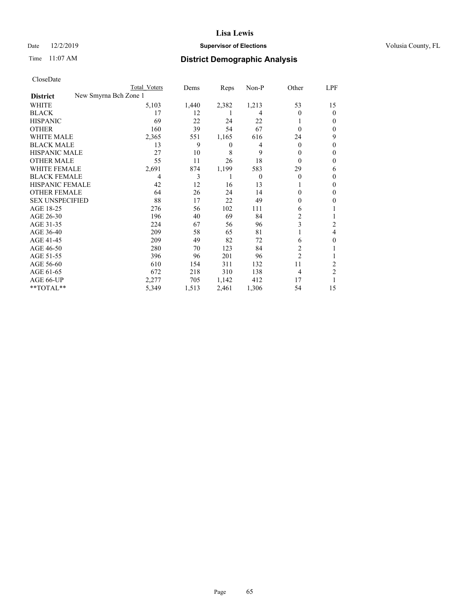## Date 12/2/2019 **Supervisor of Elections Supervisor of Elections** Volusia County, FL

| CloseDate |
|-----------|
|-----------|

|                                          | Total Voters | Dems  | Reps  | Non-P    | Other          | LPF      |
|------------------------------------------|--------------|-------|-------|----------|----------------|----------|
| New Smyrna Bch Zone 1<br><b>District</b> |              |       |       |          |                |          |
| WHITE                                    | 5,103        | 1,440 | 2,382 | 1,213    | 53             | 15       |
| <b>BLACK</b>                             | 17           | 12    |       | 4        | 0              | $\Omega$ |
| <b>HISPANIC</b>                          | 69           | 22    | 24    | 22       |                | 0        |
| <b>OTHER</b>                             | 160          | 39    | 54    | 67       | $\Omega$       | 0        |
| <b>WHITE MALE</b>                        | 2,365        | 551   | 1,165 | 616      | 24             | 9        |
| <b>BLACK MALE</b>                        | 13           | 9     | 0     | 4        | $\Omega$       | 0        |
| <b>HISPANIC MALE</b>                     | 27           | 10    | 8     | 9        | $\theta$       | 0        |
| <b>OTHER MALE</b>                        | 55           | 11    | 26    | 18       | $\Omega$       | 0        |
| <b>WHITE FEMALE</b>                      | 2,691        | 874   | 1,199 | 583      | 29             | 6        |
| <b>BLACK FEMALE</b>                      | 4            | 3     | 1     | $\theta$ | $\theta$       | 0        |
| <b>HISPANIC FEMALE</b>                   | 42           | 12    | 16    | 13       |                | 0        |
| <b>OTHER FEMALE</b>                      | 64           | 26    | 24    | 14       | $\Omega$       | 0        |
| <b>SEX UNSPECIFIED</b>                   | 88           | 17    | 22    | 49       | $\Omega$       | 0        |
| AGE 18-25                                | 276          | 56    | 102   | 111      | 6              |          |
| AGE 26-30                                | 196          | 40    | 69    | 84       | 2              |          |
| AGE 31-35                                | 224          | 67    | 56    | 96       | 3              | 2        |
| AGE 36-40                                | 209          | 58    | 65    | 81       |                | 4        |
| AGE 41-45                                | 209          | 49    | 82    | 72       | 6              | 0        |
| AGE 46-50                                | 280          | 70    | 123   | 84       | $\overline{2}$ |          |
| AGE 51-55                                | 396          | 96    | 201   | 96       | $\overline{2}$ |          |
| AGE 56-60                                | 610          | 154   | 311   | 132      | 11             | 2        |
| AGE 61-65                                | 672          | 218   | 310   | 138      | $\overline{4}$ | 2        |
| AGE 66-UP                                | 2,277        | 705   | 1,142 | 412      | 17             |          |
| **TOTAL**                                | 5,349        | 1,513 | 2,461 | 1,306    | 54             | 15       |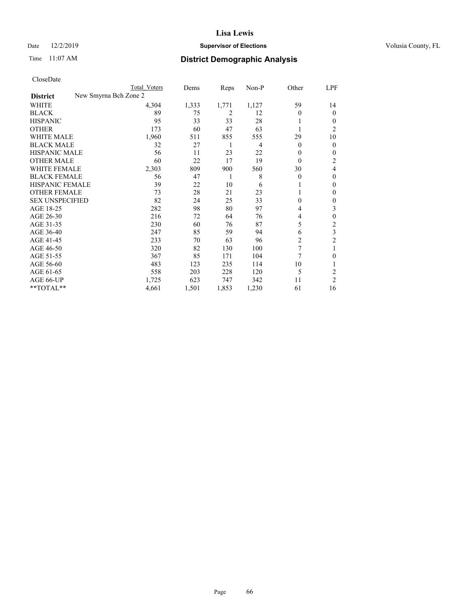## Date 12/2/2019 **Supervisor of Elections Supervisor of Elections** Volusia County, FL

| CloseDate |
|-----------|
|-----------|

|                                          | Total Voters | Dems  | Reps  | Non-P | Other          | LPF            |
|------------------------------------------|--------------|-------|-------|-------|----------------|----------------|
| New Smyrna Bch Zone 2<br><b>District</b> |              |       |       |       |                |                |
| WHITE                                    | 4,304        | 1,333 | 1,771 | 1,127 | 59             | 14             |
| <b>BLACK</b>                             | 89           | 75    | 2     | 12    | 0              | $\Omega$       |
| <b>HISPANIC</b>                          | 95           | 33    | 33    | 28    |                | 0              |
| <b>OTHER</b>                             | 173          | 60    | 47    | 63    |                | 2              |
| <b>WHITE MALE</b>                        | 1,960        | 511   | 855   | 555   | 29             | 10             |
| <b>BLACK MALE</b>                        | 32           | 27    | 1     | 4     | $\overline{0}$ | 0              |
| <b>HISPANIC MALE</b>                     | 56           | 11    | 23    | 22    | 0              | 0              |
| <b>OTHER MALE</b>                        | 60           | 22    | 17    | 19    | $\overline{0}$ | 2              |
| WHITE FEMALE                             | 2,303        | 809   | 900   | 560   | 30             | 4              |
| <b>BLACK FEMALE</b>                      | 56           | 47    |       | 8     | $\theta$       | 0              |
| HISPANIC FEMALE                          | 39           | 22    | 10    | 6     |                | 0              |
| <b>OTHER FEMALE</b>                      | 73           | 28    | 21    | 23    |                | 0              |
| <b>SEX UNSPECIFIED</b>                   | 82           | 24    | 25    | 33    | $\theta$       | 0              |
| AGE 18-25                                | 282          | 98    | 80    | 97    | 4              | 3              |
| AGE 26-30                                | 216          | 72    | 64    | 76    | 4              | 0              |
| AGE 31-35                                | 230          | 60    | 76    | 87    | 5              | 2              |
| AGE 36-40                                | 247          | 85    | 59    | 94    | 6              | 3              |
| AGE 41-45                                | 233          | 70    | 63    | 96    | 2              | 2              |
| AGE 46-50                                | 320          | 82    | 130   | 100   | 7              |                |
| AGE 51-55                                | 367          | 85    | 171   | 104   | 7              | 0              |
| AGE 56-60                                | 483          | 123   | 235   | 114   | 10             |                |
| AGE 61-65                                | 558          | 203   | 228   | 120   | 5              | 2              |
| AGE 66-UP                                | 1,725        | 623   | 747   | 342   | 11             | $\overline{c}$ |
| **TOTAL**                                | 4,661        | 1,501 | 1,853 | 1,230 | 61             | 16             |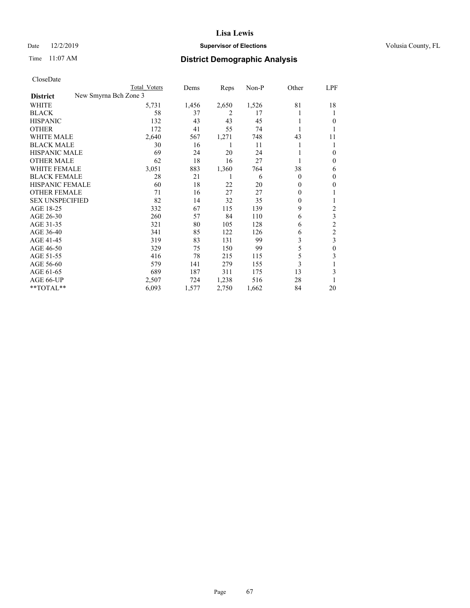## Date 12/2/2019 **Supervisor of Elections Supervisor of Elections** Volusia County, FL

| CloseDate |
|-----------|
|-----------|

|                                          | Total Voters | Dems  | Reps  | Non-P | Other    | LPF            |
|------------------------------------------|--------------|-------|-------|-------|----------|----------------|
| New Smyrna Bch Zone 3<br><b>District</b> |              |       |       |       |          |                |
| WHITE                                    | 5,731        | 1,456 | 2,650 | 1,526 | 81       | 18             |
| <b>BLACK</b>                             | 58           | 37    | 2     | 17    |          |                |
| <b>HISPANIC</b>                          | 132          | 43    | 43    | 45    | 1        | 0              |
| <b>OTHER</b>                             | 172          | 41    | 55    | 74    |          |                |
| <b>WHITE MALE</b>                        | 2,640        | 567   | 1,271 | 748   | 43       | 11             |
| <b>BLACK MALE</b>                        | 30           | 16    | 1     | 11    |          |                |
| <b>HISPANIC MALE</b>                     | 69           | 24    | 20    | 24    |          | 0              |
| <b>OTHER MALE</b>                        | 62           | 18    | 16    | 27    | 1        | 0              |
| <b>WHITE FEMALE</b>                      | 3,051        | 883   | 1,360 | 764   | 38       | 6              |
| <b>BLACK FEMALE</b>                      | 28           | 21    | 1     | 6     | $\theta$ | 0              |
| <b>HISPANIC FEMALE</b>                   | 60           | 18    | 22    | 20    | $\theta$ | 0              |
| <b>OTHER FEMALE</b>                      | 71           | 16    | 27    | 27    | $\theta$ |                |
| <b>SEX UNSPECIFIED</b>                   | 82           | 14    | 32    | 35    | $\theta$ |                |
| AGE 18-25                                | 332          | 67    | 115   | 139   | 9        | 2              |
| AGE 26-30                                | 260          | 57    | 84    | 110   | 6        | 3              |
| AGE 31-35                                | 321          | 80    | 105   | 128   | 6        | $\overline{c}$ |
| AGE 36-40                                | 341          | 85    | 122   | 126   | 6        | $\overline{c}$ |
| AGE 41-45                                | 319          | 83    | 131   | 99    | 3        | 3              |
| AGE 46-50                                | 329          | 75    | 150   | 99    | 5        | 0              |
| AGE 51-55                                | 416          | 78    | 215   | 115   | 5        | 3              |
| AGE 56-60                                | 579          | 141   | 279   | 155   | 3        |                |
| AGE 61-65                                | 689          | 187   | 311   | 175   | 13       | 3              |
| AGE 66-UP                                | 2,507        | 724   | 1,238 | 516   | 28       |                |
| **TOTAL**                                | 6,093        | 1,577 | 2,750 | 1,662 | 84       | 20             |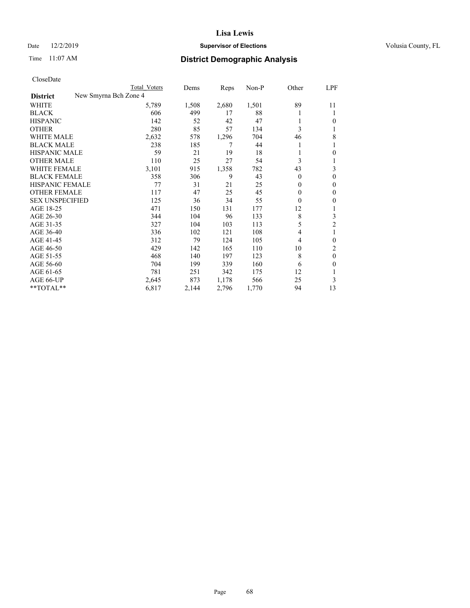## Date 12/2/2019 **Supervisor of Elections Supervisor of Elections** Volusia County, FL

| CloseDate |
|-----------|
|-----------|

|                        | Total Voters          | Dems  | Reps  | $Non-P$ | Other        | LPF            |
|------------------------|-----------------------|-------|-------|---------|--------------|----------------|
| <b>District</b>        | New Smyrna Bch Zone 4 |       |       |         |              |                |
| WHITE                  | 5,789                 | 1,508 | 2,680 | 1,501   | 89           | 11             |
| <b>BLACK</b>           | 606                   | 499   | 17    | 88      |              | 1              |
| <b>HISPANIC</b>        | 142                   | 52    | 42    | 47      |              | 0              |
| <b>OTHER</b>           | 280                   | 85    | 57    | 134     | 3            | 1              |
| <b>WHITE MALE</b>      | 2,632                 | 578   | 1,296 | 704     | 46           | 8              |
| <b>BLACK MALE</b>      | 238                   | 185   | 7     | 44      |              |                |
| <b>HISPANIC MALE</b>   | 59                    | 21    | 19    | 18      |              | 0              |
| <b>OTHER MALE</b>      | 110                   | 25    | 27    | 54      | 3            |                |
| WHITE FEMALE           | 3,101                 | 915   | 1,358 | 782     | 43           | 3              |
| <b>BLACK FEMALE</b>    | 358                   | 306   | 9     | 43      | $\theta$     | $\theta$       |
| HISPANIC FEMALE        | 77                    | 31    | 21    | 25      | $\mathbf{0}$ | $\mathbf{0}$   |
| <b>OTHER FEMALE</b>    | 117                   | 47    | 25    | 45      | 0            | $\mathbf{0}$   |
| <b>SEX UNSPECIFIED</b> | 125                   | 36    | 34    | 55      | $\theta$     | 0              |
| AGE 18-25              | 471                   | 150   | 131   | 177     | 12           |                |
| AGE 26-30              | 344                   | 104   | 96    | 133     | 8            | 3              |
| AGE 31-35              | 327                   | 104   | 103   | 113     | 5            | $\overline{2}$ |
| AGE 36-40              | 336                   | 102   | 121   | 108     | 4            | 1              |
| AGE 41-45              | 312                   | 79    | 124   | 105     | 4            | $\theta$       |
| AGE 46-50              | 429                   | 142   | 165   | 110     | 10           | 2              |
| AGE 51-55              | 468                   | 140   | 197   | 123     | 8            | $\theta$       |
| AGE 56-60              | 704                   | 199   | 339   | 160     | 6            | 0              |
| AGE 61-65              | 781                   | 251   | 342   | 175     | 12           |                |
| AGE 66-UP              | 2,645                 | 873   | 1,178 | 566     | 25           | 3              |
| $*$ TOTAL $*$          | 6,817                 | 2,144 | 2,796 | 1,770   | 94           | 13             |
|                        |                       |       |       |         |              |                |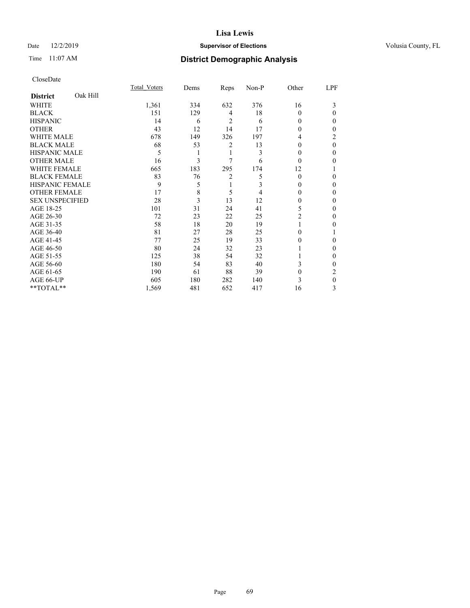## Date 12/2/2019 **Supervisor of Elections Supervisor of Elections** Volusia County, FL

# Time 11:07 AM **District Demographic Analysis**

|                        |          | <b>Total Voters</b> | Dems | Reps | Non-P | Other    | LPF      |
|------------------------|----------|---------------------|------|------|-------|----------|----------|
| <b>District</b>        | Oak Hill |                     |      |      |       |          |          |
| WHITE                  |          | 1,361               | 334  | 632  | 376   | 16       | 3        |
| <b>BLACK</b>           |          | 151                 | 129  | 4    | 18    | 0        | 0        |
| <b>HISPANIC</b>        |          | 14                  | 6    | 2    | 6     | $\theta$ | 0        |
| <b>OTHER</b>           |          | 43                  | 12   | 14   | 17    | $\Omega$ | 0        |
| WHITE MALE             |          | 678                 | 149  | 326  | 197   | 4        | 2        |
| <b>BLACK MALE</b>      |          | 68                  | 53   | 2    | 13    | $\theta$ | $\theta$ |
| <b>HISPANIC MALE</b>   |          | 5                   |      | 1    | 3     | $\theta$ | 0        |
| <b>OTHER MALE</b>      |          | 16                  | 3    | 7    | 6     | $\Omega$ | 0        |
| WHITE FEMALE           |          | 665                 | 183  | 295  | 174   | 12       |          |
| <b>BLACK FEMALE</b>    |          | 83                  | 76   | 2    | 5     | $\Omega$ | 0        |
| <b>HISPANIC FEMALE</b> |          | 9                   | 5    | 1    | 3     | $\Omega$ | 0        |
| <b>OTHER FEMALE</b>    |          | 17                  | 8    | 5    | 4     | $\Omega$ | 0        |
| <b>SEX UNSPECIFIED</b> |          | 28                  | 3    | 13   | 12    | 0        | 0        |
| AGE 18-25              |          | 101                 | 31   | 24   | 41    | 5        | 0        |
| AGE 26-30              |          | 72                  | 23   | 22   | 25    | 2        | 0        |
| AGE 31-35              |          | 58                  | 18   | 20   | 19    |          | 0        |
| AGE 36-40              |          | 81                  | 27   | 28   | 25    | 0        |          |
| AGE 41-45              |          | 77                  | 25   | 19   | 33    | $\theta$ | 0        |
| AGE 46-50              |          | 80                  | 24   | 32   | 23    |          | 0        |
| AGE 51-55              |          | 125                 | 38   | 54   | 32    |          | 0        |
| AGE 56-60              |          | 180                 | 54   | 83   | 40    | 3        | 0        |
| AGE 61-65              |          | 190                 | 61   | 88   | 39    | $\theta$ | 2        |
| AGE 66-UP              |          | 605                 | 180  | 282  | 140   | 3        | 0        |
| **TOTAL**              |          | 1,569               | 481  | 652  | 417   | 16       | 3        |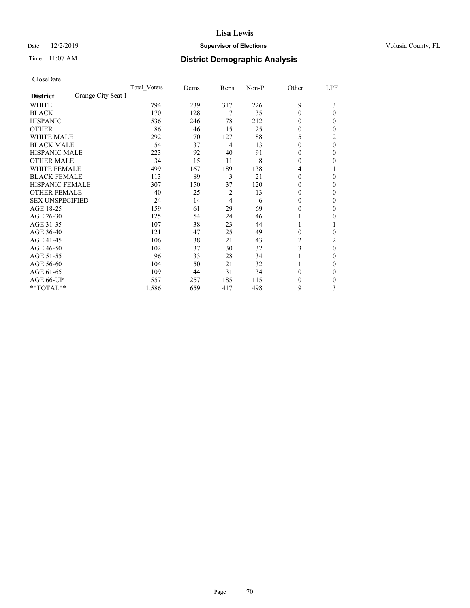## Date 12/2/2019 **Supervisor of Elections Supervisor of Elections** Volusia County, FL

# Time 11:07 AM **District Demographic Analysis**

|                        |                    | Total Voters | Dems | Reps | Non-P | Other    | LPF      |
|------------------------|--------------------|--------------|------|------|-------|----------|----------|
| <b>District</b>        | Orange City Seat 1 |              |      |      |       |          |          |
| WHITE                  |                    | 794          | 239  | 317  | 226   | 9        | 3        |
| <b>BLACK</b>           |                    | 170          | 128  | 7    | 35    | $\theta$ | 0        |
| <b>HISPANIC</b>        |                    | 536          | 246  | 78   | 212   | $\Omega$ | 0        |
| <b>OTHER</b>           |                    | 86           | 46   | 15   | 25    | $\theta$ | 0        |
| WHITE MALE             |                    | 292          | 70   | 127  | 88    | 5        | 2        |
| <b>BLACK MALE</b>      |                    | 54           | 37   | 4    | 13    | $\Omega$ | $\theta$ |
| HISPANIC MALE          |                    | 223          | 92   | 40   | 91    | $\theta$ | 0        |
| <b>OTHER MALE</b>      |                    | 34           | 15   | 11   | 8     | $\Omega$ | 0        |
| WHITE FEMALE           |                    | 499          | 167  | 189  | 138   | 4        |          |
| <b>BLACK FEMALE</b>    |                    | 113          | 89   | 3    | 21    | $\Omega$ | 0        |
| <b>HISPANIC FEMALE</b> |                    | 307          | 150  | 37   | 120   | $\Omega$ | 0        |
| <b>OTHER FEMALE</b>    |                    | 40           | 25   | 2    | 13    | $\Omega$ | 0        |
| <b>SEX UNSPECIFIED</b> |                    | 24           | 14   | 4    | 6     | $\Omega$ | 0        |
| AGE 18-25              |                    | 159          | 61   | 29   | 69    | $\Omega$ | 0        |
| AGE 26-30              |                    | 125          | 54   | 24   | 46    | 1        | 0        |
| AGE 31-35              |                    | 107          | 38   | 23   | 44    |          |          |
| AGE 36-40              |                    | 121          | 47   | 25   | 49    | $\theta$ | 0        |
| AGE 41-45              |                    | 106          | 38   | 21   | 43    | 2        | 2        |
| AGE 46-50              |                    | 102          | 37   | 30   | 32    | 3        | $\theta$ |
| AGE 51-55              |                    | 96           | 33   | 28   | 34    |          | 0        |
| AGE 56-60              |                    | 104          | 50   | 21   | 32    |          | 0        |
| AGE 61-65              |                    | 109          | 44   | 31   | 34    | $\theta$ | 0        |
| AGE 66-UP              |                    | 557          | 257  | 185  | 115   | $\theta$ | 0        |
| **TOTAL**              |                    | 1,586        | 659  | 417  | 498   | 9        | 3        |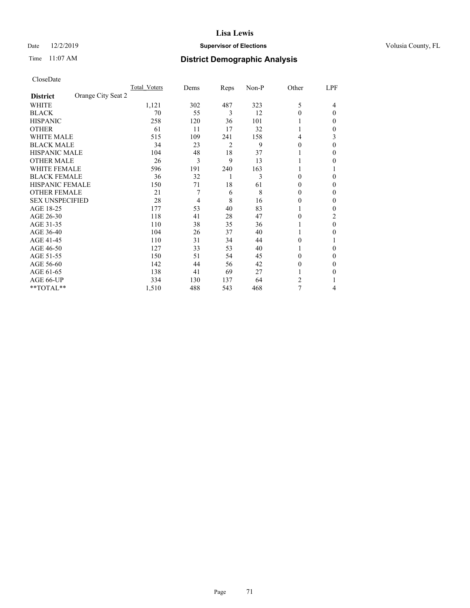## Date 12/2/2019 **Supervisor of Elections Supervisor of Elections** Volusia County, FL

| CloseDate |
|-----------|
|-----------|

|                                       | Total Voters | Dems | Reps           | Non-P | Other    | LPF      |
|---------------------------------------|--------------|------|----------------|-------|----------|----------|
| Orange City Seat 2<br><b>District</b> |              |      |                |       |          |          |
| <b>WHITE</b>                          | 1,121        | 302  | 487            | 323   | 5        | 4        |
| <b>BLACK</b>                          | 70           | 55   | 3              | 12    | $\theta$ | $\theta$ |
| <b>HISPANIC</b>                       | 258          | 120  | 36             | 101   |          | 0        |
| <b>OTHER</b>                          | 61           | 11   | 17             | 32    |          | 0        |
| <b>WHITE MALE</b>                     | 515          | 109  | 241            | 158   | 4        | 3        |
| <b>BLACK MALE</b>                     | 34           | 23   | $\overline{c}$ | 9     | 0        | 0        |
| <b>HISPANIC MALE</b>                  | 104          | 48   | 18             | 37    |          | 0        |
| <b>OTHER MALE</b>                     | 26           | 3    | 9              | 13    |          | 0        |
| <b>WHITE FEMALE</b>                   | 596          | 191  | 240            | 163   |          |          |
| <b>BLACK FEMALE</b>                   | 36           | 32   | 1              | 3     | 0        | 0        |
| <b>HISPANIC FEMALE</b>                | 150          | 71   | 18             | 61    | 0        | 0        |
| <b>OTHER FEMALE</b>                   | 21           | 7    | 6              | 8     | 0        | 0        |
| <b>SEX UNSPECIFIED</b>                | 28           | 4    | 8              | 16    | $\Omega$ | 0        |
| AGE 18-25                             | 177          | 53   | 40             | 83    |          | 0        |
| AGE 26-30                             | 118          | 41   | 28             | 47    | 0        | 2        |
| AGE 31-35                             | 110          | 38   | 35             | 36    |          | $\Omega$ |
| AGE 36-40                             | 104          | 26   | 37             | 40    |          | 0        |
| AGE 41-45                             | 110          | 31   | 34             | 44    | 0        |          |
| AGE 46-50                             | 127          | 33   | 53             | 40    |          | 0        |
| AGE 51-55                             | 150          | 51   | 54             | 45    | 0        | 0        |
| AGE 56-60                             | 142          | 44   | 56             | 42    | 0        | $_{0}$   |
| AGE 61-65                             | 138          | 41   | 69             | 27    |          | 0        |
| AGE 66-UP                             | 334          | 130  | 137            | 64    | 2        |          |
| **TOTAL**                             | 1,510        | 488  | 543            | 468   | 7        | 4        |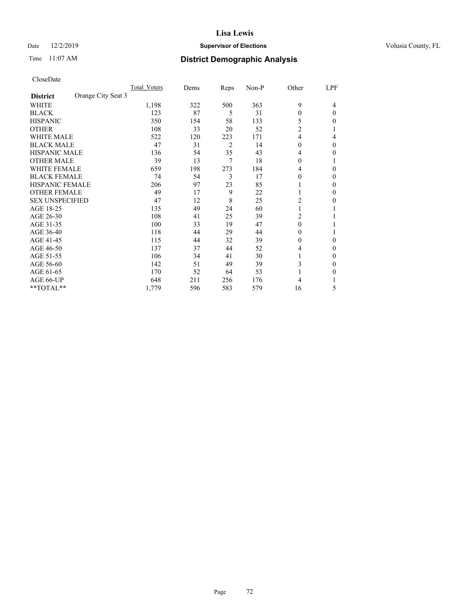## Date 12/2/2019 **Supervisor of Elections Supervisor of Elections** Volusia County, FL

# Time 11:07 AM **District Demographic Analysis**

|                                       | Total Voters | Dems | Reps | Non-P | Other          | LPF      |
|---------------------------------------|--------------|------|------|-------|----------------|----------|
| Orange City Seat 3<br><b>District</b> |              |      |      |       |                |          |
| WHITE                                 | 1,198        | 322  | 500  | 363   | 9              | 4        |
| <b>BLACK</b>                          | 123          | 87   | 5    | 31    | $\theta$       | $\Omega$ |
| <b>HISPANIC</b>                       | 350          | 154  | 58   | 133   | 5              | 0        |
| <b>OTHER</b>                          | 108          | 33   | 20   | 52    | $\overline{2}$ |          |
| WHITE MALE                            | 522          | 120  | 223  | 171   | 4              | 4        |
| <b>BLACK MALE</b>                     | 47           | 31   | 2    | 14    | $\Omega$       | $\Omega$ |
| HISPANIC MALE                         | 136          | 54   | 35   | 43    | 4              | 0        |
| <b>OTHER MALE</b>                     | 39           | 13   | 7    | 18    | $\Omega$       | 1        |
| WHITE FEMALE                          | 659          | 198  | 273  | 184   | 4              | 0        |
| <b>BLACK FEMALE</b>                   | 74           | 54   | 3    | 17    | $\Omega$       | 0        |
| <b>HISPANIC FEMALE</b>                | 206          | 97   | 23   | 85    |                | 0        |
| <b>OTHER FEMALE</b>                   | 49           | 17   | 9    | 22    | 1              | 0        |
| <b>SEX UNSPECIFIED</b>                | 47           | 12   | 8    | 25    | $\overline{2}$ | 0        |
| AGE 18-25                             | 135          | 49   | 24   | 60    |                |          |
| AGE 26-30                             | 108          | 41   | 25   | 39    | $\overline{c}$ |          |
| AGE 31-35                             | 100          | 33   | 19   | 47    | $\theta$       |          |
| AGE 36-40                             | 118          | 44   | 29   | 44    | $\theta$       |          |
| AGE 41-45                             | 115          | 44   | 32   | 39    | $\theta$       | 0        |
| AGE 46-50                             | 137          | 37   | 44   | 52    | 4              | 0        |
| AGE 51-55                             | 106          | 34   | 41   | 30    | L              | 0        |
| AGE 56-60                             | 142          | 51   | 49   | 39    | 3              | 0        |
| AGE 61-65                             | 170          | 52   | 64   | 53    |                | 0        |
| AGE 66-UP                             | 648          | 211  | 256  | 176   | 4              |          |
| **TOTAL**                             | 1,779        | 596  | 583  | 579   | 16             | 5        |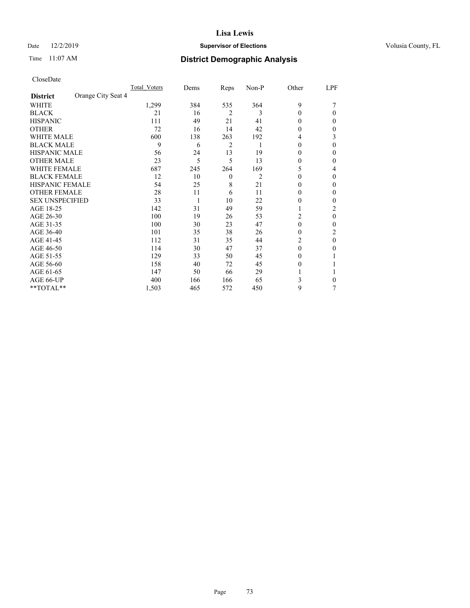### Date 12/2/2019 **Supervisor of Elections Supervisor of Elections** Volusia County, FL

## Time 11:07 AM **District Demographic Analysis**

|                        |                    | Total Voters | Dems | Reps             | Non-P | Other    | LPF |
|------------------------|--------------------|--------------|------|------------------|-------|----------|-----|
| <b>District</b>        | Orange City Seat 4 |              |      |                  |       |          |     |
| WHITE                  |                    | 1,299        | 384  | 535              | 364   | 9        |     |
| <b>BLACK</b>           |                    | 21           | 16   | $\overline{2}$   | 3     | $\Omega$ | 0   |
| <b>HISPANIC</b>        |                    | 111          | 49   | 21               | 41    | 0        | 0   |
| <b>OTHER</b>           |                    | 72           | 16   | 14               | 42    | 0        | 0   |
| <b>WHITE MALE</b>      |                    | 600          | 138  | 263              | 192   | 4        | 3   |
| <b>BLACK MALE</b>      |                    | 9            | 6    | 2                | 1     | $\theta$ | 0   |
| <b>HISPANIC MALE</b>   |                    | 56           | 24   | 13               | 19    | $_{0}$   | 0   |
| <b>OTHER MALE</b>      |                    | 23           | 5    | 5                | 13    | 0        | 0   |
| <b>WHITE FEMALE</b>    |                    | 687          | 245  | 264              | 169   | 5        | 4   |
| <b>BLACK FEMALE</b>    |                    | 12           | 10   | $\boldsymbol{0}$ | 2     | $\theta$ | 0   |
| <b>HISPANIC FEMALE</b> |                    | 54           | 25   | 8                | 21    | 0        | 0   |
| <b>OTHER FEMALE</b>    |                    | 28           | 11   | 6                | 11    | $\Omega$ | 0   |
| <b>SEX UNSPECIFIED</b> |                    | 33           | 1    | 10               | 22    | 0        | 0   |
| AGE 18-25              |                    | 142          | 31   | 49               | 59    |          | 2   |
| AGE 26-30              |                    | 100          | 19   | 26               | 53    | 2        | 0   |
| AGE 31-35              |                    | 100          | 30   | 23               | 47    | 0        | 0   |
| AGE 36-40              |                    | 101          | 35   | 38               | 26    | 0        | 2   |
| AGE 41-45              |                    | 112          | 31   | 35               | 44    | 2        | 0   |
| AGE 46-50              |                    | 114          | 30   | 47               | 37    | $\Omega$ | 0   |
| AGE 51-55              |                    | 129          | 33   | 50               | 45    | $_{0}$   |     |
| AGE 56-60              |                    | 158          | 40   | 72               | 45    | $_{0}$   |     |
| AGE 61-65              |                    | 147          | 50   | 66               | 29    |          |     |
| AGE 66-UP              |                    | 400          | 166  | 166              | 65    | 3        | 0   |
| **TOTAL**              |                    | 1,503        | 465  | 572              | 450   | 9        | 7   |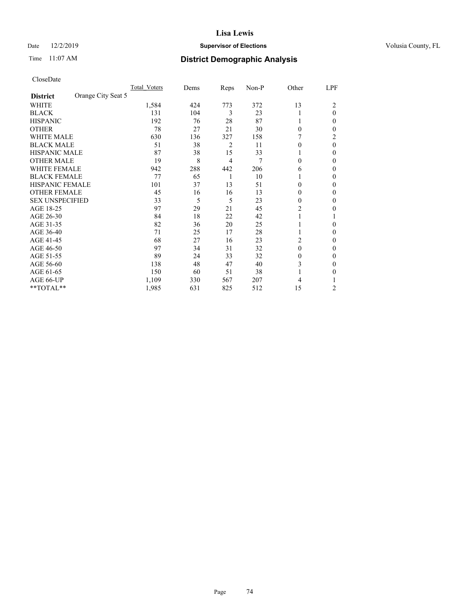Date 12/2/2019 **Supervisor of Elections Supervisor of Elections** Volusia County, FL

# **Lisa Lewis**

## Time 11:07 AM **District Demographic Analysis**

|                        |                    | Total Voters | Dems | Reps | Non-P | Other    | LPF      |
|------------------------|--------------------|--------------|------|------|-------|----------|----------|
| <b>District</b>        | Orange City Seat 5 |              |      |      |       |          |          |
| WHITE                  |                    | 1,584        | 424  | 773  | 372   | 13       | 2        |
| <b>BLACK</b>           |                    | 131          | 104  | 3    | 23    |          | $\theta$ |
| <b>HISPANIC</b>        |                    | 192          | 76   | 28   | 87    | 1        | 0        |
| <b>OTHER</b>           |                    | 78           | 27   | 21   | 30    | 0        | 0        |
| WHITE MALE             |                    | 630          | 136  | 327  | 158   |          | 2        |
| <b>BLACK MALE</b>      |                    | 51           | 38   | 2    | 11    | 0        | $\theta$ |
| <b>HISPANIC MALE</b>   |                    | 87           | 38   | 15   | 33    |          | 0        |
| <b>OTHER MALE</b>      |                    | 19           | 8    | 4    | 7     | 0        | 0        |
| WHITE FEMALE           |                    | 942          | 288  | 442  | 206   | 6        | 0        |
| <b>BLACK FEMALE</b>    |                    | 77           | 65   | 1    | 10    |          | 0        |
| <b>HISPANIC FEMALE</b> |                    | 101          | 37   | 13   | 51    | 0        | 0        |
| <b>OTHER FEMALE</b>    |                    | 45           | 16   | 16   | 13    | 0        | 0        |
| <b>SEX UNSPECIFIED</b> |                    | 33           | 5    | 5    | 23    | 0        | 0        |
| AGE 18-25              |                    | 97           | 29   | 21   | 45    | 2        | 0        |
| AGE 26-30              |                    | 84           | 18   | 22   | 42    | 1        |          |
| AGE 31-35              |                    | 82           | 36   | 20   | 25    |          | 0        |
| AGE 36-40              |                    | 71           | 25   | 17   | 28    | 1        | 0        |
| AGE 41-45              |                    | 68           | 27   | 16   | 23    | 2        | 0        |
| AGE 46-50              |                    | 97           | 34   | 31   | 32    | $\theta$ | 0        |
| AGE 51-55              |                    | 89           | 24   | 33   | 32    | 0        | 0        |
| AGE 56-60              |                    | 138          | 48   | 47   | 40    | 3        | 0        |
| AGE 61-65              |                    | 150          | 60   | 51   | 38    |          | 0        |
| AGE 66-UP              |                    | 1,109        | 330  | 567  | 207   | 4        |          |
| **TOTAL**              |                    | 1,985        | 631  | 825  | 512   | 15       | 2        |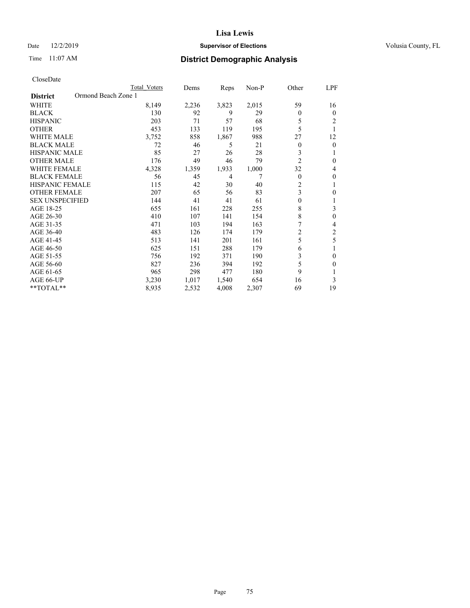### Date 12/2/2019 **Supervisor of Elections Supervisor of Elections** Volusia County, FL

## Time 11:07 AM **District Demographic Analysis**

|                                        | Total Voters | Dems  | Reps  | Non-P | Other          | LPF          |
|----------------------------------------|--------------|-------|-------|-------|----------------|--------------|
| Ormond Beach Zone 1<br><b>District</b> |              |       |       |       |                |              |
| WHITE                                  | 8,149        | 2,236 | 3,823 | 2,015 | 59             | 16           |
| <b>BLACK</b>                           | 130          | 92    | 9     | 29    | $\theta$       | $\mathbf{0}$ |
| <b>HISPANIC</b>                        | 203          | 71    | 57    | 68    | 5              | 2            |
| <b>OTHER</b>                           | 453          | 133   | 119   | 195   | 5              |              |
| <b>WHITE MALE</b>                      | 3,752        | 858   | 1,867 | 988   | 27             | 12           |
| <b>BLACK MALE</b>                      | 72           | 46    | 5     | 21    | $\theta$       | $\mathbf{0}$ |
| <b>HISPANIC MALE</b>                   | 85           | 27    | 26    | 28    | 3              | 1            |
| <b>OTHER MALE</b>                      | 176          | 49    | 46    | 79    | $\overline{2}$ | $\mathbf{0}$ |
| <b>WHITE FEMALE</b>                    | 4,328        | 1,359 | 1,933 | 1,000 | 32             | 4            |
| <b>BLACK FEMALE</b>                    | 56           | 45    | 4     |       | $\theta$       | $\theta$     |
| <b>HISPANIC FEMALE</b>                 | 115          | 42    | 30    | 40    | $\overline{c}$ | 1            |
| <b>OTHER FEMALE</b>                    | 207          | 65    | 56    | 83    | 3              | $\theta$     |
| <b>SEX UNSPECIFIED</b>                 | 144          | 41    | 41    | 61    | $\theta$       | 1            |
| AGE 18-25                              | 655          | 161   | 228   | 255   | 8              | 3            |
| AGE 26-30                              | 410          | 107   | 141   | 154   | 8              | $\theta$     |
| AGE 31-35                              | 471          | 103   | 194   | 163   | 7              | 4            |
| AGE 36-40                              | 483          | 126   | 174   | 179   | 2              | 2            |
| AGE 41-45                              | 513          | 141   | 201   | 161   | 5              | 5            |
| AGE 46-50                              | 625          | 151   | 288   | 179   | 6              | 1            |
| AGE 51-55                              | 756          | 192   | 371   | 190   | 3              | $\theta$     |
| AGE 56-60                              | 827          | 236   | 394   | 192   | 5              | $\theta$     |
| AGE 61-65                              | 965          | 298   | 477   | 180   | 9              | 1            |
| AGE 66-UP                              | 3,230        | 1,017 | 1,540 | 654   | 16             | 3            |
| **TOTAL**                              | 8,935        | 2,532 | 4,008 | 2,307 | 69             | 19           |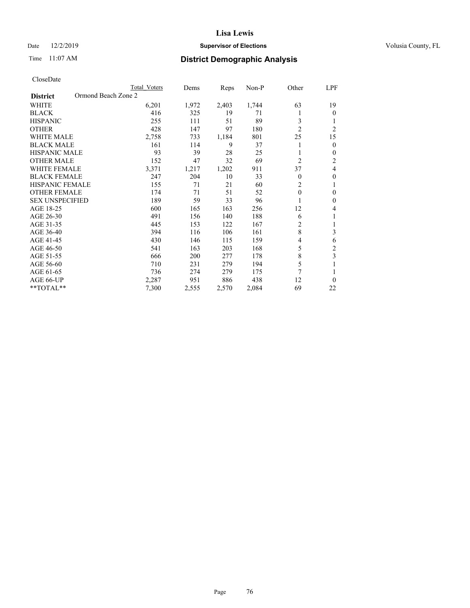### Date 12/2/2019 **Supervisor of Elections Supervisor of Elections** Volusia County, FL

## Time 11:07 AM **District Demographic Analysis**

|                                        | Total Voters | Dems  | Reps  | Non-P | Other          | LPF            |
|----------------------------------------|--------------|-------|-------|-------|----------------|----------------|
| Ormond Beach Zone 2<br><b>District</b> |              |       |       |       |                |                |
| WHITE                                  | 6,201        | 1,972 | 2,403 | 1,744 | 63             | 19             |
| <b>BLACK</b>                           | 416          | 325   | 19    | 71    |                | $\theta$       |
| <b>HISPANIC</b>                        | 255          | 111   | 51    | 89    | 3              | 1              |
| <b>OTHER</b>                           | 428          | 147   | 97    | 180   | $\overline{2}$ | $\overline{2}$ |
| <b>WHITE MALE</b>                      | 2,758        | 733   | 1,184 | 801   | 25             | 15             |
| <b>BLACK MALE</b>                      | 161          | 114   | 9     | 37    |                | $\mathbf{0}$   |
| <b>HISPANIC MALE</b>                   | 93           | 39    | 28    | 25    |                | $\mathbf{0}$   |
| <b>OTHER MALE</b>                      | 152          | 47    | 32    | 69    | $\overline{2}$ | 2              |
| <b>WHITE FEMALE</b>                    | 3,371        | 1,217 | 1,202 | 911   | 37             | 4              |
| <b>BLACK FEMALE</b>                    | 247          | 204   | 10    | 33    | $\theta$       | $\theta$       |
| <b>HISPANIC FEMALE</b>                 | 155          | 71    | 21    | 60    | $\overline{2}$ | 1              |
| <b>OTHER FEMALE</b>                    | 174          | 71    | 51    | 52    | $\theta$       | $\theta$       |
| <b>SEX UNSPECIFIED</b>                 | 189          | 59    | 33    | 96    |                | $\theta$       |
| AGE 18-25                              | 600          | 165   | 163   | 256   | 12             | 4              |
| AGE 26-30                              | 491          | 156   | 140   | 188   | 6              | 1              |
| AGE 31-35                              | 445          | 153   | 122   | 167   | $\overline{2}$ | 1              |
| AGE 36-40                              | 394          | 116   | 106   | 161   | 8              | 3              |
| AGE 41-45                              | 430          | 146   | 115   | 159   | 4              | 6              |
| AGE 46-50                              | 541          | 163   | 203   | 168   | 5              | $\overline{2}$ |
| AGE 51-55                              | 666          | 200   | 277   | 178   | 8              | 3              |
| AGE 56-60                              | 710          | 231   | 279   | 194   | 5              |                |
| AGE 61-65                              | 736          | 274   | 279   | 175   | 7              | 1              |
| AGE 66-UP                              | 2,287        | 951   | 886   | 438   | 12             | $\theta$       |
| **TOTAL**                              | 7,300        | 2,555 | 2,570 | 2,084 | 69             | 22             |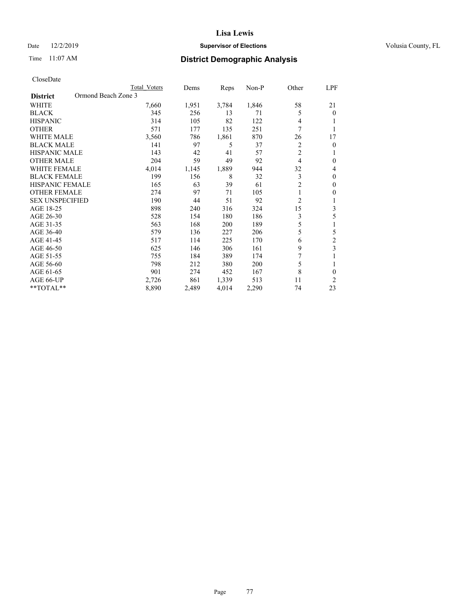### Date 12/2/2019 **Supervisor of Elections Supervisor of Elections** Volusia County, FL

## Time 11:07 AM **District Demographic Analysis**

|                                        | Total Voters | Dems  | Reps  | $Non-P$ | Other          | LPF            |
|----------------------------------------|--------------|-------|-------|---------|----------------|----------------|
| Ormond Beach Zone 3<br><b>District</b> |              |       |       |         |                |                |
| WHITE                                  | 7,660        | 1,951 | 3,784 | 1,846   | 58             | 21             |
| <b>BLACK</b>                           | 345          | 256   | 13    | 71      | 5              | $\theta$       |
| <b>HISPANIC</b>                        | 314          | 105   | 82    | 122     | 4              |                |
| <b>OTHER</b>                           | 571          | 177   | 135   | 251     | 7              |                |
| <b>WHITE MALE</b>                      | 3,560        | 786   | 1,861 | 870     | 26             | 17             |
| <b>BLACK MALE</b>                      | 141          | 97    | 5     | 37      | 2              | 0              |
| <b>HISPANIC MALE</b>                   | 143          | 42    | 41    | 57      | $\overline{2}$ | 1              |
| <b>OTHER MALE</b>                      | 204          | 59    | 49    | 92      | $\overline{4}$ | $\theta$       |
| <b>WHITE FEMALE</b>                    | 4,014        | 1,145 | 1,889 | 944     | 32             | 4              |
| <b>BLACK FEMALE</b>                    | 199          | 156   | 8     | 32      | 3              | $\theta$       |
| <b>HISPANIC FEMALE</b>                 | 165          | 63    | 39    | 61      | $\overline{c}$ | $\mathbf{0}$   |
| <b>OTHER FEMALE</b>                    | 274          | 97    | 71    | 105     | 1              | $\mathbf{0}$   |
| <b>SEX UNSPECIFIED</b>                 | 190          | 44    | 51    | 92      | $\overline{c}$ | 1              |
| AGE 18-25                              | 898          | 240   | 316   | 324     | 15             | 3              |
| AGE 26-30                              | 528          | 154   | 180   | 186     | 3              | 5              |
| AGE 31-35                              | 563          | 168   | 200   | 189     | 5              | 1              |
| AGE 36-40                              | 579          | 136   | 227   | 206     | 5              | 5              |
| AGE 41-45                              | 517          | 114   | 225   | 170     | 6              | $\mathfrak{2}$ |
| AGE 46-50                              | 625          | 146   | 306   | 161     | 9              | 3              |
| AGE 51-55                              | 755          | 184   | 389   | 174     | 7              |                |
| AGE 56-60                              | 798          | 212   | 380   | 200     | 5              | 1              |
| AGE 61-65                              | 901          | 274   | 452   | 167     | 8              | $\theta$       |
| AGE 66-UP                              | 2,726        | 861   | 1,339 | 513     | 11             | 2              |
| $*$ TOTAL $*$                          | 8,890        | 2,489 | 4,014 | 2,290   | 74             | 23             |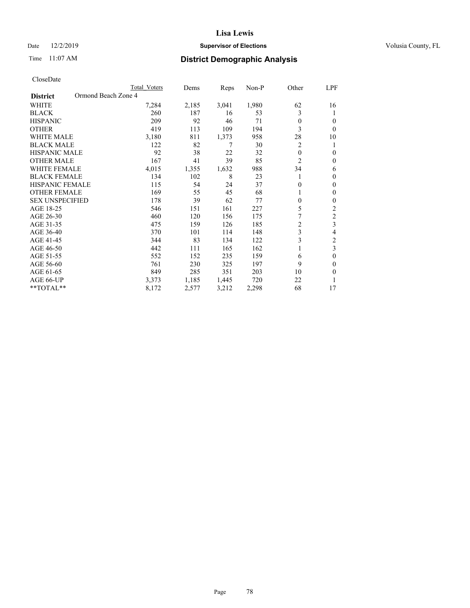### Date 12/2/2019 **Supervisor of Elections Supervisor of Elections** Volusia County, FL

## Time 11:07 AM **District Demographic Analysis**

|                                        | Total Voters | Dems  | Reps  | Non-P | Other          | LPF                     |
|----------------------------------------|--------------|-------|-------|-------|----------------|-------------------------|
| Ormond Beach Zone 4<br><b>District</b> |              |       |       |       |                |                         |
| WHITE                                  | 7,284        | 2,185 | 3,041 | 1,980 | 62             | 16                      |
| <b>BLACK</b>                           | 260          | 187   | 16    | 53    | 3              | 1                       |
| <b>HISPANIC</b>                        | 209          | 92    | 46    | 71    | $\theta$       | $\Omega$                |
| <b>OTHER</b>                           | 419          | 113   | 109   | 194   | 3              | $\Omega$                |
| <b>WHITE MALE</b>                      | 3,180        | 811   | 1,373 | 958   | 28             | 10                      |
| <b>BLACK MALE</b>                      | 122          | 82    | 7     | 30    | $\overline{c}$ | 1                       |
| <b>HISPANIC MALE</b>                   | 92           | 38    | 22    | 32    | $\theta$       | $\theta$                |
| <b>OTHER MALE</b>                      | 167          | 41    | 39    | 85    | $\overline{2}$ | $\mathbf{0}$            |
| <b>WHITE FEMALE</b>                    | 4,015        | 1,355 | 1,632 | 988   | 34             | 6                       |
| <b>BLACK FEMALE</b>                    | 134          | 102   | 8     | 23    |                | $\theta$                |
| <b>HISPANIC FEMALE</b>                 | 115          | 54    | 24    | 37    | 0              | $\Omega$                |
| <b>OTHER FEMALE</b>                    | 169          | 55    | 45    | 68    |                | $\theta$                |
| <b>SEX UNSPECIFIED</b>                 | 178          | 39    | 62    | 77    | 0              | $\theta$                |
| AGE 18-25                              | 546          | 151   | 161   | 227   | 5              | $\overline{2}$          |
| AGE 26-30                              | 460          | 120   | 156   | 175   | 7              | $\mathfrak{2}$          |
| AGE 31-35                              | 475          | 159   | 126   | 185   | $\overline{c}$ | $\overline{\mathbf{3}}$ |
| AGE 36-40                              | 370          | 101   | 114   | 148   | 3              | 4                       |
| AGE 41-45                              | 344          | 83    | 134   | 122   | 3              | 2                       |
| AGE 46-50                              | 442          | 111   | 165   | 162   |                | 3                       |
| AGE 51-55                              | 552          | 152   | 235   | 159   | 6              | $\theta$                |
| AGE 56-60                              | 761          | 230   | 325   | 197   | 9              | $\theta$                |
| AGE 61-65                              | 849          | 285   | 351   | 203   | 10             | $\theta$                |
| AGE 66-UP                              | 3,373        | 1,185 | 1,445 | 720   | 22             |                         |
| **TOTAL**                              | 8,172        | 2,577 | 3,212 | 2,298 | 68             | 17                      |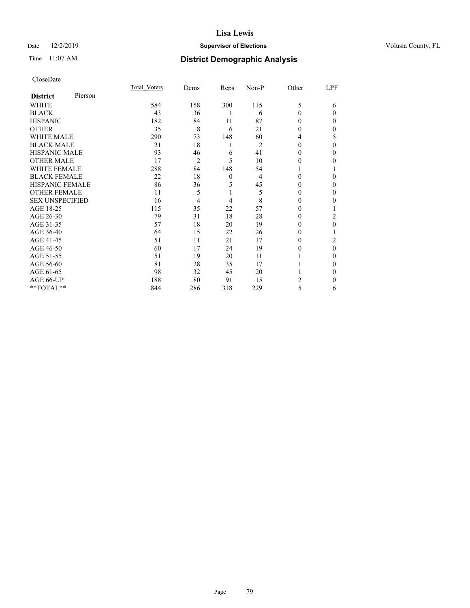### Date 12/2/2019 **Supervisor of Elections Supervisor of Elections** Volusia County, FL

## Time 11:07 AM **District Demographic Analysis**

|                        |         | Total Voters | Dems | Reps         | Non-P          | Other        | LPF      |
|------------------------|---------|--------------|------|--------------|----------------|--------------|----------|
| <b>District</b>        | Pierson |              |      |              |                |              |          |
| WHITE                  |         | 584          | 158  | 300          | 115            | 5            | 6        |
| <b>BLACK</b>           |         | 43           | 36   | 1            | 6              | $\theta$     | $\Omega$ |
| <b>HISPANIC</b>        |         | 182          | 84   | 11           | 87             | 0            | 0        |
| <b>OTHER</b>           |         | 35           | 8    | 6            | 21             | 0            | 0        |
| WHITE MALE             |         | 290          | 73   | 148          | 60             | 4            | 5        |
| <b>BLACK MALE</b>      |         | 21           | 18   | 1            | $\overline{2}$ | 0            | 0        |
| <b>HISPANIC MALE</b>   |         | 93           | 46   | 6            | 41             | 0            | 0        |
| <b>OTHER MALE</b>      |         | 17           | 2    | 5            | 10             | $\mathbf{0}$ | 0        |
| WHITE FEMALE           |         | 288          | 84   | 148          | 54             |              |          |
| <b>BLACK FEMALE</b>    |         | 22           | 18   | $\mathbf{0}$ | 4              | $\Omega$     | 0        |
| <b>HISPANIC FEMALE</b> |         | 86           | 36   | 5            | 45             | 0            | 0        |
| <b>OTHER FEMALE</b>    |         | 11           | 5    | 1            | 5              | 0            | $\Omega$ |
| <b>SEX UNSPECIFIED</b> |         | 16           | 4    | 4            | 8              | 0            | 0        |
| AGE 18-25              |         | 115          | 35   | 22           | 57             | 0            |          |
| AGE 26-30              |         | 79           | 31   | 18           | 28             | 0            | 2        |
| AGE 31-35              |         | 57           | 18   | 20           | 19             | 0            | 0        |
| AGE 36-40              |         | 64           | 15   | 22           | 26             | 0            |          |
| AGE 41-45              |         | 51           | 11   | 21           | 17             | 0            | 2        |
| AGE 46-50              |         | 60           | 17   | 24           | 19             | 0            | $\Omega$ |
| AGE 51-55              |         | 51           | 19   | 20           | 11             |              | 0        |
| AGE 56-60              |         | 81           | 28   | 35           | 17             |              | 0        |
| AGE 61-65              |         | 98           | 32   | 45           | 20             |              | 0        |
| AGE 66-UP              |         | 188          | 80   | 91           | 15             | 2            | 0        |
| **TOTAL**              |         | 844          | 286  | 318          | 229            | 5            | 6        |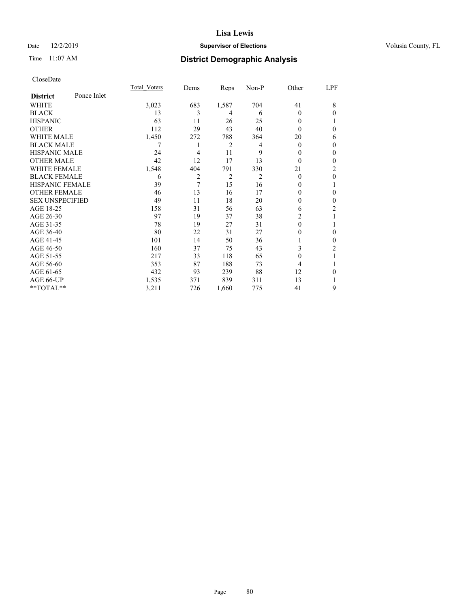### Date 12/2/2019 **Supervisor of Elections Supervisor of Elections** Volusia County, FL

## Time 11:07 AM **District Demographic Analysis**

|                        |             | Total Voters | Dems | Reps           | Non-P | Other    | LPF            |
|------------------------|-------------|--------------|------|----------------|-------|----------|----------------|
| <b>District</b>        | Ponce Inlet |              |      |                |       |          |                |
| WHITE                  |             | 3,023        | 683  | 1,587          | 704   | 41       | 8              |
| <b>BLACK</b>           |             | 13           | 3    | 4              | 6     | $\theta$ | $\theta$       |
| <b>HISPANIC</b>        |             | 63           | 11   | 26             | 25    | 0        |                |
| <b>OTHER</b>           |             | 112          | 29   | 43             | 40    | 0        | $\theta$       |
| WHITE MALE             |             | 1,450        | 272  | 788            | 364   | 20       | 6              |
| <b>BLACK MALE</b>      |             |              | 1    | $\overline{2}$ | 4     | $\Omega$ | $\mathbf{0}$   |
| <b>HISPANIC MALE</b>   |             | 24           | 4    | 11             | 9     | 0        | $\theta$       |
| <b>OTHER MALE</b>      |             | 42           | 12   | 17             | 13    | $\theta$ | $\mathbf{0}$   |
| <b>WHITE FEMALE</b>    |             | 1,548        | 404  | 791            | 330   | 21       | $\overline{2}$ |
| <b>BLACK FEMALE</b>    |             | 6            | 2    | 2              | 2     | $\theta$ | $\theta$       |
| <b>HISPANIC FEMALE</b> |             | 39           | 7    | 15             | 16    | 0        | 1              |
| <b>OTHER FEMALE</b>    |             | 46           | 13   | 16             | 17    | 0        | $\theta$       |
| <b>SEX UNSPECIFIED</b> |             | 49           | 11   | 18             | 20    | 0        | $\theta$       |
| AGE 18-25              |             | 158          | 31   | 56             | 63    | 6        | $\overline{c}$ |
| AGE 26-30              |             | 97           | 19   | 37             | 38    | 2        | 1              |
| AGE 31-35              |             | 78           | 19   | 27             | 31    | 0        | 1              |
| AGE 36-40              |             | 80           | 22   | 31             | 27    | 0        | $\theta$       |
| AGE 41-45              |             | 101          | 14   | 50             | 36    |          | $\theta$       |
| AGE 46-50              |             | 160          | 37   | 75             | 43    | 3        | 2              |
| AGE 51-55              |             | 217          | 33   | 118            | 65    | 0        | 1              |
| AGE 56-60              |             | 353          | 87   | 188            | 73    | 4        |                |
| AGE 61-65              |             | 432          | 93   | 239            | 88    | 12       | $\theta$       |
| AGE 66-UP              |             | 1,535        | 371  | 839            | 311   | 13       |                |
| **TOTAL**              |             | 3,211        | 726  | 1,660          | 775   | 41       | 9              |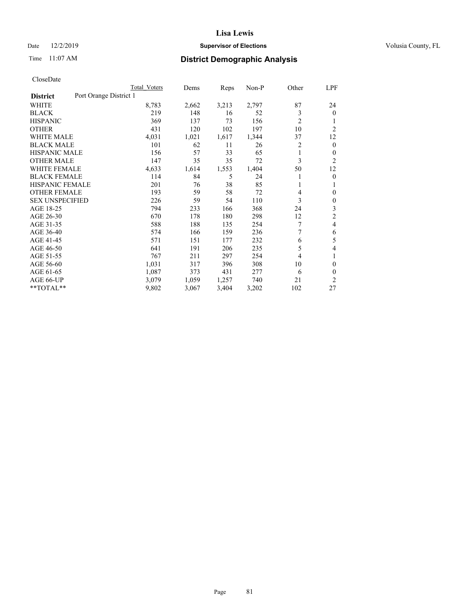### Date 12/2/2019 **Supervisor of Elections Supervisor of Elections** Volusia County, FL

## Time 11:07 AM **District Demographic Analysis**

|                        | Total Voters           | Dems  | Reps  | Non-P | Other          | LPF            |
|------------------------|------------------------|-------|-------|-------|----------------|----------------|
| <b>District</b>        | Port Orange District 1 |       |       |       |                |                |
| WHITE                  | 8,783                  | 2,662 | 3,213 | 2,797 | 87             | 24             |
| <b>BLACK</b>           | 219                    | 148   | 16    | 52    | 3              | $\mathbf{0}$   |
| <b>HISPANIC</b>        | 369                    | 137   | 73    | 156   | $\overline{c}$ |                |
| <b>OTHER</b>           | 431                    | 120   | 102   | 197   | 10             | $\overline{2}$ |
| <b>WHITE MALE</b>      | 4,031                  | 1,021 | 1,617 | 1,344 | 37             | 12             |
| <b>BLACK MALE</b>      | 101                    | 62    | 11    | 26    | 2              | $\theta$       |
| <b>HISPANIC MALE</b>   | 156                    | 57    | 33    | 65    | 1              | $\mathbf{0}$   |
| <b>OTHER MALE</b>      | 147                    | 35    | 35    | 72    | 3              | $\overline{2}$ |
| <b>WHITE FEMALE</b>    | 4,633                  | 1,614 | 1,553 | 1,404 | 50             | 12             |
| <b>BLACK FEMALE</b>    | 114                    | 84    | 5     | 24    |                | $\theta$       |
| <b>HISPANIC FEMALE</b> | 201                    | 76    | 38    | 85    |                | 1              |
| <b>OTHER FEMALE</b>    | 193                    | 59    | 58    | 72    | 4              | $\theta$       |
| <b>SEX UNSPECIFIED</b> | 226                    | 59    | 54    | 110   | 3              | $\theta$       |
| AGE 18-25              | 794                    | 233   | 166   | 368   | 24             | 3              |
| AGE 26-30              | 670                    | 178   | 180   | 298   | 12             | $\overline{c}$ |
| AGE 31-35              | 588                    | 188   | 135   | 254   | 7              | 4              |
| AGE 36-40              | 574                    | 166   | 159   | 236   | 7              | 6              |
| AGE 41-45              | 571                    | 151   | 177   | 232   | 6              | 5              |
| AGE 46-50              | 641                    | 191   | 206   | 235   | 5              | 4              |
| AGE 51-55              | 767                    | 211   | 297   | 254   | 4              | 1              |
| AGE 56-60              | 1,031                  | 317   | 396   | 308   | 10             | $\theta$       |
| AGE 61-65              | 1,087                  | 373   | 431   | 277   | 6              | $\theta$       |
| AGE 66-UP              | 3,079                  | 1,059 | 1,257 | 740   | 21             | $\overline{c}$ |
| **TOTAL**              | 9,802                  | 3,067 | 3,404 | 3,202 | 102            | 27             |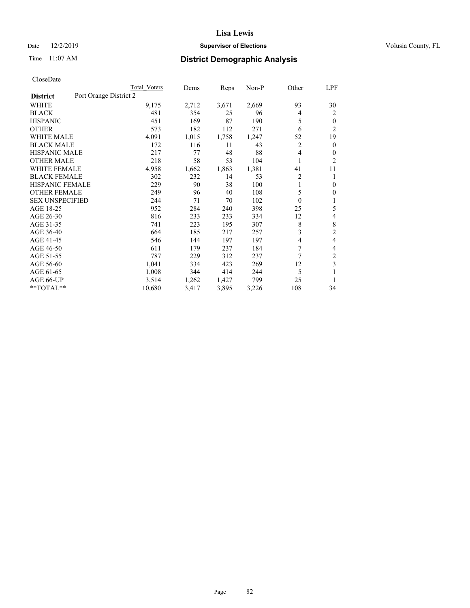### Date 12/2/2019 **Supervisor of Elections Supervisor of Elections** Volusia County, FL

## Time 11:07 AM **District Demographic Analysis**

|                                           | Total Voters | Dems  | Reps  | Non-P | Other          | <u>LPF</u>     |
|-------------------------------------------|--------------|-------|-------|-------|----------------|----------------|
| Port Orange District 2<br><b>District</b> |              |       |       |       |                |                |
| WHITE                                     | 9,175        | 2,712 | 3,671 | 2,669 | 93             | 30             |
| <b>BLACK</b>                              | 481          | 354   | 25    | 96    | 4              | 2              |
| <b>HISPANIC</b>                           | 451          | 169   | 87    | 190   | 5              | $\mathbf{0}$   |
| <b>OTHER</b>                              | 573          | 182   | 112   | 271   | 6              | $\overline{2}$ |
| <b>WHITE MALE</b>                         | 4,091        | 1,015 | 1,758 | 1,247 | 52             | 19             |
| <b>BLACK MALE</b>                         | 172          | 116   | 11    | 43    | $\overline{2}$ | $\mathbf{0}$   |
| <b>HISPANIC MALE</b>                      | 217          | 77    | 48    | 88    | 4              | $\theta$       |
| <b>OTHER MALE</b>                         | 218          | 58    | 53    | 104   | 1              | 2              |
| <b>WHITE FEMALE</b>                       | 4,958        | 1,662 | 1,863 | 1,381 | 41             | 11             |
| <b>BLACK FEMALE</b>                       | 302          | 232   | 14    | 53    | $\overline{2}$ | 1              |
| <b>HISPANIC FEMALE</b>                    | 229          | 90    | 38    | 100   | 1              | $\mathbf{0}$   |
| <b>OTHER FEMALE</b>                       | 249          | 96    | 40    | 108   | 5              | $\overline{0}$ |
| <b>SEX UNSPECIFIED</b>                    | 244          | 71    | 70    | 102   | $\theta$       | 1              |
| AGE 18-25                                 | 952          | 284   | 240   | 398   | 25             | 5              |
| AGE 26-30                                 | 816          | 233   | 233   | 334   | 12             | 4              |
| AGE 31-35                                 | 741          | 223   | 195   | 307   | 8              | 8              |
| AGE 36-40                                 | 664          | 185   | 217   | 257   | 3              | $\overline{2}$ |
| AGE 41-45                                 | 546          | 144   | 197   | 197   | 4              | 4              |
| AGE 46-50                                 | 611          | 179   | 237   | 184   | 7              | 4              |
| AGE 51-55                                 | 787          | 229   | 312   | 237   | 7              | 2              |
| AGE 56-60                                 | 1,041        | 334   | 423   | 269   | 12             | 3              |
| AGE 61-65                                 | 1,008        | 344   | 414   | 244   | 5              | 1              |
| AGE 66-UP                                 | 3,514        | 1,262 | 1,427 | 799   | 25             | 1              |
| **TOTAL**                                 | 10,680       | 3,417 | 3,895 | 3,226 | 108            | 34             |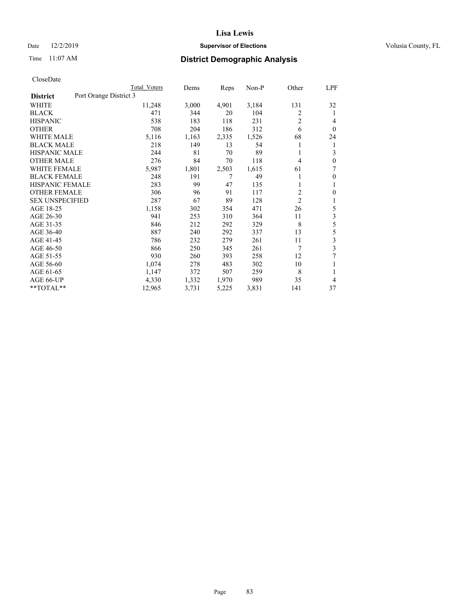### Date 12/2/2019 **Supervisor of Elections Supervisor of Elections** Volusia County, FL

## Time 11:07 AM **District Demographic Analysis**

|                        | Total Voters           | Dems  | Reps  | Non-P | Other          | LPF            |
|------------------------|------------------------|-------|-------|-------|----------------|----------------|
| <b>District</b>        | Port Orange District 3 |       |       |       |                |                |
| WHITE                  | 11,248                 | 3,000 | 4,901 | 3,184 | 131            | 32             |
| <b>BLACK</b>           | 471                    | 344   | 20    | 104   | 2              | 1              |
| <b>HISPANIC</b>        | 538                    | 183   | 118   | 231   | 2              | 4              |
| <b>OTHER</b>           | 708                    | 204   | 186   | 312   | 6              | $\theta$       |
| WHITE MALE             | 5,116                  | 1,163 | 2,335 | 1,526 | 68             | 24             |
| <b>BLACK MALE</b>      | 218                    | 149   | 13    | 54    |                | 1              |
| <b>HISPANIC MALE</b>   | 244                    | 81    | 70    | 89    | 1              | 3              |
| <b>OTHER MALE</b>      | 276                    | 84    | 70    | 118   | 4              | $\theta$       |
| <b>WHITE FEMALE</b>    | 5,987                  | 1,801 | 2,503 | 1,615 | 61             | 7              |
| <b>BLACK FEMALE</b>    | 248                    | 191   | 7     | 49    |                | $\theta$       |
| <b>HISPANIC FEMALE</b> | 283                    | 99    | 47    | 135   |                | 1              |
| <b>OTHER FEMALE</b>    | 306                    | 96    | 91    | 117   | $\overline{2}$ | $\theta$       |
| <b>SEX UNSPECIFIED</b> | 287                    | 67    | 89    | 128   | $\overline{2}$ | 1              |
| AGE 18-25              | 1,158                  | 302   | 354   | 471   | 26             | 5              |
| AGE 26-30              | 941                    | 253   | 310   | 364   | 11             | 3              |
| AGE 31-35              | 846                    | 212   | 292   | 329   | 8              | 5              |
| AGE 36-40              | 887                    | 240   | 292   | 337   | 13             | 5              |
| AGE 41-45              | 786                    | 232   | 279   | 261   | 11             | $\mathfrak{Z}$ |
| AGE 46-50              | 866                    | 250   | 345   | 261   | 7              | 3              |
| AGE 51-55              | 930                    | 260   | 393   | 258   | 12             | 7              |
| AGE 56-60              | 1,074                  | 278   | 483   | 302   | 10             |                |
| AGE 61-65              | 1,147                  | 372   | 507   | 259   | 8              | 1              |
| AGE 66-UP              | 4,330                  | 1,332 | 1,970 | 989   | 35             | 4              |
| **TOTAL**              | 12,965                 | 3,731 | 5,225 | 3,831 | 141            | 37             |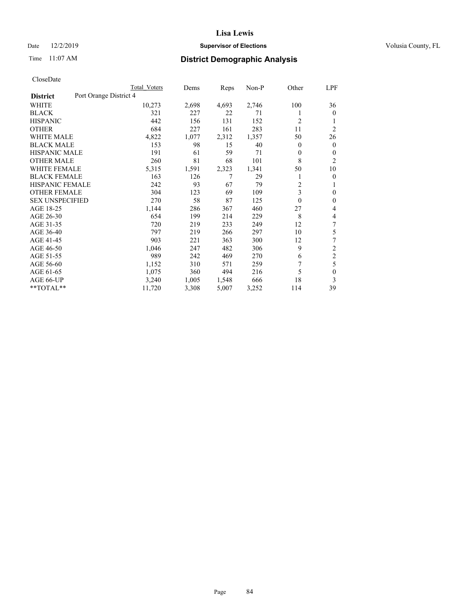### Date 12/2/2019 **Supervisor of Elections Supervisor of Elections** Volusia County, FL

## Time 11:07 AM **District Demographic Analysis**

|                        | Total Voters           | Dems  | Reps  | Non-P | Other          | LPF            |
|------------------------|------------------------|-------|-------|-------|----------------|----------------|
| <b>District</b>        | Port Orange District 4 |       |       |       |                |                |
| WHITE                  | 10,273                 | 2,698 | 4,693 | 2,746 | 100            | 36             |
| <b>BLACK</b>           | 321                    | 227   | 22    | 71    |                | $\mathbf{0}$   |
| <b>HISPANIC</b>        | 442                    | 156   | 131   | 152   | $\overline{c}$ | 1              |
| <b>OTHER</b>           | 684                    | 227   | 161   | 283   | 11             | $\overline{2}$ |
| <b>WHITE MALE</b>      | 4,822                  | 1,077 | 2,312 | 1,357 | 50             | 26             |
| <b>BLACK MALE</b>      | 153                    | 98    | 15    | 40    | $\Omega$       | $\mathbf{0}$   |
| <b>HISPANIC MALE</b>   | 191                    | 61    | 59    | 71    | 0              | $\mathbf{0}$   |
| <b>OTHER MALE</b>      | 260                    | 81    | 68    | 101   | 8              | $\overline{2}$ |
| WHITE FEMALE           | 5,315                  | 1,591 | 2,323 | 1,341 | 50             | 10             |
| <b>BLACK FEMALE</b>    | 163                    | 126   | 7     | 29    |                | $\mathbf{0}$   |
| <b>HISPANIC FEMALE</b> | 242                    | 93    | 67    | 79    | $\overline{c}$ | 1              |
| <b>OTHER FEMALE</b>    | 304                    | 123   | 69    | 109   | 3              | $\theta$       |
| <b>SEX UNSPECIFIED</b> | 270                    | 58    | 87    | 125   | 0              | $\mathbf{0}$   |
| AGE 18-25              | 1,144                  | 286   | 367   | 460   | 27             | 4              |
| AGE 26-30              | 654                    | 199   | 214   | 229   | 8              | 4              |
| AGE 31-35              | 720                    | 219   | 233   | 249   | 12             | 7              |
| AGE 36-40              | 797                    | 219   | 266   | 297   | 10             | 5              |
| AGE 41-45              | 903                    | 221   | 363   | 300   | 12             | 7              |
| AGE 46-50              | 1,046                  | 247   | 482   | 306   | 9              | 2              |
| AGE 51-55              | 989                    | 242   | 469   | 270   | 6              | $\overline{c}$ |
| AGE 56-60              | 1,152                  | 310   | 571   | 259   | 7              | 5              |
| AGE 61-65              | 1,075                  | 360   | 494   | 216   | 5              | $\mathbf{0}$   |
| AGE 66-UP              | 3,240                  | 1,005 | 1,548 | 666   | 18             | 3              |
| **TOTAL**              | 11,720                 | 3,308 | 5,007 | 3,252 | 114            | 39             |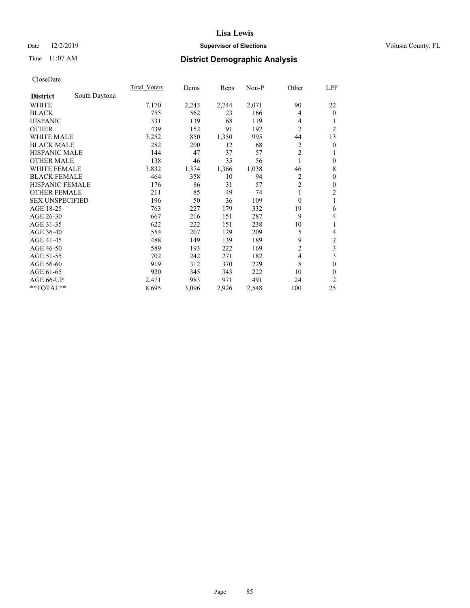### Date 12/2/2019 **Supervisor of Elections Supervisor of Elections** Volusia County, FL

## Time 11:07 AM **District Demographic Analysis**

|                        |               | Total Voters | Dems  | Reps  | Non-P | Other            | LPF            |
|------------------------|---------------|--------------|-------|-------|-------|------------------|----------------|
| <b>District</b>        | South Daytona |              |       |       |       |                  |                |
| WHITE                  |               | 7,170        | 2,243 | 2,744 | 2,071 | 90               | 22             |
| <b>BLACK</b>           |               | 755          | 562   | 23    | 166   | 4                | $\mathbf{0}$   |
| <b>HISPANIC</b>        |               | 331          | 139   | 68    | 119   | 4                | 1              |
| <b>OTHER</b>           |               | 439          | 152   | 91    | 192   | $\overline{2}$   | $\overline{2}$ |
| <b>WHITE MALE</b>      |               | 3,252        | 850   | 1,350 | 995   | 44               | 13             |
| <b>BLACK MALE</b>      |               | 282          | 200   | 12    | 68    | 2                | 0              |
| <b>HISPANIC MALE</b>   |               | 144          | 47    | 37    | 57    | $\overline{c}$   | 1              |
| <b>OTHER MALE</b>      |               | 138          | 46    | 35    | 56    |                  | $\theta$       |
| <b>WHITE FEMALE</b>    |               | 3,832        | 1,374 | 1,366 | 1,038 | 46               | 8              |
| <b>BLACK FEMALE</b>    |               | 464          | 358   | 10    | 94    | $\overline{2}$   | $\theta$       |
| <b>HISPANIC FEMALE</b> |               | 176          | 86    | 31    | 57    | $\overline{2}$   | $\theta$       |
| <b>OTHER FEMALE</b>    |               | 211          | 85    | 49    | 74    | 1                | $\overline{2}$ |
| <b>SEX UNSPECIFIED</b> |               | 196          | 50    | 36    | 109   | $\boldsymbol{0}$ | 1              |
| AGE 18-25              |               | 763          | 227   | 179   | 332   | 19               | 6              |
| AGE 26-30              |               | 667          | 216   | 151   | 287   | 9                | 4              |
| AGE 31-35              |               | 622          | 222   | 151   | 238   | 10               | 1              |
| AGE 36-40              |               | 554          | 207   | 129   | 209   | 5                | 4              |
| AGE 41-45              |               | 488          | 149   | 139   | 189   | 9                | $\mathfrak{2}$ |
| AGE 46-50              |               | 589          | 193   | 222   | 169   | $\overline{2}$   | 3              |
| AGE 51-55              |               | 702          | 242   | 271   | 182   | 4                | 3              |
| AGE 56-60              |               | 919          | 312   | 370   | 229   | 8                | $\theta$       |
| AGE 61-65              |               | 920          | 345   | 343   | 222   | 10               | $\theta$       |
| AGE 66-UP              |               | 2,471        | 983   | 971   | 491   | 24               | $\overline{2}$ |
| $*$ TOTAL $*$          |               | 8,695        | 3,096 | 2,926 | 2,548 | 100              | 25             |